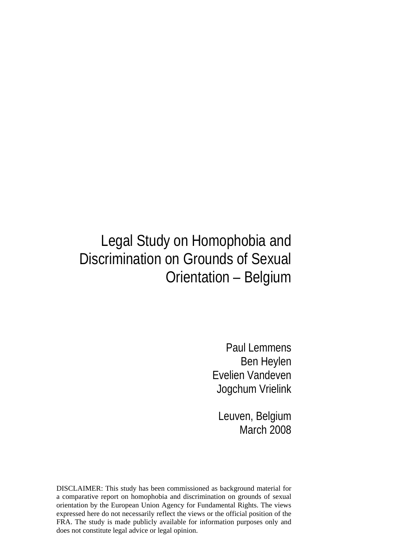# Legal Study on Homophobia and Discrimination on Grounds of Sexual Orientation – Belgium

Paul Lemmens Ben Heylen Evelien Vandeven Jogchum Vrielink

Leuven, Belgium March 2008

DISCLAIMER: This study has been commissioned as background material for a comparative report on homophobia and discrimination on grounds of sexual orientation by the European Union Agency for Fundamental Rights. The views expressed here do not necessarily reflect the views or the official position of the FRA. The study is made publicly available for information purposes only and does not constitute legal advice or legal opinion.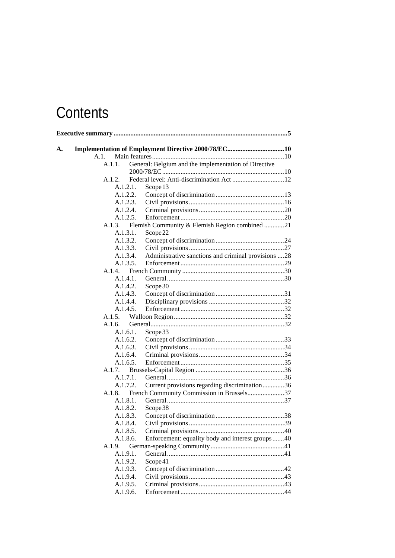# **Contents**

| A.1. |        |          |                                                      |  |
|------|--------|----------|------------------------------------------------------|--|
|      | A.1.1. |          | General: Belgium and the implementation of Directive |  |
|      |        |          |                                                      |  |
|      | A.1.2. |          |                                                      |  |
|      |        | A.1.2.1. | Scope 13                                             |  |
|      |        | A.1.2.2. |                                                      |  |
|      |        | A.1.2.3. |                                                      |  |
|      |        | A.1.2.4. |                                                      |  |
|      |        | A.1.2.5. |                                                      |  |
|      | A.1.3. |          | Flemish Community & Flemish Region combined 21       |  |
|      |        | A.1.3.1. | Scope <sub>22</sub>                                  |  |
|      |        | A.1.3.2. |                                                      |  |
|      |        | A.1.3.3. |                                                      |  |
|      |        | A.1.3.4. | Administrative sanctions and criminal provisions 28  |  |
|      |        | A.1.3.5. |                                                      |  |
|      | A.1.4. |          |                                                      |  |
|      |        | A.1.4.1. |                                                      |  |
|      |        | A.1.4.2. | Scope 30                                             |  |
|      |        | A.1.4.3. |                                                      |  |
|      |        | A.1.4.4. |                                                      |  |
|      |        | A.1.4.5. |                                                      |  |
|      | A.1.5. |          |                                                      |  |
|      | A.1.6. |          |                                                      |  |
|      |        | A.1.6.1. | Scope 33                                             |  |
|      |        | A.1.6.2. |                                                      |  |
|      |        | A.1.6.3. |                                                      |  |
|      |        | A.1.6.4. |                                                      |  |
|      |        | A.1.6.5. |                                                      |  |
|      | A.1.7. |          |                                                      |  |
|      |        | A.1.7.1. |                                                      |  |
|      |        | A.1.7.2. | Current provisions regarding discrimination36        |  |
|      | A.1.8. |          | French Community Commission in Brussels37            |  |
|      |        | A.1.8.1. |                                                      |  |
|      |        | A.1.8.2. | Scope 38                                             |  |
|      |        | A.1.8.3. |                                                      |  |
|      |        | A.1.8.4. |                                                      |  |
|      |        | A.1.8.5. |                                                      |  |
|      |        | A.1.8.6. | Enforcement: equality body and interest groups40     |  |
|      | A.1.9. |          |                                                      |  |
|      |        | A.1.9.1. |                                                      |  |
|      |        | A.1.9.2. | Scope41                                              |  |
|      |        | A.1.9.3. |                                                      |  |
|      |        | A.1.9.4. |                                                      |  |
|      |        | A.1.9.5. |                                                      |  |
|      |        | A.1.9.6. |                                                      |  |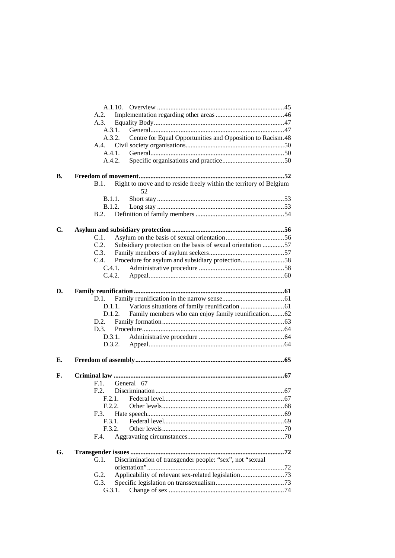|    | A.2.                                                                             |  |  |  |  |  |
|----|----------------------------------------------------------------------------------|--|--|--|--|--|
|    | A.3.                                                                             |  |  |  |  |  |
|    | A.3.1.                                                                           |  |  |  |  |  |
|    | Centre for Equal Opportunities and Opposition to Racism.48<br>A.3.2.             |  |  |  |  |  |
|    |                                                                                  |  |  |  |  |  |
|    | A.4.1.                                                                           |  |  |  |  |  |
|    | A.4.2.                                                                           |  |  |  |  |  |
| В. |                                                                                  |  |  |  |  |  |
|    | Right to move and to reside freely within the territory of Belgium<br>B.1.<br>52 |  |  |  |  |  |
|    | B.1.1.                                                                           |  |  |  |  |  |
|    | B.1.2.                                                                           |  |  |  |  |  |
|    |                                                                                  |  |  |  |  |  |
| C. |                                                                                  |  |  |  |  |  |
|    | $C.1$ .                                                                          |  |  |  |  |  |
|    | Subsidiary protection on the basis of sexual orientation 57<br>C.2.              |  |  |  |  |  |
|    | C.3.                                                                             |  |  |  |  |  |
|    | Procedure for asylum and subsidiary protection58<br>C.4.                         |  |  |  |  |  |
|    | C.4.1.                                                                           |  |  |  |  |  |
|    |                                                                                  |  |  |  |  |  |
| D. |                                                                                  |  |  |  |  |  |
|    | D.1.                                                                             |  |  |  |  |  |
|    | D.1.1.                                                                           |  |  |  |  |  |
|    | Family members who can enjoy family reunification62<br>D.1.2.                    |  |  |  |  |  |
|    | D.2.                                                                             |  |  |  |  |  |
|    |                                                                                  |  |  |  |  |  |
|    | D.3.1.                                                                           |  |  |  |  |  |
|    |                                                                                  |  |  |  |  |  |
| Е. |                                                                                  |  |  |  |  |  |
| F. |                                                                                  |  |  |  |  |  |
|    | General 67<br>F.1.                                                               |  |  |  |  |  |
|    | F.2.                                                                             |  |  |  |  |  |
|    |                                                                                  |  |  |  |  |  |
|    | F.2.2.                                                                           |  |  |  |  |  |
|    | F.3.                                                                             |  |  |  |  |  |
|    | F.3.1.                                                                           |  |  |  |  |  |
|    | F.3.2.                                                                           |  |  |  |  |  |
|    | F.4.                                                                             |  |  |  |  |  |
| G. |                                                                                  |  |  |  |  |  |
|    |                                                                                  |  |  |  |  |  |
|    | Discrimination of transgender people: "sex", not "sexual<br>G.1.                 |  |  |  |  |  |
|    |                                                                                  |  |  |  |  |  |
|    | G.2.                                                                             |  |  |  |  |  |
|    | G.3.                                                                             |  |  |  |  |  |
|    | G.3.1.                                                                           |  |  |  |  |  |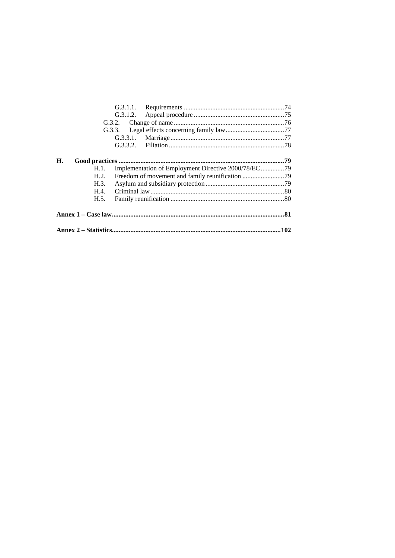| G.3.1.2.                                                    |      |
|-------------------------------------------------------------|------|
| G.3.2.                                                      |      |
|                                                             |      |
| G.3.3.1.                                                    |      |
|                                                             |      |
|                                                             |      |
| H.                                                          |      |
| Implementation of Employment Directive 2000/78/EC79<br>H.1. |      |
| H.2.                                                        |      |
| H.3.                                                        |      |
| H.4.                                                        |      |
| H.5.                                                        |      |
|                                                             |      |
|                                                             | .102 |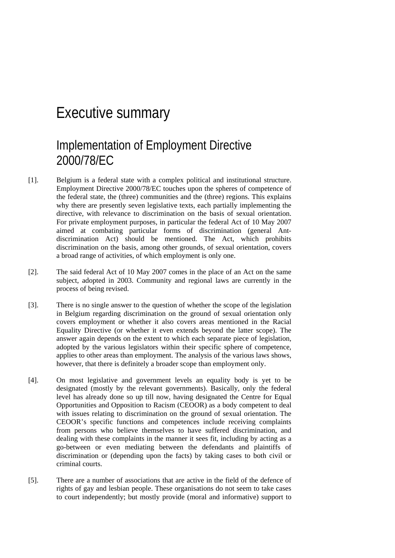# Executive summary

# Implementation of Employment Directive 2000/78/EC

- [1]. Belgium is a federal state with a complex political and institutional structure. Employment Directive 2000/78/EC touches upon the spheres of competence of the federal state, the (three) communities and the (three) regions. This explains why there are presently seven legislative texts, each partially implementing the directive, with relevance to discrimination on the basis of sexual orientation. For private employment purposes, in particular the federal Act of 10 May 2007 aimed at combating particular forms of discrimination (general Antdiscrimination Act) should be mentioned. The Act, which prohibits discrimination on the basis, among other grounds, of sexual orientation, covers a broad range of activities, of which employment is only one.
- [2]. The said federal Act of 10 May 2007 comes in the place of an Act on the same subject, adopted in 2003. Community and regional laws are currently in the process of being revised.
- [3]. There is no single answer to the question of whether the scope of the legislation in Belgium regarding discrimination on the ground of sexual orientation only covers employment or whether it also covers areas mentioned in the Racial Equality Directive (or whether it even extends beyond the latter scope). The answer again depends on the extent to which each separate piece of legislation, adopted by the various legislators within their specific sphere of competence, applies to other areas than employment. The analysis of the various laws shows, however, that there is definitely a broader scope than employment only.
- [4]. On most legislative and government levels an equality body is yet to be designated (mostly by the relevant governments). Basically, only the federal level has already done so up till now, having designated the Centre for Equal Opportunities and Opposition to Racism (CEOOR) as a body competent to deal with issues relating to discrimination on the ground of sexual orientation. The CEOOR's specific functions and competences include receiving complaints from persons who believe themselves to have suffered discrimination, and dealing with these complaints in the manner it sees fit, including by acting as a go-between or even mediating between the defendants and plaintiffs of discrimination or (depending upon the facts) by taking cases to both civil or criminal courts.
- [5]. There are a number of associations that are active in the field of the defence of rights of gay and lesbian people. These organisations do not seem to take cases to court independently; but mostly provide (moral and informative) support to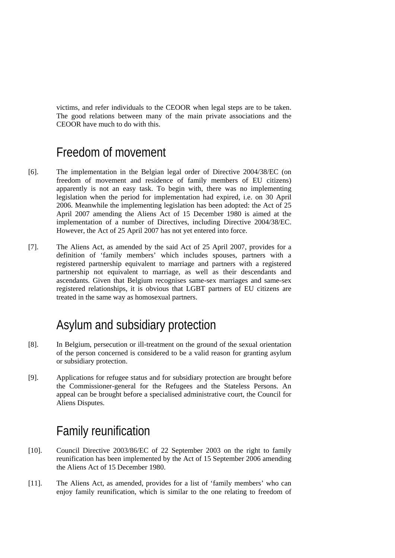victims, and refer individuals to the CEOOR when legal steps are to be taken. The good relations between many of the main private associations and the CEOOR have much to do with this.

# Freedom of movement

- [6]. The implementation in the Belgian legal order of Directive 2004/38/EC (on freedom of movement and residence of family members of EU citizens) apparently is not an easy task. To begin with, there was no implementing legislation when the period for implementation had expired, i.e. on 30 April 2006. Meanwhile the implementing legislation has been adopted: the Act of 25 April 2007 amending the Aliens Act of 15 December 1980 is aimed at the implementation of a number of Directives, including Directive 2004/38/EC. However, the Act of 25 April 2007 has not yet entered into force.
- [7]. The Aliens Act, as amended by the said Act of 25 April 2007, provides for a definition of 'family members' which includes spouses, partners with a registered partnership equivalent to marriage and partners with a registered partnership not equivalent to marriage, as well as their descendants and ascendants. Given that Belgium recognises same-sex marriages and same-sex registered relationships, it is obvious that LGBT partners of EU citizens are treated in the same way as homosexual partners.

# Asylum and subsidiary protection

- [8]. In Belgium, persecution or ill-treatment on the ground of the sexual orientation of the person concerned is considered to be a valid reason for granting asylum or subsidiary protection.
- [9]. Applications for refugee status and for subsidiary protection are brought before the Commissioner-general for the Refugees and the Stateless Persons. An appeal can be brought before a specialised administrative court, the Council for Aliens Disputes.

# Family reunification

- [10]. Council Directive 2003/86/EC of 22 September 2003 on the right to family reunification has been implemented by the Act of 15 September 2006 amending the Aliens Act of 15 December 1980.
- [11]. The Aliens Act, as amended, provides for a list of 'family members' who can enjoy family reunification, which is similar to the one relating to freedom of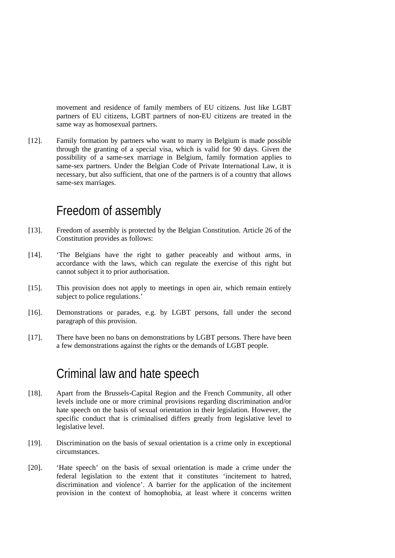movement and residence of family members of EU citizens. Just like LGBT partners of EU citizens, LGBT partners of non-EU citizens are treated in the same way as homosexual partners.

[12]. Family formation by partners who want to marry in Belgium is made possible through the granting of a special visa, which is valid for 90 days. Given the possibility of a same-sex marriage in Belgium, family formation applies to same-sex partners. Under the Belgian Code of Private International Law, it is necessary, but also sufficient, that one of the partners is of a country that allows same-sex marriages.

# Freedom of assembly

- [13]. Freedom of assembly is protected by the Belgian Constitution. Article 26 of the Constitution provides as follows:
- [14]. 'The Belgians have the right to gather peaceably and without arms, in accordance with the laws, which can regulate the exercise of this right but cannot subject it to prior authorisation.
- [15]. This provision does not apply to meetings in open air, which remain entirely subject to police regulations.'
- [16]. Demonstrations or parades, e.g. by LGBT persons, fall under the second paragraph of this provision.
- [17]. There have been no bans on demonstrations by LGBT persons. There have been a few demonstrations against the rights or the demands of LGBT people.

# Criminal law and hate speech

- [18]. Apart from the Brussels-Capital Region and the French Community, all other levels include one or more criminal provisions regarding discrimination and/or hate speech on the basis of sexual orientation in their legislation. However, the specific conduct that is criminalised differs greatly from legislative level to legislative level.
- [19]. Discrimination on the basis of sexual orientation is a crime only in exceptional circumstances.
- [20]. 'Hate speech' on the basis of sexual orientation is made a crime under the federal legislation to the extent that it constitutes 'incitement to hatred, discrimination and violence'. A barrier for the application of the incitement provision in the context of homophobia, at least where it concerns written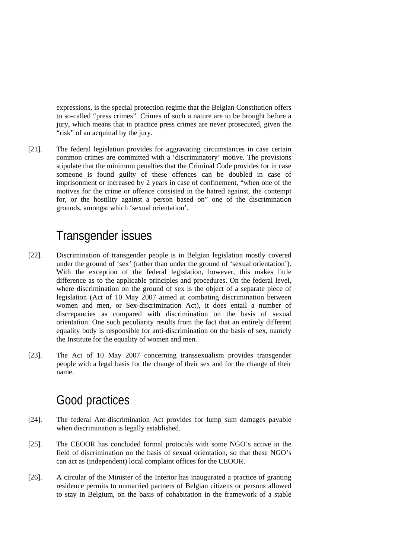expressions, is the special protection regime that the Belgian Constitution offers to so-called "press crimes". Crimes of such a nature are to be brought before a jury, which means that in practice press crimes are never prosecuted, given the "risk" of an acquittal by the jury.

[21]. The federal legislation provides for aggravating circumstances in case certain common crimes are committed with a 'discriminatory' motive. The provisions stipulate that the minimum penalties that the Criminal Code provides for in case someone is found guilty of these offences can be doubled in case of imprisonment or increased by 2 years in case of confinement, "when one of the motives for the crime or offence consisted in the hatred against, the contempt for, or the hostility against a person based on" one of the discrimination grounds, amongst which 'sexual orientation'.

# Transgender issues

- [22]. Discrimination of transgender people is in Belgian legislation mostly covered under the ground of 'sex' (rather than under the ground of 'sexual orientation'). With the exception of the federal legislation, however, this makes little difference as to the applicable principles and procedures. On the federal level, where discrimination on the ground of sex is the object of a separate piece of legislation (Act of 10 May 2007 aimed at combating discrimination between women and men, or Sex-discrimination Act), it does entail a number of discrepancies as compared with discrimination on the basis of sexual orientation. One such peculiarity results from the fact that an entirely different equality body is responsible for anti-discrimination on the basis of sex, namely the Institute for the equality of women and men.
- [23]. The Act of 10 May 2007 concerning transsexualism provides transgender people with a legal basis for the change of their sex and for the change of their name.

# Good practices

- [24]. The federal Ant-discrimination Act provides for lump sum damages payable when discrimination is legally established.
- [25]. The CEOOR has concluded formal protocols with some NGO's active in the field of discrimination on the basis of sexual orientation, so that these NGO's can act as (independent) local complaint offices for the CEOOR.
- [26]. A circular of the Minister of the Interior has inaugurated a practice of granting residence permits to unmarried partners of Belgian citizens or persons allowed to stay in Belgium, on the basis of cohabitation in the framework of a stable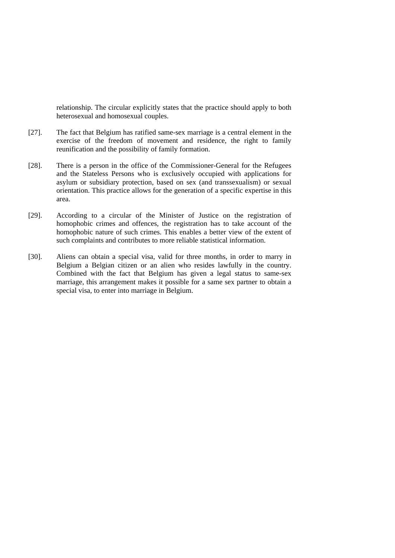relationship. The circular explicitly states that the practice should apply to both heterosexual and homosexual couples.

- [27]. The fact that Belgium has ratified same-sex marriage is a central element in the exercise of the freedom of movement and residence, the right to family reunification and the possibility of family formation.
- [28]. There is a person in the office of the Commissioner-General for the Refugees and the Stateless Persons who is exclusively occupied with applications for asylum or subsidiary protection, based on sex (and transsexualism) or sexual orientation. This practice allows for the generation of a specific expertise in this area.
- [29]. According to a circular of the Minister of Justice on the registration of homophobic crimes and offences, the registration has to take account of the homophobic nature of such crimes. This enables a better view of the extent of such complaints and contributes to more reliable statistical information.
- [30]. Aliens can obtain a special visa, valid for three months, in order to marry in Belgium a Belgian citizen or an alien who resides lawfully in the country. Combined with the fact that Belgium has given a legal status to same-sex marriage, this arrangement makes it possible for a same sex partner to obtain a special visa, to enter into marriage in Belgium.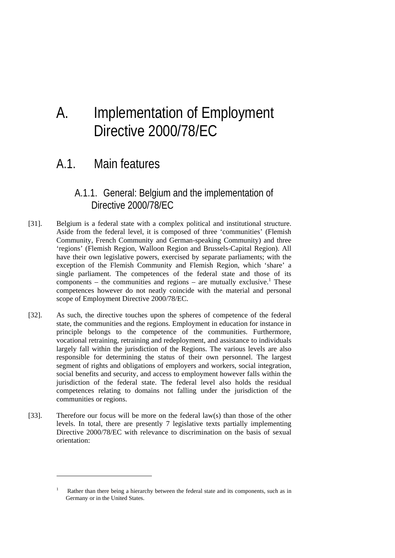# A. Implementation of Employment Directive 2000/78/EC

# A.1. Main features

# A.1.1. General: Belgium and the implementation of Directive 2000/78/EC

- [31]. Belgium is a federal state with a complex political and institutional structure. Aside from the federal level, it is composed of three 'communities' (Flemish Community, French Community and German-speaking Community) and three 'regions' (Flemish Region, Walloon Region and Brussels-Capital Region). All have their own legislative powers, exercised by separate parliaments; with the exception of the Flemish Community and Flemish Region, which 'share' a single parliament. The competences of the federal state and those of its components  $-$  the communities and regions  $-$  are mutually exclusive.<sup>1</sup> These competences however do not neatly coincide with the material and personal scope of Employment Directive 2000/78/EC.
- [32]. As such, the directive touches upon the spheres of competence of the federal state, the communities and the regions. Employment in education for instance in principle belongs to the competence of the communities. Furthermore, vocational retraining, retraining and redeployment, and assistance to individuals largely fall within the jurisdiction of the Regions. The various levels are also responsible for determining the status of their own personnel. The largest segment of rights and obligations of employers and workers, social integration, social benefits and security, and access to employment however falls within the jurisdiction of the federal state. The federal level also holds the residual competences relating to domains not falling under the jurisdiction of the communities or regions.
- [33]. Therefore our focus will be more on the federal law(s) than those of the other levels. In total, there are presently 7 legislative texts partially implementing Directive 2000/78/EC with relevance to discrimination on the basis of sexual orientation:

<sup>1</sup> Rather than there being a hierarchy between the federal state and its components, such as in Germany or in the United States.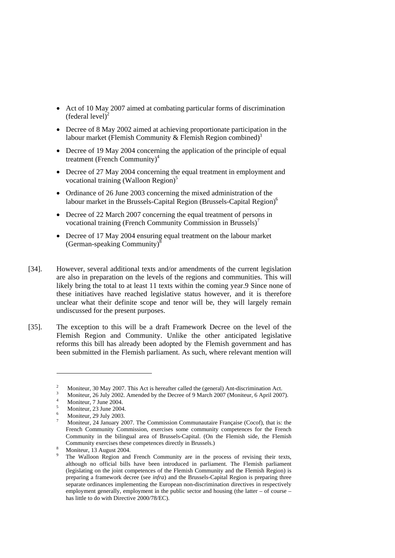- Act of 10 May 2007 aimed at combating particular forms of discrimination (federal level) $^{2}$
- Decree of 8 May 2002 aimed at achieving proportionate participation in the labour market (Flemish Community & Flemish Region combined)<sup>3</sup>
- Decree of 19 May 2004 concerning the application of the principle of equal treatment (French Community) $4$
- Decree of 27 May 2004 concerning the equal treatment in employment and vocational training (Walloon Region) $<sup>5</sup>$ </sup>
- Ordinance of 26 June 2003 concerning the mixed administration of the labour market in the Brussels-Capital Region (Brussels-Capital Region)<sup>6</sup>
- Decree of 22 March 2007 concerning the equal treatment of persons in vocational training (French Community Commission in Brussels)<sup>7</sup>
- Decree of 17 May 2004 ensuring equal treatment on the labour market (German-speaking Community) $8$
- [34]. However, several additional texts and/or amendments of the current legislation are also in preparation on the levels of the regions and communities. This will likely bring the total to at least 11 texts within the coming year.9 Since none of these initiatives have reached legislative status however, and it is therefore unclear what their definite scope and tenor will be, they will largely remain undiscussed for the present purposes.
- [35]. The exception to this will be a draft Framework Decree on the level of the Flemish Region and Community. Unlike the other anticipated legislative reforms this bill has already been adopted by the Flemish government and has been submitted in the Flemish parliament. As such, where relevant mention will

<sup>2</sup> Moniteur, 30 May 2007. This Act is hereafter called the (general) Ant-discrimination Act.

Moniteur, 26 July 2002. Amended by the Decree of 9 March 2007 (Moniteur, 6 April 2007). 4

Moniteur, 7 June 2004.

<sup>5</sup> Moniteur, 23 June 2004.

<sup>6</sup> Moniteur, 29 July 2003.

<sup>7</sup> Moniteur, 24 January 2007. The Commission Communautaire Française (Cocof), that is: the French Community Commission, exercises some community competences for the French Community in the bilingual area of Brussels-Capital. (On the Flemish side, the Flemish Community exercises these competences directly in Brussels.)

Moniteur, 13 August 2004.

<sup>9</sup> The Walloon Region and French Community are in the process of revising their texts, although no official bills have been introduced in parliament. The Flemish parliament (legislating on the joint competences of the Flemish Community and the Flemish Region) is preparing a framework decree (see *infra*) and the Brussels-Capital Region is preparing three separate ordinances implementing the European non-discrimination directives in respectively employment generally, employment in the public sector and housing (the latter – of course – has little to do with Directive 2000/78/EC).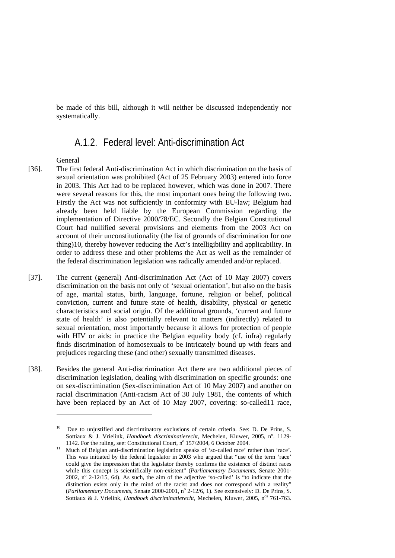be made of this bill, although it will neither be discussed independently nor systematically.

# A.1.2. Federal level: Anti-discrimination Act

General

- [36]. The first federal Anti-discrimination Act in which discrimination on the basis of sexual orientation was prohibited (Act of 25 February 2003) entered into force in 2003. This Act had to be replaced however, which was done in 2007. There were several reasons for this, the most important ones being the following two. Firstly the Act was not sufficiently in conformity with EU-law; Belgium had already been held liable by the European Commission regarding the implementation of Directive 2000/78/EC. Secondly the Belgian Constitutional Court had nullified several provisions and elements from the 2003 Act on account of their unconstitutionality (the list of grounds of discrimination for one thing)10, thereby however reducing the Act's intelligibility and applicability. In order to address these and other problems the Act as well as the remainder of the federal discrimination legislation was radically amended and/or replaced.
- [37]. The current (general) Anti-discrimination Act (Act of 10 May 2007) covers discrimination on the basis not only of 'sexual orientation', but also on the basis of age, marital status, birth, language, fortune, religion or belief, political conviction, current and future state of health, disability, physical or genetic characteristics and social origin. Of the additional grounds, 'current and future state of health' is also potentially relevant to matters (indirectly) related to sexual orientation, most importantly because it allows for protection of people with HIV or aids: in practice the Belgian equality body (cf. infra) regularly finds discrimination of homosexuals to be intricately bound up with fears and prejudices regarding these (and other) sexually transmitted diseases.
- [38]. Besides the general Anti-discrimination Act there are two additional pieces of discrimination legislation, dealing with discrimination on specific grounds: one on sex-discrimination (Sex-discrimination Act of 10 May 2007) and another on racial discrimination (Anti-racism Act of 30 July 1981, the contents of which have been replaced by an Act of 10 May 2007, covering: so-called11 race,

<sup>10</sup> Due to unjustified and discriminatory exclusions of certain criteria. See: D. De Prins, S. Sottiaux & J. Vrielink, *Handboek discriminatierecht*, Mechelen, Kluwer, 2005, nº. 1129-1142. For the ruling, see: Constitutional Court,  $n^{\circ}$  157/2004, 6 October 2004.

<sup>&</sup>lt;sup>11</sup> Much of Belgian anti-discrimination legislation speaks of 'so-called race' rather than 'race'. This was initiated by the federal legislator in 2003 who argued that "use of the term 'race' could give the impression that the legislator thereby confirms the existence of distinct races while this concept is scientifically non-existent" (*Parliamentary Documents*, Senate 2001- 2002,  $n^{\circ}$  2-12/15, 64). As such, the aim of the adjective 'so-called' is "to indicate that the distinction exists only in the mind of the racist and does not correspond with a reality" (*Parliamentary Documents*, Senate 2000-2001, nº 2-12/6, 1). See extensively: D. De Prins, S. Sottiaux & J. Vrielink, *Handboek discriminatierecht*, Mechelen, Kluwer, 2005, n<sup>os</sup> 761-763.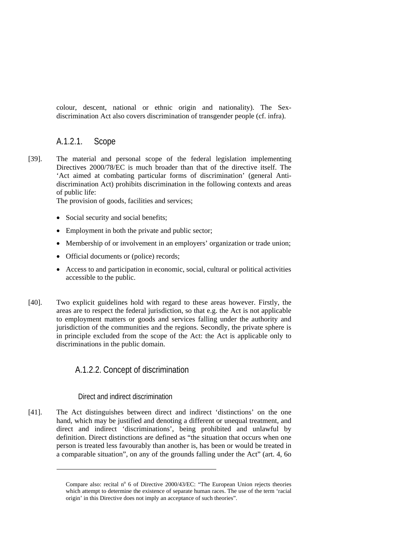colour, descent, national or ethnic origin and nationality). The Sexdiscrimination Act also covers discrimination of transgender people (cf. infra).

# A.1.2.1. Scope

[39]. The material and personal scope of the federal legislation implementing Directives 2000/78/EC is much broader than that of the directive itself. The 'Act aimed at combating particular forms of discrimination' (general Antidiscrimination Act) prohibits discrimination in the following contexts and areas of public life:

The provision of goods, facilities and services;

- Social security and social benefits;
- Employment in both the private and public sector;
- Membership of or involvement in an employers' organization or trade union;
- Official documents or (police) records;
- Access to and participation in economic, social, cultural or political activities accessible to the public.
- [40]. Two explicit guidelines hold with regard to these areas however. Firstly, the areas are to respect the federal jurisdiction, so that e.g. the Act is not applicable to employment matters or goods and services falling under the authority and jurisdiction of the communities and the regions. Secondly, the private sphere is in principle excluded from the scope of the Act: the Act is applicable only to discriminations in the public domain.

# A.1.2.2. Concept of discrimination

#### Direct and indirect discrimination

-

[41]. The Act distinguishes between direct and indirect 'distinctions' on the one hand, which may be justified and denoting a different or unequal treatment, and direct and indirect 'discriminations', being prohibited and unlawful by definition. Direct distinctions are defined as "the situation that occurs when one person is treated less favourably than another is, has been or would be treated in a comparable situation", on any of the grounds falling under the Act" (art. 4, 6o

Compare also: recital nº 6 of Directive 2000/43/EC: "The European Union rejects theories which attempt to determine the existence of separate human races. The use of the term 'racial origin' in this Directive does not imply an acceptance of such theories".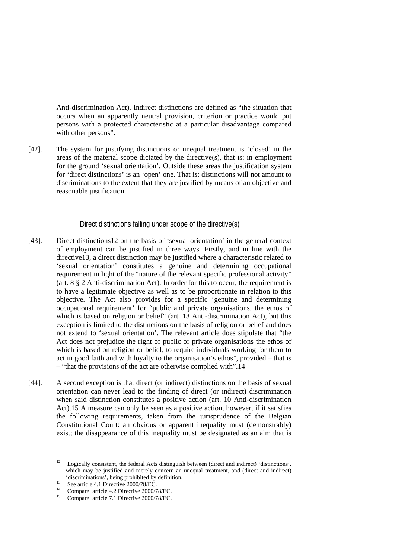Anti-discrimination Act). Indirect distinctions are defined as "the situation that occurs when an apparently neutral provision, criterion or practice would put persons with a protected characteristic at a particular disadvantage compared with other persons".

[42]. The system for justifying distinctions or unequal treatment is 'closed' in the areas of the material scope dictated by the directive(s), that is: in employment for the ground 'sexual orientation'. Outside these areas the justification system for 'direct distinctions' is an 'open' one. That is: distinctions will not amount to discriminations to the extent that they are justified by means of an objective and reasonable justification.

#### Direct distinctions falling under scope of the directive(s)

- [43]. Direct distinctions12 on the basis of 'sexual orientation' in the general context of employment can be justified in three ways. Firstly, and in line with the directive13, a direct distinction may be justified where a characteristic related to 'sexual orientation' constitutes a genuine and determining occupational requirement in light of the "nature of the relevant specific professional activity" (art. 8 § 2 Anti-discrimination Act). In order for this to occur, the requirement is to have a legitimate objective as well as to be proportionate in relation to this objective. The Act also provides for a specific 'genuine and determining occupational requirement' for "public and private organisations, the ethos of which is based on religion or belief" (art. 13 Anti-discrimination Act), but this exception is limited to the distinctions on the basis of religion or belief and does not extend to 'sexual orientation'. The relevant article does stipulate that "the Act does not prejudice the right of public or private organisations the ethos of which is based on religion or belief, to require individuals working for them to act in good faith and with loyalty to the organisation's ethos", provided – that is – "that the provisions of the act are otherwise complied with".14
- [44]. A second exception is that direct (or indirect) distinctions on the basis of sexual orientation can never lead to the finding of direct (or indirect) discrimination when said distinction constitutes a positive action (art. 10 Anti-discrimination Act).15 A measure can only be seen as a positive action, however, if it satisfies the following requirements, taken from the jurisprudence of the Belgian Constitutional Court: an obvious or apparent inequality must (demonstrably) exist; the disappearance of this inequality must be designated as an aim that is

<sup>&</sup>lt;sup>12</sup> Logically consistent, the federal Acts distinguish between (direct and indirect) 'distinctions', which may be justified and merely concern an unequal treatment, and (direct and indirect) 'discriminations', being prohibited by definition.<br>
See article 4.1 Directive 2000/78/EC.<br>
<sup>14</sup> Separature 1000/78/EC

<sup>&</sup>lt;sup>14</sup> Compare: article 4.2 Directive  $2000/78/EC$ 

<sup>15</sup> Compare: article 7.1 Directive 2000/78/EC.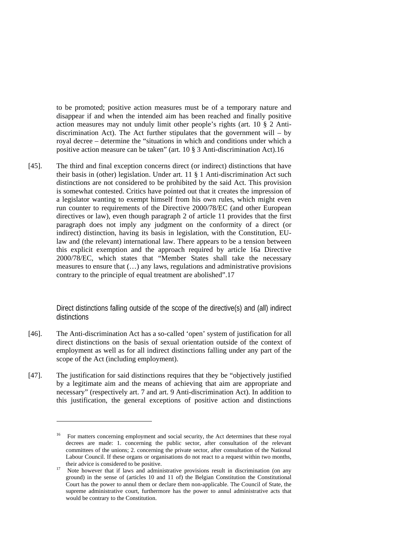to be promoted; positive action measures must be of a temporary nature and disappear if and when the intended aim has been reached and finally positive action measures may not unduly limit other people's rights (art. 10 § 2 Antidiscrimination Act). The Act further stipulates that the government will  $-$  by royal decree – determine the "situations in which and conditions under which a positive action measure can be taken" (art. 10 § 3 Anti-discrimination Act).16

[45]. The third and final exception concerns direct (or indirect) distinctions that have their basis in (other) legislation. Under art. 11 § 1 Anti-discrimination Act such distinctions are not considered to be prohibited by the said Act. This provision is somewhat contested. Critics have pointed out that it creates the impression of a legislator wanting to exempt himself from his own rules, which might even run counter to requirements of the Directive 2000/78/EC (and other European directives or law), even though paragraph 2 of article 11 provides that the first paragraph does not imply any judgment on the conformity of a direct (or indirect) distinction, having its basis in legislation, with the Constitution, EUlaw and (the relevant) international law. There appears to be a tension between this explicit exemption and the approach required by article 16a Directive 2000/78/EC, which states that "Member States shall take the necessary measures to ensure that (…) any laws, regulations and administrative provisions contrary to the principle of equal treatment are abolished".17

> Direct distinctions falling outside of the scope of the directive(s) and (all) indirect distinctions

- [46]. The Anti-discrimination Act has a so-called 'open' system of justification for all direct distinctions on the basis of sexual orientation outside of the context of employment as well as for all indirect distinctions falling under any part of the scope of the Act (including employment).
- [47]. The justification for said distinctions requires that they be "objectively justified by a legitimate aim and the means of achieving that aim are appropriate and necessary" (respectively art. 7 and art. 9 Anti-discrimination Act). In addition to this justification, the general exceptions of positive action and distinctions

<sup>16</sup> For matters concerning employment and social security, the Act determines that these royal decrees are made: 1. concerning the public sector, after consultation of the relevant committees of the unions; 2. concerning the private sector, after consultation of the National Labour Council. If these organs or organisations do not react to a request within two months, their advice is considered to be positive.<br><sup>17</sup> Note however that if laws and administrative provisions result in discrimination (on any

ground) in the sense of (articles 10 and 11 of) the Belgian Constitution the Constitutional Court has the power to annul them or declare them non-applicable. The Council of State, the supreme administrative court, furthermore has the power to annul administrative acts that would be contrary to the Constitution.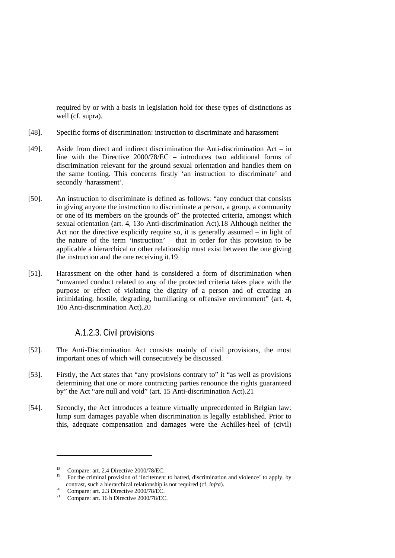required by or with a basis in legislation hold for these types of distinctions as well (cf. supra).

- [48]. Specific forms of discrimination: instruction to discriminate and harassment
- [49]. Aside from direct and indirect discrimination the Anti-discrimination Act in line with the Directive 2000/78/EC – introduces two additional forms of discrimination relevant for the ground sexual orientation and handles them on the same footing. This concerns firstly 'an instruction to discriminate' and secondly 'harassment'.
- [50]. An instruction to discriminate is defined as follows: "any conduct that consists in giving anyone the instruction to discriminate a person, a group, a community or one of its members on the grounds of" the protected criteria, amongst which sexual orientation (art. 4, 13o Anti-discrimination Act).18 Although neither the Act nor the directive explicitly require so, it is generally assumed – in light of the nature of the term 'instruction' – that in order for this provision to be applicable a hierarchical or other relationship must exist between the one giving the instruction and the one receiving it.19
- [51]. Harassment on the other hand is considered a form of discrimination when "unwanted conduct related to any of the protected criteria takes place with the purpose or effect of violating the dignity of a person and of creating an intimidating, hostile, degrading, humiliating or offensive environment" (art. 4, 10o Anti-discrimination Act).20

# A.1.2.3. Civil provisions

- [52]. The Anti-Discrimination Act consists mainly of civil provisions, the most important ones of which will consecutively be discussed.
- [53]. Firstly, the Act states that "any provisions contrary to" it "as well as provisions determining that one or more contracting parties renounce the rights guaranteed by" the Act "are null and void" (art. 15 Anti-discrimination Act).21
- [54]. Secondly, the Act introduces a feature virtually unprecedented in Belgian law: lump sum damages payable when discrimination is legally established. Prior to this, adequate compensation and damages were the Achilles-heel of (civil)

<sup>&</sup>lt;sup>18</sup> Compare: art. 2.4 Directive 2000/78/EC.<br><sup>19</sup> For the criminal provision of incitament

<sup>19</sup> For the criminal provision of 'incitement to hatred, discrimination and violence' to apply, by contrast, such a hierarchical relationship is not required (cf. *infra*).<br><sup>20</sup> Compare: art. 2.3 Directive 2000/78/EC.<br><sup>21</sup> Compares art. 16.b Directive 2000/78/EC.

Compare: art. 16 b Directive 2000/78/EC.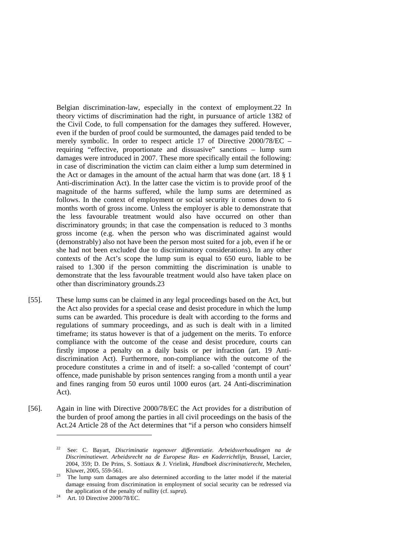Belgian discrimination-law, especially in the context of employment.22 In theory victims of discrimination had the right, in pursuance of article 1382 of the Civil Code, to full compensation for the damages they suffered. However, even if the burden of proof could be surmounted, the damages paid tended to be merely symbolic. In order to respect article 17 of Directive 2000/78/EC – requiring "effective, proportionate and dissuasive" sanctions – lump sum damages were introduced in 2007. These more specifically entail the following: in case of discrimination the victim can claim either a lump sum determined in the Act or damages in the amount of the actual harm that was done (art. 18 § 1 Anti-discrimination Act). In the latter case the victim is to provide proof of the magnitude of the harms suffered, while the lump sums are determined as follows. In the context of employment or social security it comes down to 6 months worth of gross income. Unless the employer is able to demonstrate that the less favourable treatment would also have occurred on other than discriminatory grounds; in that case the compensation is reduced to 3 months gross income (e.g. when the person who was discriminated against would (demonstrably) also not have been the person most suited for a job, even if he or she had not been excluded due to discriminatory considerations). In any other contexts of the Act's scope the lump sum is equal to 650 euro, liable to be raised to 1.300 if the person committing the discrimination is unable to demonstrate that the less favourable treatment would also have taken place on other than discriminatory grounds.23

- [55]. These lump sums can be claimed in any legal proceedings based on the Act, but the Act also provides for a special cease and desist procedure in which the lump sums can be awarded. This procedure is dealt with according to the forms and regulations of summary proceedings, and as such is dealt with in a limited timeframe; its status however is that of a judgement on the merits. To enforce compliance with the outcome of the cease and desist procedure, courts can firstly impose a penalty on a daily basis or per infraction (art. 19 Antidiscrimination Act). Furthermore, non-compliance with the outcome of the procedure constitutes a crime in and of itself: a so-called 'contempt of court' offence, made punishable by prison sentences ranging from a month until a year and fines ranging from 50 euros until 1000 euros (art. 24 Anti-discrimination Act).
- [56]. Again in line with Directive 2000/78/EC the Act provides for a distribution of the burden of proof among the parties in all civil proceedings on the basis of the Act.24 Article 28 of the Act determines that "if a person who considers himself

<sup>22</sup> See: C. Bayart, *Discriminatie tegenover differentiatie. Arbeidsverhoudingen na de Discriminatiewet. Arbeidsrecht na de Europese Ras- en Kaderrichtlijn*, Brussel, Larcier, 2004, 359; D. De Prins, S. Sottiaux & J. Vrielink, *Handboek discriminatierecht*, Mechelen,

Kluwer, 2005, 559-561. 23 The lump sum damages are also determined according to the latter model if the material damage ensuing from discrimination in employment of social security can be redressed via the application of the penalty of nullity (cf. *supra*).<br><sup>24</sup> Art. 10 Directive 2000/78/EC.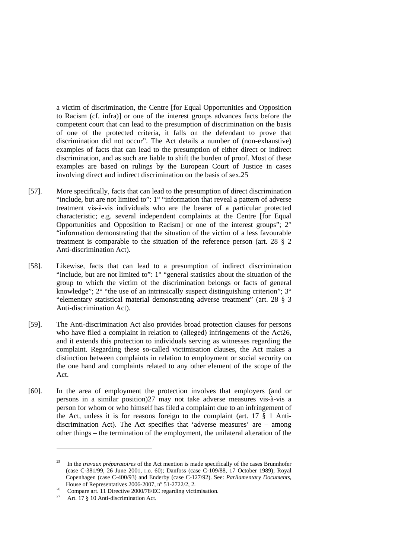a victim of discrimination, the Centre [for Equal Opportunities and Opposition to Racism (cf. infra)] or one of the interest groups advances facts before the competent court that can lead to the presumption of discrimination on the basis of one of the protected criteria, it falls on the defendant to prove that discrimination did not occur". The Act details a number of (non-exhaustive) examples of facts that can lead to the presumption of either direct or indirect discrimination, and as such are liable to shift the burden of proof. Most of these examples are based on rulings by the European Court of Justice in cases involving direct and indirect discrimination on the basis of sex.25

- [57]. More specifically, facts that can lead to the presumption of direct discrimination "include, but are not limited to": 1° "information that reveal a pattern of adverse treatment vis-à-vis individuals who are the bearer of a particular protected characteristic; e.g. several independent complaints at the Centre [for Equal Opportunities and Opposition to Racism] or one of the interest groups"; 2° "information demonstrating that the situation of the victim of a less favourable treatment is comparable to the situation of the reference person (art. 28 § 2 Anti-discrimination Act).
- [58]. Likewise, facts that can lead to a presumption of indirect discrimination "include, but are not limited to":  $1^\circ$  "general statistics about the situation of the group to which the victim of the discrimination belongs or facts of general knowledge";  $2^{\circ}$  "the use of an intrinsically suspect distinguishing criterion";  $3^{\circ}$ "elementary statistical material demonstrating adverse treatment" (art. 28 § 3 Anti-discrimination Act).
- [59]. The Anti-discrimination Act also provides broad protection clauses for persons who have filed a complaint in relation to (alleged) infringements of the Act26, and it extends this protection to individuals serving as witnesses regarding the complaint. Regarding these so-called victimisation clauses, the Act makes a distinction between complaints in relation to employment or social security on the one hand and complaints related to any other element of the scope of the Act.
- [60]. In the area of employment the protection involves that employers (and or persons in a similar position)27 may not take adverse measures vis-à-vis a person for whom or who himself has filed a complaint due to an infringement of the Act, unless it is for reasons foreign to the complaint (art. 17 § 1 Antidiscrimination Act). The Act specifies that 'adverse measures' are – among other things – the termination of the employment, the unilateral alteration of the

<sup>25</sup> In the *travaux préparatoires* of the Act mention is made specifically of the cases Brunnhofer (case C-381/99, 26 June 2001, r.o. 60); Danfoss (case C-109/88, 17 October 1989); Royal Copenhagen (case C-400/93) and Enderby (case C-127/92). See: *Parliamentary Documents*, House of Representatives 2006-2007,  $n^{\circ}$  51-2722/2, 2.

<sup>&</sup>lt;sup>26</sup> Compare art. 11 Directive 2000/78/EC regarding victimisation.<br><sup>27</sup> Art. 17 § 10 Anti-discrimination Act.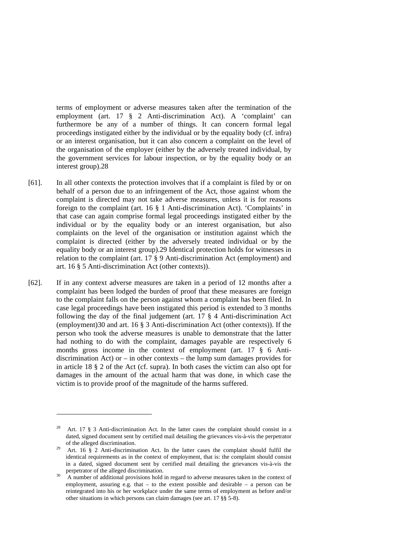terms of employment or adverse measures taken after the termination of the employment (art. 17 § 2 Anti-discrimination Act). A 'complaint' can furthermore be any of a number of things. It can concern formal legal proceedings instigated either by the individual or by the equality body (cf. infra) or an interest organisation, but it can also concern a complaint on the level of the organisation of the employer (either by the adversely treated individual, by the government services for labour inspection, or by the equality body or an interest group).28

- [61]. In all other contexts the protection involves that if a complaint is filed by or on behalf of a person due to an infringement of the Act, those against whom the complaint is directed may not take adverse measures, unless it is for reasons foreign to the complaint (art. 16 § 1 Anti-discrimination Act). 'Complaints' in that case can again comprise formal legal proceedings instigated either by the individual or by the equality body or an interest organisation, but also complaints on the level of the organisation or institution against which the complaint is directed (either by the adversely treated individual or by the equality body or an interest group).29 Identical protection holds for witnesses in relation to the complaint (art. 17 § 9 Anti-discrimination Act (employment) and art. 16 § 5 Anti-discrimination Act (other contexts)).
- [62]. If in any context adverse measures are taken in a period of 12 months after a complaint has been lodged the burden of proof that these measures are foreign to the complaint falls on the person against whom a complaint has been filed. In case legal proceedings have been instigated this period is extended to 3 months following the day of the final judgement (art. 17 § 4 Anti-discrimination Act (employment)30 and art. 16 § 3 Anti-discrimination Act (other contexts)). If the person who took the adverse measures is unable to demonstrate that the latter had nothing to do with the complaint, damages payable are respectively 6 months gross income in the context of employment (art. 17 § 6 Antidiscrimination Act) or  $-$  in other contexts  $-$  the lump sum damages provides for in article 18 § 2 of the Act (cf. supra). In both cases the victim can also opt for damages in the amount of the actual harm that was done, in which case the victim is to provide proof of the magnitude of the harms suffered.

Art. 17 § 3 Anti-discrimination Act. In the latter cases the complaint should consist in a dated, signed document sent by certified mail detailing the grievances vis-à-vis the perpetrator of the alleged discrimination.

<sup>&</sup>lt;sup>29</sup> Art. 16  $\S$  2 Anti-discrimination Act. In the latter cases the complaint should fulfil the identical requirements as in the context of employment, that is: the complaint should consist in a dated, signed document sent by certified mail detailing the grievances vis-à-vis the perpetrator of the alleged discrimination.

A number of additional provisions hold in regard to adverse measures taken in the context of employment, assuring e.g. that  $-$  to the extent possible and desirable  $-$  a person can be reintegrated into his or her workplace under the same terms of employment as before and/or other situations in which persons can claim damages (see art. 17 §§ 5-8).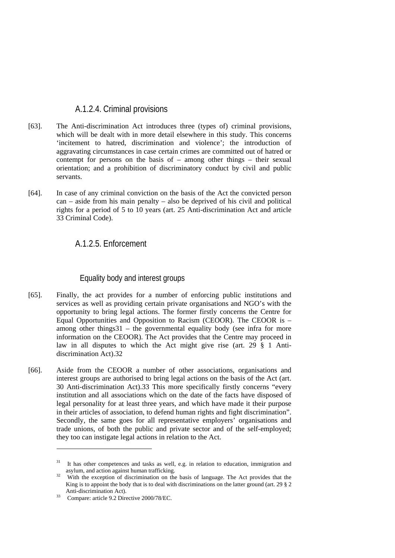# A.1.2.4. Criminal provisions

- [63]. The Anti-discrimination Act introduces three (types of) criminal provisions, which will be dealt with in more detail elsewhere in this study. This concerns 'incitement to hatred, discrimination and violence'; the introduction of aggravating circumstances in case certain crimes are committed out of hatred or contempt for persons on the basis of – among other things – their sexual orientation; and a prohibition of discriminatory conduct by civil and public servants.
- [64]. In case of any criminal conviction on the basis of the Act the convicted person can – aside from his main penalty – also be deprived of his civil and political rights for a period of 5 to 10 years (art. 25 Anti-discrimination Act and article 33 Criminal Code).

# A.1.2.5. Enforcement

### Equality body and interest groups

- [65]. Finally, the act provides for a number of enforcing public institutions and services as well as providing certain private organisations and NGO's with the opportunity to bring legal actions. The former firstly concerns the Centre for Equal Opportunities and Opposition to Racism (CEOOR). The CEOOR is – among other things31 – the governmental equality body (see infra for more information on the CEOOR). The Act provides that the Centre may proceed in law in all disputes to which the Act might give rise (art. 29 § 1 Antidiscrimination Act).32
- [66]. Aside from the CEOOR a number of other associations, organisations and interest groups are authorised to bring legal actions on the basis of the Act (art. 30 Anti-discrimination Act).33 This more specifically firstly concerns "every institution and all associations which on the date of the facts have disposed of legal personality for at least three years, and which have made it their purpose in their articles of association, to defend human rights and fight discrimination". Secondly, the same goes for all representative employers' organisations and trade unions, of both the public and private sector and of the self-employed; they too can instigate legal actions in relation to the Act.

<sup>&</sup>lt;sup>31</sup> It has other competences and tasks as well, e.g. in relation to education, immigration and asylum, and action against human trafficking.<br><sup>32</sup> With the exception of discrimination on the basis of language. The Act provides that the

King is to appoint the body that is to deal with discriminations on the latter ground (art. 29 § 2 Anti-discrimination Act).

 $\frac{33}{2}$  Compare: article 9.2 Directive 2000/78/EC.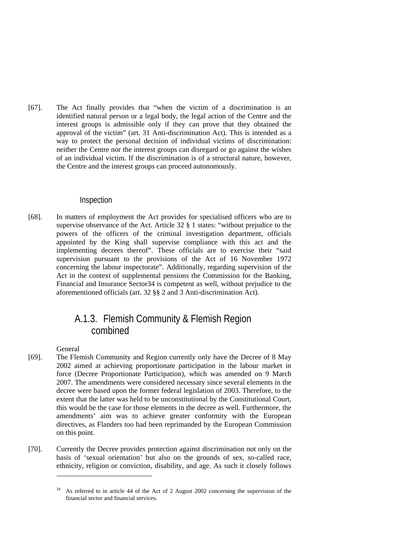[67]. The Act finally provides that "when the victim of a discrimination is an identified natural person or a legal body, the legal action of the Centre and the interest groups is admissible only if they can prove that they obtained the approval of the victim" (art. 31 Anti-discrimination Act). This is intended as a way to protect the personal decision of individual victims of discrimination: neither the Centre nor the interest groups can disregard or go against the wishes of an individual victim. If the discrimination is of a structural nature, however, the Centre and the interest groups can proceed autonomously.

### Inspection

[68]. In matters of employment the Act provides for specialised officers who are to supervise observance of the Act. Article 32 § 1 states: "without prejudice to the powers of the officers of the criminal investigation department, officials appointed by the King shall supervise compliance with this act and the implementing decrees thereof". These officials are to exercise their "said supervision pursuant to the provisions of the Act of 16 November 1972 concerning the labour inspectorate". Additionally, regarding supervision of the Act in the context of supplemental pensions the Commission for the Banking, Financial and Insurance Sector34 is competent as well, without prejudice to the aforementioned officials (art. 32 §§ 2 and 3 Anti-discrimination Act).

# A.1.3. Flemish Community & Flemish Region combined

General

- [69]. The Flemish Community and Region currently only have the Decree of 8 May 2002 aimed at achieving proportionate participation in the labour market in force (Decree Proportionate Participation), which was amended on 9 March 2007. The amendments were considered necessary since several elements in the decree were based upon the former federal legislation of 2003. Therefore, to the extent that the latter was held to be unconstitutional by the Constitutional Court, this would be the case for those elements in the decree as well. Furthermore, the amendments' aim was to achieve greater conformity with the European directives, as Flanders too had been reprimanded by the European Commission on this point.
- [70]. Currently the Decree provides protection against discrimination not only on the basis of 'sexual orientation' but also on the grounds of sex, so-called race, ethnicity, religion or conviction, disability, and age. As such it closely follows

As referred to in article 44 of the Act of 2 August 2002 concerning the supervision of the financial sector and financial services.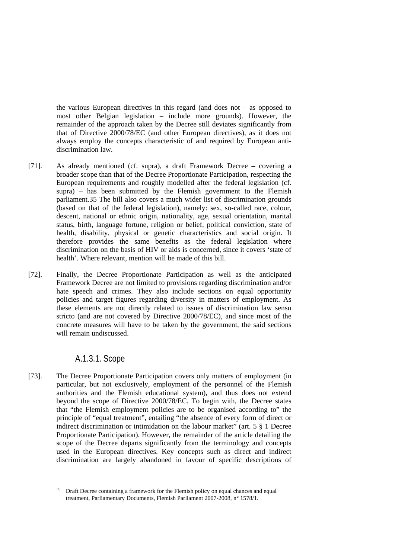the various European directives in this regard (and does not – as opposed to most other Belgian legislation – include more grounds). However, the remainder of the approach taken by the Decree still deviates significantly from that of Directive 2000/78/EC (and other European directives), as it does not always employ the concepts characteristic of and required by European antidiscrimination law.

- [71]. As already mentioned (cf. supra), a draft Framework Decree covering a broader scope than that of the Decree Proportionate Participation, respecting the European requirements and roughly modelled after the federal legislation (cf. supra) – has been submitted by the Flemish government to the Flemish parliament.35 The bill also covers a much wider list of discrimination grounds (based on that of the federal legislation), namely: sex, so-called race, colour, descent, national or ethnic origin, nationality, age, sexual orientation, marital status, birth, language fortune, religion or belief, political conviction, state of health, disability, physical or genetic characteristics and social origin. It therefore provides the same benefits as the federal legislation where discrimination on the basis of HIV or aids is concerned, since it covers 'state of health'. Where relevant, mention will be made of this bill.
- [72]. Finally, the Decree Proportionate Participation as well as the anticipated Framework Decree are not limited to provisions regarding discrimination and/or hate speech and crimes. They also include sections on equal opportunity policies and target figures regarding diversity in matters of employment. As these elements are not directly related to issues of discrimination law sensu stricto (and are not covered by Directive 2000/78/EC), and since most of the concrete measures will have to be taken by the government, the said sections will remain undiscussed.

# A.1.3.1. Scope

1

[73]. The Decree Proportionate Participation covers only matters of employment (in particular, but not exclusively, employment of the personnel of the Flemish authorities and the Flemish educational system), and thus does not extend beyond the scope of Directive 2000/78/EC. To begin with, the Decree states that "the Flemish employment policies are to be organised according to" the principle of "equal treatment", entailing "the absence of every form of direct or indirect discrimination or intimidation on the labour market" (art. 5 § 1 Decree Proportionate Participation). However, the remainder of the article detailing the scope of the Decree departs significantly from the terminology and concepts used in the European directives. Key concepts such as direct and indirect discrimination are largely abandoned in favour of specific descriptions of

<sup>35</sup> Draft Decree containing a framework for the Flemish policy on equal chances and equal treatment, Parliamentary Documents, Flemish Parliament 2007-2008, n° 1578/1.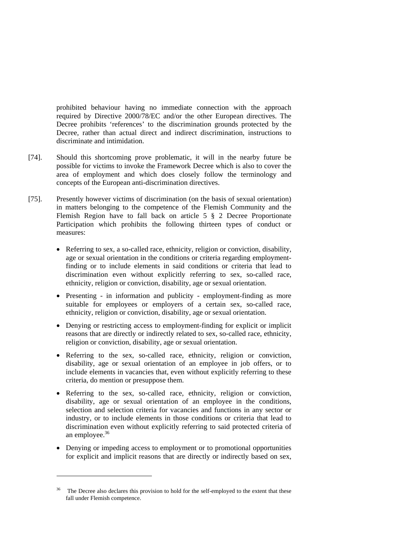prohibited behaviour having no immediate connection with the approach required by Directive 2000/78/EC and/or the other European directives. The Decree prohibits 'references' to the discrimination grounds protected by the Decree, rather than actual direct and indirect discrimination, instructions to discriminate and intimidation.

- [74]. Should this shortcoming prove problematic, it will in the nearby future be possible for victims to invoke the Framework Decree which is also to cover the area of employment and which does closely follow the terminology and concepts of the European anti-discrimination directives.
- [75]. Presently however victims of discrimination (on the basis of sexual orientation) in matters belonging to the competence of the Flemish Community and the Flemish Region have to fall back on article 5 § 2 Decree Proportionate Participation which prohibits the following thirteen types of conduct or measures:
	- Referring to sex, a so-called race, ethnicity, religion or conviction, disability, age or sexual orientation in the conditions or criteria regarding employmentfinding or to include elements in said conditions or criteria that lead to discrimination even without explicitly referring to sex, so-called race, ethnicity, religion or conviction, disability, age or sexual orientation.
	- Presenting in information and publicity employment-finding as more suitable for employees or employers of a certain sex, so-called race, ethnicity, religion or conviction, disability, age or sexual orientation.
	- Denying or restricting access to employment-finding for explicit or implicit reasons that are directly or indirectly related to sex, so-called race, ethnicity, religion or conviction, disability, age or sexual orientation.
	- Referring to the sex, so-called race, ethnicity, religion or conviction, disability, age or sexual orientation of an employee in job offers, or to include elements in vacancies that, even without explicitly referring to these criteria, do mention or presuppose them.
	- Referring to the sex, so-called race, ethnicity, religion or conviction, disability, age or sexual orientation of an employee in the conditions, selection and selection criteria for vacancies and functions in any sector or industry, or to include elements in those conditions or criteria that lead to discrimination even without explicitly referring to said protected criteria of an employee.36
	- Denying or impeding access to employment or to promotional opportunities for explicit and implicit reasons that are directly or indirectly based on sex,

The Decree also declares this provision to hold for the self-employed to the extent that these fall under Flemish competence.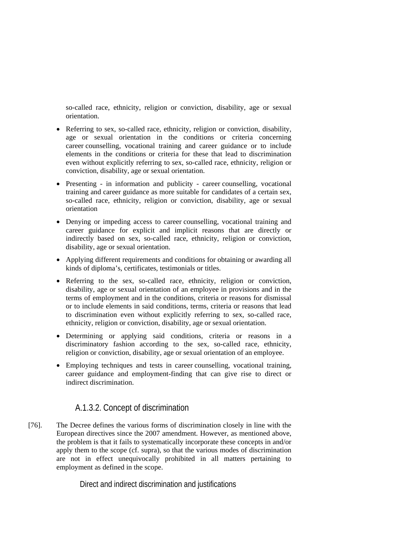so-called race, ethnicity, religion or conviction, disability, age or sexual orientation.

- Referring to sex, so-called race, ethnicity, religion or conviction, disability, age or sexual orientation in the conditions or criteria concerning career counselling, vocational training and career guidance or to include elements in the conditions or criteria for these that lead to discrimination even without explicitly referring to sex, so-called race, ethnicity, religion or conviction, disability, age or sexual orientation.
- Presenting in information and publicity career counselling, vocational training and career guidance as more suitable for candidates of a certain sex, so-called race, ethnicity, religion or conviction, disability, age or sexual orientation
- Denying or impeding access to career counselling, vocational training and career guidance for explicit and implicit reasons that are directly or indirectly based on sex, so-called race, ethnicity, religion or conviction, disability, age or sexual orientation.
- Applying different requirements and conditions for obtaining or awarding all kinds of diploma's, certificates, testimonials or titles.
- Referring to the sex, so-called race, ethnicity, religion or conviction, disability, age or sexual orientation of an employee in provisions and in the terms of employment and in the conditions, criteria or reasons for dismissal or to include elements in said conditions, terms, criteria or reasons that lead to discrimination even without explicitly referring to sex, so-called race, ethnicity, religion or conviction, disability, age or sexual orientation.
- Determining or applying said conditions, criteria or reasons in a discriminatory fashion according to the sex, so-called race, ethnicity, religion or conviction, disability, age or sexual orientation of an employee.
- Employing techniques and tests in career counselling, vocational training, career guidance and employment-finding that can give rise to direct or indirect discrimination.

# A.1.3.2. Concept of discrimination

[76]. The Decree defines the various forms of discrimination closely in line with the European directives since the 2007 amendment. However, as mentioned above, the problem is that it fails to systematically incorporate these concepts in and/or apply them to the scope (cf. supra), so that the various modes of discrimination are not in effect unequivocally prohibited in all matters pertaining to employment as defined in the scope.

Direct and indirect discrimination and justifications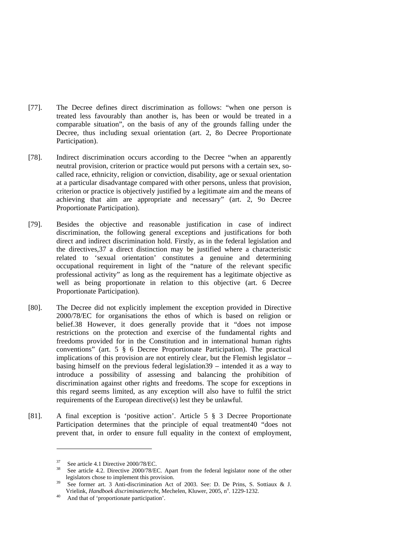- [77]. The Decree defines direct discrimination as follows: "when one person is treated less favourably than another is, has been or would be treated in a comparable situation", on the basis of any of the grounds falling under the Decree, thus including sexual orientation (art. 2, 8o Decree Proportionate Participation).
- [78]. Indirect discrimination occurs according to the Decree "when an apparently neutral provision, criterion or practice would put persons with a certain sex, socalled race, ethnicity, religion or conviction, disability, age or sexual orientation at a particular disadvantage compared with other persons, unless that provision, criterion or practice is objectively justified by a legitimate aim and the means of achieving that aim are appropriate and necessary" (art. 2, 9o Decree Proportionate Participation).
- [79]. Besides the objective and reasonable justification in case of indirect discrimination, the following general exceptions and justifications for both direct and indirect discrimination hold. Firstly, as in the federal legislation and the directives,37 a direct distinction may be justified where a characteristic related to 'sexual orientation' constitutes a genuine and determining occupational requirement in light of the "nature of the relevant specific professional activity" as long as the requirement has a legitimate objective as well as being proportionate in relation to this objective (art. 6 Decree Proportionate Participation).
- [80]. The Decree did not explicitly implement the exception provided in Directive 2000/78/EC for organisations the ethos of which is based on religion or belief.38 However, it does generally provide that it "does not impose restrictions on the protection and exercise of the fundamental rights and freedoms provided for in the Constitution and in international human rights conventions" (art. 5 § 6 Decree Proportionate Participation). The practical implications of this provision are not entirely clear, but the Flemish legislator – basing himself on the previous federal legislation39 – intended it as a way to introduce a possibility of assessing and balancing the prohibition of discrimination against other rights and freedoms. The scope for exceptions in this regard seems limited, as any exception will also have to fulfil the strict requirements of the European directive(s) lest they be unlawful.
- [81]. A final exception is 'positive action'. Article 5 § 3 Decree Proportionate Participation determines that the principle of equal treatment40 "does not prevent that, in order to ensure full equality in the context of employment,

 $37$  See article 4.1 Directive 2000/78/EC.<br> $38$  See article 4.2 Directive 2000/78/E

See article 4.2. Directive 2000/78/EC. Apart from the federal legislator none of the other legislators chose to implement this provision.<br>See former art. 3 Anti-discrimination Act of 2003. See: D. De Prins, S. Sottiaux & J.

Vrielink, *Handboek discriminatierecht*, Mechelen, Kluwer, 2005, n°. 1229-1232.<br><sup>40</sup> And that of 'proportionate participation'.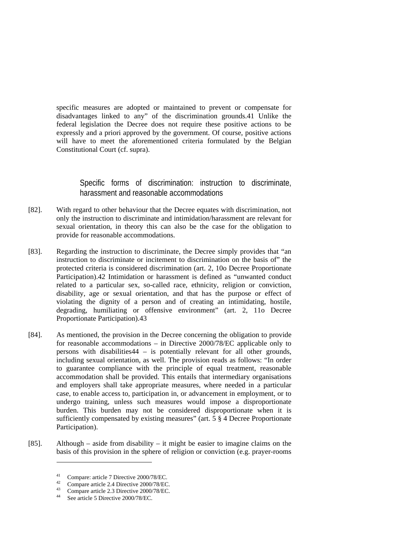specific measures are adopted or maintained to prevent or compensate for disadvantages linked to any" of the discrimination grounds.41 Unlike the federal legislation the Decree does not require these positive actions to be expressly and a priori approved by the government. Of course, positive actions will have to meet the aforementioned criteria formulated by the Belgian Constitutional Court (cf. supra).

Specific forms of discrimination: instruction to discriminate, harassment and reasonable accommodations

- [82]. With regard to other behaviour that the Decree equates with discrimination, not only the instruction to discriminate and intimidation/harassment are relevant for sexual orientation, in theory this can also be the case for the obligation to provide for reasonable accommodations.
- [83]. Regarding the instruction to discriminate, the Decree simply provides that "an instruction to discriminate or incitement to discrimination on the basis of" the protected criteria is considered discrimination (art. 2, 10o Decree Proportionate Participation).42 Intimidation or harassment is defined as "unwanted conduct related to a particular sex, so-called race, ethnicity, religion or conviction, disability, age or sexual orientation, and that has the purpose or effect of violating the dignity of a person and of creating an intimidating, hostile, degrading, humiliating or offensive environment" (art. 2, 11o Decree Proportionate Participation).43
- [84]. As mentioned, the provision in the Decree concerning the obligation to provide for reasonable accommodations – in Directive 2000/78/EC applicable only to persons with disabilities44 – is potentially relevant for all other grounds, including sexual orientation, as well. The provision reads as follows: "In order to guarantee compliance with the principle of equal treatment, reasonable accommodation shall be provided. This entails that intermediary organisations and employers shall take appropriate measures, where needed in a particular case, to enable access to, participation in, or advancement in employment, or to undergo training, unless such measures would impose a disproportionate burden. This burden may not be considered disproportionate when it is sufficiently compensated by existing measures" (art. 5  $\S$  4 Decree Proportionate Participation).
- [85]. Although aside from disability it might be easier to imagine claims on the basis of this provision in the sphere of religion or conviction (e.g. prayer-rooms

 $^{41}_{42}$  Compare: article 7 Directive 2000/78/EC.

<sup>&</sup>lt;sup>42</sup> Compare article 2.4 Directive 2000/78/EC.

<sup>43</sup> Compare article 2.3 Directive 2000/78/EC.

See article 5 Directive 2000/78/EC.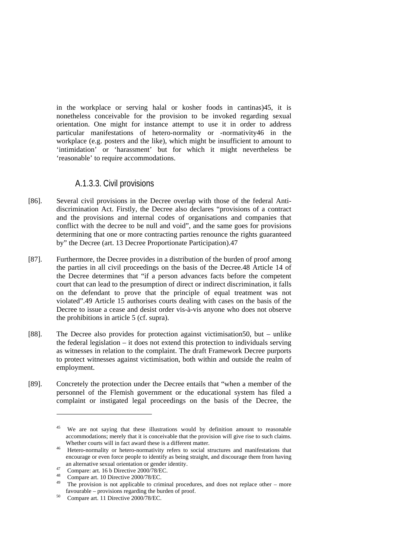in the workplace or serving halal or kosher foods in cantinas)45, it is nonetheless conceivable for the provision to be invoked regarding sexual orientation. One might for instance attempt to use it in order to address particular manifestations of hetero-normality or -normativity46 in the workplace (e.g. posters and the like), which might be insufficient to amount to 'intimidation' or 'harassment' but for which it might nevertheless be 'reasonable' to require accommodations.

### A.1.3.3. Civil provisions

- [86]. Several civil provisions in the Decree overlap with those of the federal Antidiscrimination Act. Firstly, the Decree also declares "provisions of a contract and the provisions and internal codes of organisations and companies that conflict with the decree to be null and void", and the same goes for provisions determining that one or more contracting parties renounce the rights guaranteed by" the Decree (art. 13 Decree Proportionate Participation).47
- [87]. Furthermore, the Decree provides in a distribution of the burden of proof among the parties in all civil proceedings on the basis of the Decree.48 Article 14 of the Decree determines that "if a person advances facts before the competent court that can lead to the presumption of direct or indirect discrimination, it falls on the defendant to prove that the principle of equal treatment was not violated".49 Article 15 authorises courts dealing with cases on the basis of the Decree to issue a cease and desist order vis-à-vis anyone who does not observe the prohibitions in article 5 (cf. supra).
- [88]. The Decree also provides for protection against victimisation50, but unlike the federal legislation – it does not extend this protection to individuals serving as witnesses in relation to the complaint. The draft Framework Decree purports to protect witnesses against victimisation, both within and outside the realm of employment.
- [89]. Concretely the protection under the Decree entails that "when a member of the personnel of the Flemish government or the educational system has filed a complaint or instigated legal proceedings on the basis of the Decree, the

We are not saying that these illustrations would by definition amount to reasonable accommodations; merely that it is conceivable that the provision will give rise to such claims.

Whether courts will in fact award these is a different matter.<br><sup>46</sup> Hetero-normality or hetero-normativity refers to social structures and manifestations that encourage or even force people to identify as being straight, and discourage them from having

an alternative sexual orientation or gender identity.<br>
Compare: art. 16 b Directive 2000/78/EC.<br>
<sup>48</sup>

 $^{48}$  Compare art. 10 Directive 2000/78/EC.

The provision is not applicable to criminal procedures, and does not replace other – more favourable – provisions regarding the burden of proof.<br>
<sup>50</sup> Compare art. 11 Directive 2000/78/EC.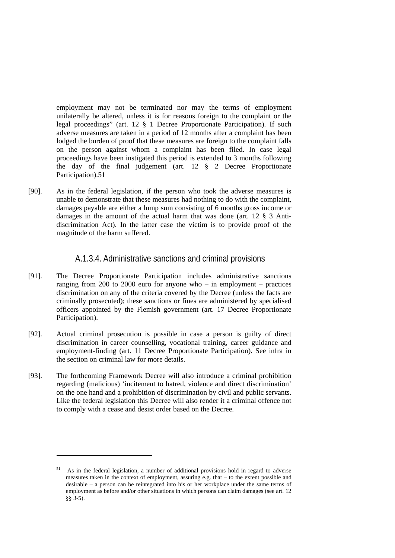employment may not be terminated nor may the terms of employment unilaterally be altered, unless it is for reasons foreign to the complaint or the legal proceedings" (art. 12 § 1 Decree Proportionate Participation). If such adverse measures are taken in a period of 12 months after a complaint has been lodged the burden of proof that these measures are foreign to the complaint falls on the person against whom a complaint has been filed. In case legal proceedings have been instigated this period is extended to 3 months following the day of the final judgement (art. 12 § 2 Decree Proportionate Participation).51

[90]. As in the federal legislation, if the person who took the adverse measures is unable to demonstrate that these measures had nothing to do with the complaint, damages payable are either a lump sum consisting of 6 months gross income or damages in the amount of the actual harm that was done (art. 12 § 3 Antidiscrimination Act). In the latter case the victim is to provide proof of the magnitude of the harm suffered.

### A.1.3.4. Administrative sanctions and criminal provisions

- [91]. The Decree Proportionate Participation includes administrative sanctions ranging from 200 to 2000 euro for anyone who – in employment – practices discrimination on any of the criteria covered by the Decree (unless the facts are criminally prosecuted); these sanctions or fines are administered by specialised officers appointed by the Flemish government (art. 17 Decree Proportionate Participation).
- [92]. Actual criminal prosecution is possible in case a person is guilty of direct discrimination in career counselling, vocational training, career guidance and employment-finding (art. 11 Decree Proportionate Participation). See infra in the section on criminal law for more details.
- [93]. The forthcoming Framework Decree will also introduce a criminal prohibition regarding (malicious) 'incitement to hatred, violence and direct discrimination' on the one hand and a prohibition of discrimination by civil and public servants. Like the federal legislation this Decree will also render it a criminal offence not to comply with a cease and desist order based on the Decree.

<sup>51</sup> As in the federal legislation, a number of additional provisions hold in regard to adverse measures taken in the context of employment, assuring e.g. that – to the extent possible and desirable – a person can be reintegrated into his or her workplace under the same terms of employment as before and/or other situations in which persons can claim damages (see art. 12 §§ 3-5).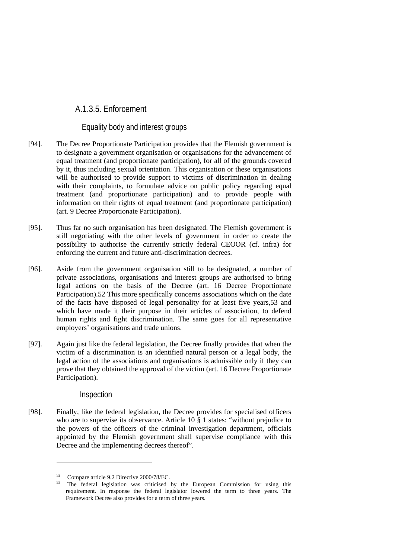# A.1.3.5. Enforcement

### Equality body and interest groups

- [94]. The Decree Proportionate Participation provides that the Flemish government is to designate a government organisation or organisations for the advancement of equal treatment (and proportionate participation), for all of the grounds covered by it, thus including sexual orientation. This organisation or these organisations will be authorised to provide support to victims of discrimination in dealing with their complaints, to formulate advice on public policy regarding equal treatment (and proportionate participation) and to provide people with information on their rights of equal treatment (and proportionate participation) (art. 9 Decree Proportionate Participation).
- [95]. Thus far no such organisation has been designated. The Flemish government is still negotiating with the other levels of government in order to create the possibility to authorise the currently strictly federal CEOOR (cf. infra) for enforcing the current and future anti-discrimination decrees.
- [96]. Aside from the government organisation still to be designated, a number of private associations, organisations and interest groups are authorised to bring legal actions on the basis of the Decree (art. 16 Decree Proportionate Participation).52 This more specifically concerns associations which on the date of the facts have disposed of legal personality for at least five years,53 and which have made it their purpose in their articles of association, to defend human rights and fight discrimination. The same goes for all representative employers' organisations and trade unions.
- [97]. Again just like the federal legislation, the Decree finally provides that when the victim of a discrimination is an identified natural person or a legal body, the legal action of the associations and organisations is admissible only if they can prove that they obtained the approval of the victim (art. 16 Decree Proportionate Participation).

#### Inspection

1

[98]. Finally, like the federal legislation, the Decree provides for specialised officers who are to supervise its observance. Article 10 § 1 states: "without prejudice to the powers of the officers of the criminal investigation department, officials appointed by the Flemish government shall supervise compliance with this Decree and the implementing decrees thereof".

 $^{52}$  Compare article 9.2 Directive 2000/78/EC.

The federal legislation was criticised by the European Commission for using this requirement. In response the federal legislator lowered the term to three years. The Framework Decree also provides for a term of three years.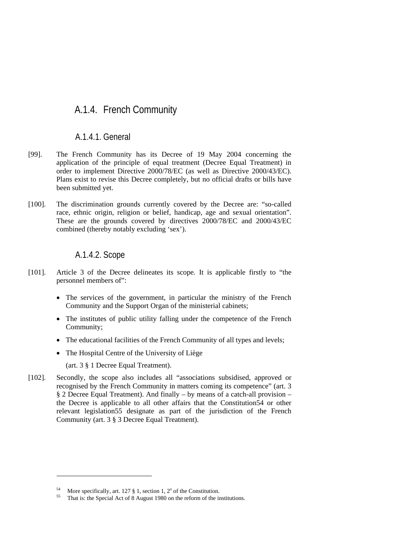# A.1.4. French Community

# A.1.4.1. General

- [99]. The French Community has its Decree of 19 May 2004 concerning the application of the principle of equal treatment (Decree Equal Treatment) in order to implement Directive 2000/78/EC (as well as Directive 2000/43/EC). Plans exist to revise this Decree completely, but no official drafts or bills have been submitted yet.
- [100]. The discrimination grounds currently covered by the Decree are: "so-called race, ethnic origin, religion or belief, handicap, age and sexual orientation". These are the grounds covered by directives 2000/78/EC and 2000/43/EC combined (thereby notably excluding 'sex').

### A.1.4.2. Scope

- [101]. Article 3 of the Decree delineates its scope. It is applicable firstly to "the personnel members of":
	- The services of the government, in particular the ministry of the French Community and the Support Organ of the ministerial cabinets;
	- The institutes of public utility falling under the competence of the French Community;
	- The educational facilities of the French Community of all types and levels;
	- The Hospital Centre of the University of Liège

(art. 3 § 1 Decree Equal Treatment).

1

[102]. Secondly, the scope also includes all "associations subsidised, approved or recognised by the French Community in matters coming its competence" (art. 3 § 2 Decree Equal Treatment). And finally – by means of a catch-all provision – the Decree is applicable to all other affairs that the Constitution54 or other relevant legislation55 designate as part of the jurisdiction of the French Community (art. 3 § 3 Decree Equal Treatment).

<sup>&</sup>lt;sup>54</sup> More specifically, art. 127  $\S$  1, section 1, 2<sup>o</sup> of the Constitution.

That is: the Special Act of 8 August 1980 on the reform of the institutions.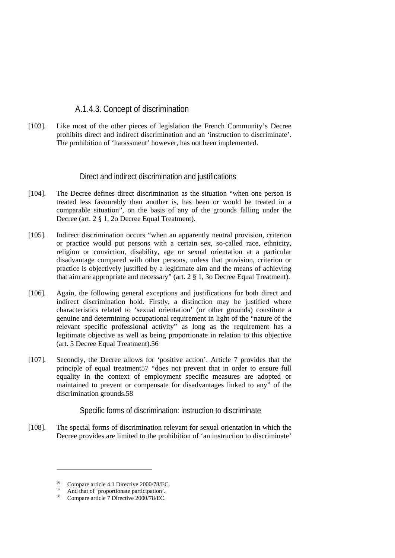# A.1.4.3. Concept of discrimination

[103]. Like most of the other pieces of legislation the French Community's Decree prohibits direct and indirect discrimination and an 'instruction to discriminate'. The prohibition of 'harassment' however, has not been implemented.

### Direct and indirect discrimination and justifications

- [104]. The Decree defines direct discrimination as the situation "when one person is treated less favourably than another is, has been or would be treated in a comparable situation", on the basis of any of the grounds falling under the Decree (art. 2 § 1, 2o Decree Equal Treatment).
- [105]. Indirect discrimination occurs "when an apparently neutral provision, criterion or practice would put persons with a certain sex, so-called race, ethnicity, religion or conviction, disability, age or sexual orientation at a particular disadvantage compared with other persons, unless that provision, criterion or practice is objectively justified by a legitimate aim and the means of achieving that aim are appropriate and necessary" (art. 2 § 1, 3o Decree Equal Treatment).
- [106]. Again, the following general exceptions and justifications for both direct and indirect discrimination hold. Firstly, a distinction may be justified where characteristics related to 'sexual orientation' (or other grounds) constitute a genuine and determining occupational requirement in light of the "nature of the relevant specific professional activity" as long as the requirement has a legitimate objective as well as being proportionate in relation to this objective (art. 5 Decree Equal Treatment).56
- [107]. Secondly, the Decree allows for 'positive action'. Article 7 provides that the principle of equal treatment57 "does not prevent that in order to ensure full equality in the context of employment specific measures are adopted or maintained to prevent or compensate for disadvantages linked to any" of the discrimination grounds.58

Specific forms of discrimination: instruction to discriminate

[108]. The special forms of discrimination relevant for sexual orientation in which the Decree provides are limited to the prohibition of 'an instruction to discriminate'

 $^{56}$  Compare article 4.1 Directive 2000/78/EC.

 $^{57}$  And that of 'proportionate participation'.<br> $^{58}$  Connected at a Directive 2000/78/EC

Compare article 7 Directive 2000/78/EC.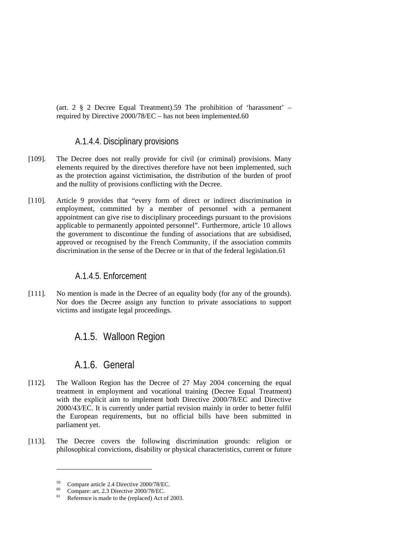(art. 2 § 2 Decree Equal Treatment).59 The prohibition of 'harassment' – required by Directive 2000/78/EC – has not been implemented.60

# A.1.4.4. Disciplinary provisions

- [109]. The Decree does not really provide for civil (or criminal) provisions. Many elements required by the directives therefore have not been implemented, such as the protection against victimisation, the distribution of the burden of proof and the nullity of provisions conflicting with the Decree.
- [110]. Article 9 provides that "every form of direct or indirect discrimination in employment, committed by a member of personnel with a permanent appointment can give rise to disciplinary proceedings pursuant to the provisions applicable to permanently appointed personnel". Furthermore, article 10 allows the government to discontinue the funding of associations that are subsidised, approved or recognised by the French Community, if the association commits discrimination in the sense of the Decree or in that of the federal legislation.61

# A.1.4.5. Enforcement

[111]. No mention is made in the Decree of an equality body (for any of the grounds). Nor does the Decree assign any function to private associations to support victims and instigate legal proceedings.

# A.1.5. Walloon Region

# A.1.6. General

- [112]. The Walloon Region has the Decree of 27 May 2004 concerning the equal treatment in employment and vocational training (Decree Equal Treatment) with the explicit aim to implement both Directive 2000/78/EC and Directive 2000/43/EC. It is currently under partial revision mainly in order to better fulfil the European requirements, but no official bills have been submitted in parliament yet.
- [113]. The Decree covers the following discrimination grounds: religion or philosophical convictions, disability or physical characteristics, current or future

 $^{59}$  Compare article 2.4 Directive 2000/78/EC.

<sup>&</sup>lt;sup>60</sup> Compare: art. 2.3 Directive 2000/78/EC.

Reference is made to the (replaced) Act of 2003.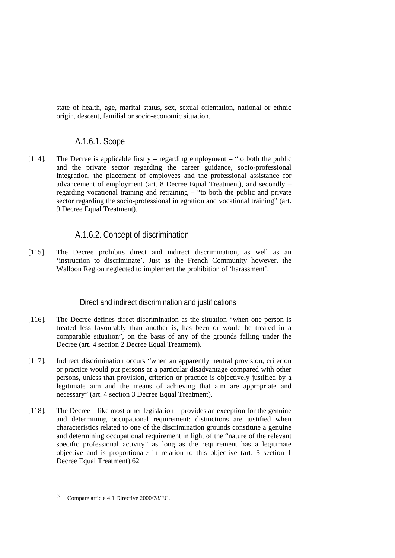state of health, age, marital status, sex, sexual orientation, national or ethnic origin, descent, familial or socio-economic situation.

# A.1.6.1. Scope

[114]. The Decree is applicable firstly – regarding employment – "to both the public and the private sector regarding the career guidance, socio-professional integration, the placement of employees and the professional assistance for advancement of employment (art. 8 Decree Equal Treatment), and secondly – regarding vocational training and retraining  $-$  "to both the public and private sector regarding the socio-professional integration and vocational training" (art. 9 Decree Equal Treatment).

# A.1.6.2. Concept of discrimination

[115]. The Decree prohibits direct and indirect discrimination, as well as an 'instruction to discriminate'. Just as the French Community however, the Walloon Region neglected to implement the prohibition of 'harassment'.

### Direct and indirect discrimination and justifications

- [116]. The Decree defines direct discrimination as the situation "when one person is treated less favourably than another is, has been or would be treated in a comparable situation", on the basis of any of the grounds falling under the Decree (art. 4 section 2 Decree Equal Treatment).
- [117]. Indirect discrimination occurs "when an apparently neutral provision, criterion or practice would put persons at a particular disadvantage compared with other persons, unless that provision, criterion or practice is objectively justified by a legitimate aim and the means of achieving that aim are appropriate and necessary" (art. 4 section 3 Decree Equal Treatment).
- [118]. The Decree like most other legislation provides an exception for the genuine and determining occupational requirement: distinctions are justified when characteristics related to one of the discrimination grounds constitute a genuine and determining occupational requirement in light of the "nature of the relevant specific professional activity" as long as the requirement has a legitimate objective and is proportionate in relation to this objective (art. 5 section 1 Decree Equal Treatment).62

<sup>62</sup> Compare article 4.1 Directive 2000/78/EC.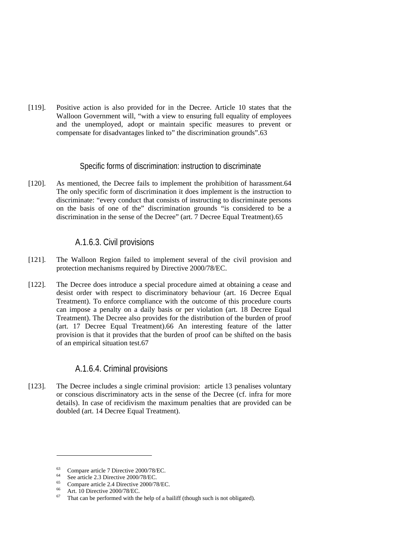[119]. Positive action is also provided for in the Decree. Article 10 states that the Walloon Government will, "with a view to ensuring full equality of employees and the unemployed, adopt or maintain specific measures to prevent or compensate for disadvantages linked to" the discrimination grounds".63

### Specific forms of discrimination: instruction to discriminate

[120]. As mentioned, the Decree fails to implement the prohibition of harassment.64 The only specific form of discrimination it does implement is the instruction to discriminate: "every conduct that consists of instructing to discriminate persons on the basis of one of the" discrimination grounds "is considered to be a discrimination in the sense of the Decree" (art. 7 Decree Equal Treatment).65

# A.1.6.3. Civil provisions

- [121]. The Walloon Region failed to implement several of the civil provision and protection mechanisms required by Directive 2000/78/EC.
- [122]. The Decree does introduce a special procedure aimed at obtaining a cease and desist order with respect to discriminatory behaviour (art. 16 Decree Equal Treatment). To enforce compliance with the outcome of this procedure courts can impose a penalty on a daily basis or per violation (art. 18 Decree Equal Treatment). The Decree also provides for the distribution of the burden of proof (art. 17 Decree Equal Treatment).66 An interesting feature of the latter provision is that it provides that the burden of proof can be shifted on the basis of an empirical situation test.67

# A.1.6.4. Criminal provisions

[123]. The Decree includes a single criminal provision: article 13 penalises voluntary or conscious discriminatory acts in the sense of the Decree (cf. infra for more details). In case of recidivism the maximum penalties that are provided can be doubled (art. 14 Decree Equal Treatment).

<sup>&</sup>lt;sup>63</sup> Compare article 7 Directive 2000/78/EC.

 $^{64}$  See article 2.3 Directive 2000/78/EC.

 $^{65}$  Compare article 2.4 Directive 2000/78/EC.

 $^{66}$  Art. 10 Directive 2000/78/EC.

That can be performed with the help of a bailiff (though such is not obligated).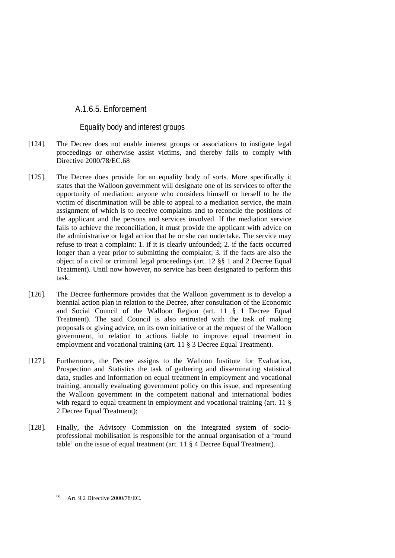# A.1.6.5. Enforcement

### Equality body and interest groups

- [124]. The Decree does not enable interest groups or associations to instigate legal proceedings or otherwise assist victims, and thereby fails to comply with Directive 2000/78/EC.68
- [125]. The Decree does provide for an equality body of sorts. More specifically it states that the Walloon government will designate one of its services to offer the opportunity of mediation: anyone who considers himself or herself to be the victim of discrimination will be able to appeal to a mediation service, the main assignment of which is to receive complaints and to reconcile the positions of the applicant and the persons and services involved. If the mediation service fails to achieve the reconciliation, it must provide the applicant with advice on the administrative or legal action that he or she can undertake. The service may refuse to treat a complaint: 1. if it is clearly unfounded; 2. if the facts occurred longer than a year prior to submitting the complaint; 3. if the facts are also the object of a civil or criminal legal proceedings (art. 12 §§ 1 and 2 Decree Equal Treatment). Until now however, no service has been designated to perform this task.
- [126]. The Decree furthermore provides that the Walloon government is to develop a biennial action plan in relation to the Decree, after consultation of the Economic and Social Council of the Walloon Region (art. 11 § 1 Decree Equal Treatment). The said Council is also entrusted with the task of making proposals or giving advice, on its own initiative or at the request of the Walloon government, in relation to actions liable to improve equal treatment in employment and vocational training (art. 11 § 3 Decree Equal Treatment).
- [127]. Furthermore, the Decree assigns to the Walloon Institute for Evaluation, Prospection and Statistics the task of gathering and disseminating statistical data, studies and information on equal treatment in employment and vocational training, annually evaluating government policy on this issue, and representing the Walloon government in the competent national and international bodies with regard to equal treatment in employment and vocational training (art. 11 § 2 Decree Equal Treatment);
- [128]. Finally, the Advisory Commission on the integrated system of socioprofessional mobilisation is responsible for the annual organisation of a 'round table' on the issue of equal treatment (art. 11 § 4 Decree Equal Treatment).

<sup>68</sup> Art. 9.2 Directive 2000/78/EC.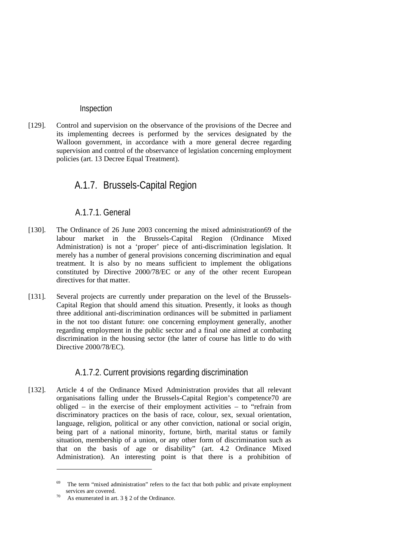#### Inspection

[129]. Control and supervision on the observance of the provisions of the Decree and its implementing decrees is performed by the services designated by the Walloon government, in accordance with a more general decree regarding supervision and control of the observance of legislation concerning employment policies (art. 13 Decree Equal Treatment).

# A.1.7. Brussels-Capital Region

# A.1.7.1. General

- [130]. The Ordinance of 26 June 2003 concerning the mixed administration69 of the labour market in the Brussels-Capital Region (Ordinance Mixed Administration) is not a 'proper' piece of anti-discrimination legislation. It merely has a number of general provisions concerning discrimination and equal treatment. It is also by no means sufficient to implement the obligations constituted by Directive 2000/78/EC or any of the other recent European directives for that matter.
- [131]. Several projects are currently under preparation on the level of the Brussels-Capital Region that should amend this situation. Presently, it looks as though three additional anti-discrimination ordinances will be submitted in parliament in the not too distant future: one concerning employment generally, another regarding employment in the public sector and a final one aimed at combating discrimination in the housing sector (the latter of course has little to do with Directive 2000/78/EC).

# A.1.7.2. Current provisions regarding discrimination

[132]. Article 4 of the Ordinance Mixed Administration provides that all relevant organisations falling under the Brussels-Capital Region's competence70 are obliged – in the exercise of their employment activities – to "refrain from discriminatory practices on the basis of race, colour, sex, sexual orientation, language, religion, political or any other conviction, national or social origin, being part of a national minority, fortune, birth, marital status or family situation, membership of a union, or any other form of discrimination such as that on the basis of age or disability" (art. 4.2 Ordinance Mixed Administration). An interesting point is that there is a prohibition of

<sup>&</sup>lt;sup>69</sup> The term "mixed administration" refers to the fact that both public and private employment services are covered.<br>
<sup>70</sup> As enumerated in art.  $3 \& 2$  of the Ordinance.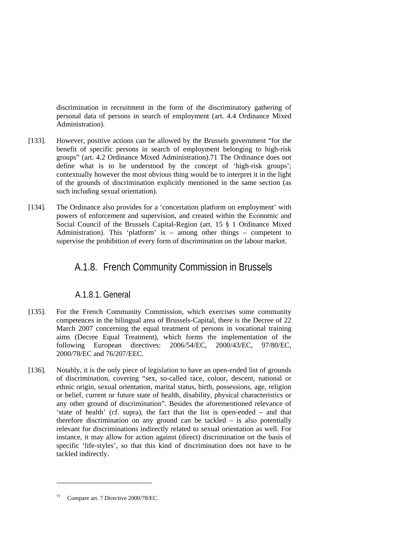discrimination in recruitment in the form of the discriminatory gathering of personal data of persons in search of employment (art. 4.4 Ordinance Mixed Administration).

- [133]. However, positive actions can be allowed by the Brussels government "for the benefit of specific persons in search of employment belonging to high-risk groups" (art. 4.2 Ordinance Mixed Administration).71 The Ordinance does not define what is to be understood by the concept of 'high-risk groups'; contextually however the most obvious thing would be to interpret it in the light of the grounds of discrimination explicitly mentioned in the same section (as such including sexual orientation).
- [134]. The Ordinance also provides for a 'concertation platform on employment' with powers of enforcement and supervision, and created within the Economic and Social Council of the Brussels Capital-Region (art. 15 § 1 Ordinance Mixed Administration). This 'platform' is – among other things – competent to supervise the prohibition of every form of discrimination on the labour market.

## A.1.8. French Community Commission in Brussels

### A.1.8.1. General

- [135]. For the French Community Commission, which exercises some community competences in the bilingual area of Brussels-Capital, there is the Decree of 22 March 2007 concerning the equal treatment of persons in vocational training aims (Decree Equal Treatment), which forms the implementation of the following European directives: 2006/54/EC, 2000/43/EC, 97/80/EC, 2000/78/EC and 76/207/EEC.
- [136]. Notably, it is the only piece of legislation to have an open-ended list of grounds of discrimination, covering "sex, so-called race, colour, descent, national or ethnic origin, sexual orientation, marital status, birth, possessions, age, religion or belief, current or future state of health, disability, physical characteristics or any other ground of discrimination". Besides the aforementioned relevance of 'state of health' (cf. supra), the fact that the list is open-ended – and that therefore discrimination on any ground can be tackled – is also potentially relevant for discriminations indirectly related to sexual orientation as well. For instance, it may allow for action against (direct) discrimination on the basis of specific 'life-styles', so that this kind of discrimination does not have to be tackled indirectly.

<sup>71</sup> Compare art. 7 Directive 2000/78/EC.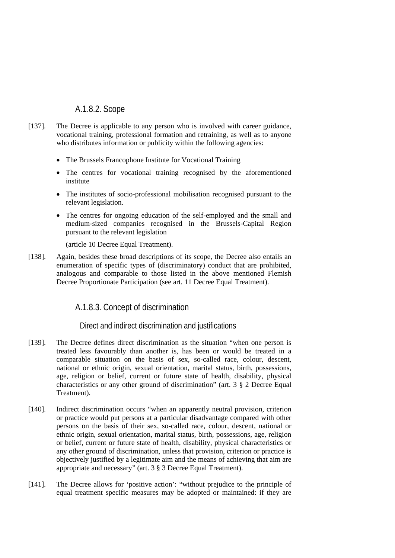### A.1.8.2. Scope

- [137]. The Decree is applicable to any person who is involved with career guidance, vocational training, professional formation and retraining, as well as to anyone who distributes information or publicity within the following agencies:
	- The Brussels Francophone Institute for Vocational Training
	- The centres for vocational training recognised by the aforementioned institute
	- The institutes of socio-professional mobilisation recognised pursuant to the relevant legislation.
	- The centres for ongoing education of the self-employed and the small and medium-sized companies recognised in the Brussels-Capital Region pursuant to the relevant legislation

(article 10 Decree Equal Treatment).

[138]. Again, besides these broad descriptions of its scope, the Decree also entails an enumeration of specific types of (discriminatory) conduct that are prohibited, analogous and comparable to those listed in the above mentioned Flemish Decree Proportionate Participation (see art. 11 Decree Equal Treatment).

### A.1.8.3. Concept of discrimination

#### Direct and indirect discrimination and justifications

- [139]. The Decree defines direct discrimination as the situation "when one person is treated less favourably than another is, has been or would be treated in a comparable situation on the basis of sex, so-called race, colour, descent, national or ethnic origin, sexual orientation, marital status, birth, possessions, age, religion or belief, current or future state of health, disability, physical characteristics or any other ground of discrimination" (art. 3 § 2 Decree Equal Treatment).
- [140]. Indirect discrimination occurs "when an apparently neutral provision, criterion or practice would put persons at a particular disadvantage compared with other persons on the basis of their sex, so-called race, colour, descent, national or ethnic origin, sexual orientation, marital status, birth, possessions, age, religion or belief, current or future state of health, disability, physical characteristics or any other ground of discrimination, unless that provision, criterion or practice is objectively justified by a legitimate aim and the means of achieving that aim are appropriate and necessary" (art. 3 § 3 Decree Equal Treatment).
- [141]. The Decree allows for 'positive action': "without prejudice to the principle of equal treatment specific measures may be adopted or maintained: if they are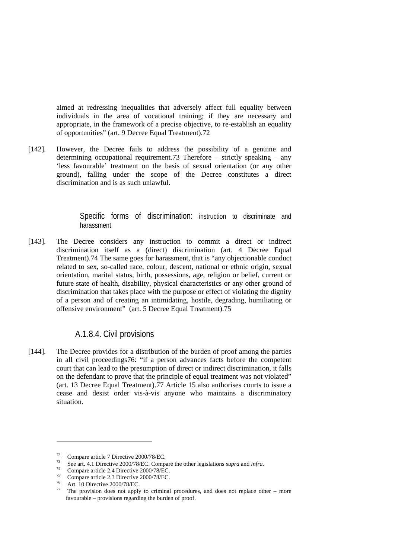aimed at redressing inequalities that adversely affect full equality between individuals in the area of vocational training; if they are necessary and appropriate, in the framework of a precise objective, to re-establish an equality of opportunities" (art. 9 Decree Equal Treatment).72

[142]. However, the Decree fails to address the possibility of a genuine and determining occupational requirement.73 Therefore – strictly speaking – any 'less favourable' treatment on the basis of sexual orientation (or any other ground), falling under the scope of the Decree constitutes a direct discrimination and is as such unlawful.

> Specific forms of discrimination: instruction to discriminate and harassment

[143]. The Decree considers any instruction to commit a direct or indirect discrimination itself as a (direct) discrimination (art. 4 Decree Equal Treatment).74 The same goes for harassment, that is "any objectionable conduct related to sex, so-called race, colour, descent, national or ethnic origin, sexual orientation, marital status, birth, possessions, age, religion or belief, current or future state of health, disability, physical characteristics or any other ground of discrimination that takes place with the purpose or effect of violating the dignity of a person and of creating an intimidating, hostile, degrading, humiliating or offensive environment" (art. 5 Decree Equal Treatment).75

### A.1.8.4. Civil provisions

[144]. The Decree provides for a distribution of the burden of proof among the parties in all civil proceedings76: "if a person advances facts before the competent court that can lead to the presumption of direct or indirect discrimination, it falls on the defendant to prove that the principle of equal treatment was not violated" (art. 13 Decree Equal Treatment).77 Article 15 also authorises courts to issue a cease and desist order vis-à-vis anyone who maintains a discriminatory situation.

 $^{72}$  Compare article 7 Directive 2000/78/EC.

<sup>73</sup> See art. 4.1 Directive 2000/78/EC. Compare the other legislations *supra* and *infra*. 74 Compare article 2.4 Directive 2000/78/EC.

 $^{75}$  Compare article 2.3 Directive 2000/78/EC.

 $^{76}$  Art. 10 Directive 2000/78/EC.

The provision does not apply to criminal procedures, and does not replace other – more favourable – provisions regarding the burden of proof.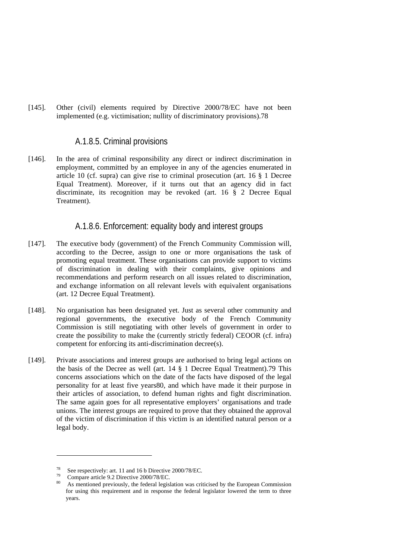[145]. Other (civil) elements required by Directive 2000/78/EC have not been implemented (e.g. victimisation; nullity of discriminatory provisions).78

#### A.1.8.5. Criminal provisions

[146]. In the area of criminal responsibility any direct or indirect discrimination in employment, committed by an employee in any of the agencies enumerated in article 10 (cf. supra) can give rise to criminal prosecution (art. 16 § 1 Decree Equal Treatment). Moreover, if it turns out that an agency did in fact discriminate, its recognition may be revoked (art. 16 § 2 Decree Equal Treatment).

### A.1.8.6. Enforcement: equality body and interest groups

- [147]. The executive body (government) of the French Community Commission will, according to the Decree, assign to one or more organisations the task of promoting equal treatment. These organisations can provide support to victims of discrimination in dealing with their complaints, give opinions and recommendations and perform research on all issues related to discrimination, and exchange information on all relevant levels with equivalent organisations (art. 12 Decree Equal Treatment).
- [148]. No organisation has been designated yet. Just as several other community and regional governments, the executive body of the French Community Commission is still negotiating with other levels of government in order to create the possibility to make the (currently strictly federal) CEOOR (cf. infra) competent for enforcing its anti-discrimination decree(s).
- [149]. Private associations and interest groups are authorised to bring legal actions on the basis of the Decree as well (art. 14 § 1 Decree Equal Treatment).79 This concerns associations which on the date of the facts have disposed of the legal personality for at least five years80, and which have made it their purpose in their articles of association, to defend human rights and fight discrimination. The same again goes for all representative employers' organisations and trade unions. The interest groups are required to prove that they obtained the approval of the victim of discrimination if this victim is an identified natural person or a legal body.

<sup>&</sup>lt;sup>78</sup> See respectively: art. 11 and 16 b Directive 2000/78/EC.<br>Compare article 9.2 Directive 2000/78/EC.

As mentioned previously, the federal legislation was criticised by the European Commission for using this requirement and in response the federal legislator lowered the term to three years.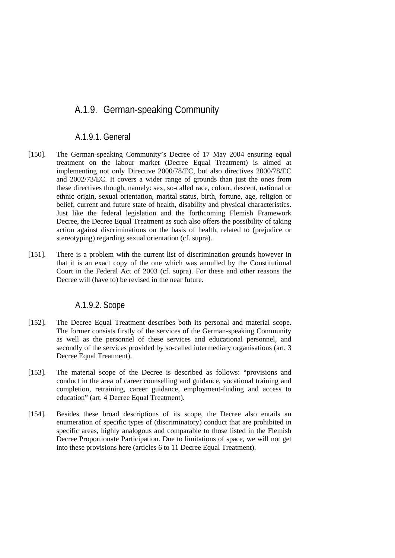## A.1.9. German-speaking Community

### A.1.9.1. General

- [150]. The German-speaking Community's Decree of 17 May 2004 ensuring equal treatment on the labour market (Decree Equal Treatment) is aimed at implementing not only Directive 2000/78/EC, but also directives 2000/78/EC and 2002/73/EC. It covers a wider range of grounds than just the ones from these directives though, namely: sex, so-called race, colour, descent, national or ethnic origin, sexual orientation, marital status, birth, fortune, age, religion or belief, current and future state of health, disability and physical characteristics. Just like the federal legislation and the forthcoming Flemish Framework Decree, the Decree Equal Treatment as such also offers the possibility of taking action against discriminations on the basis of health, related to (prejudice or stereotyping) regarding sexual orientation (cf. supra).
- [151]. There is a problem with the current list of discrimination grounds however in that it is an exact copy of the one which was annulled by the Constitutional Court in the Federal Act of 2003 (cf. supra). For these and other reasons the Decree will (have to) be revised in the near future.

### A.1.9.2. Scope

- [152]. The Decree Equal Treatment describes both its personal and material scope. The former consists firstly of the services of the German-speaking Community as well as the personnel of these services and educational personnel, and secondly of the services provided by so-called intermediary organisations (art. 3 Decree Equal Treatment).
- [153]. The material scope of the Decree is described as follows: "provisions and conduct in the area of career counselling and guidance, vocational training and completion, retraining, career guidance, employment-finding and access to education" (art. 4 Decree Equal Treatment).
- [154]. Besides these broad descriptions of its scope, the Decree also entails an enumeration of specific types of (discriminatory) conduct that are prohibited in specific areas, highly analogous and comparable to those listed in the Flemish Decree Proportionate Participation. Due to limitations of space, we will not get into these provisions here (articles 6 to 11 Decree Equal Treatment).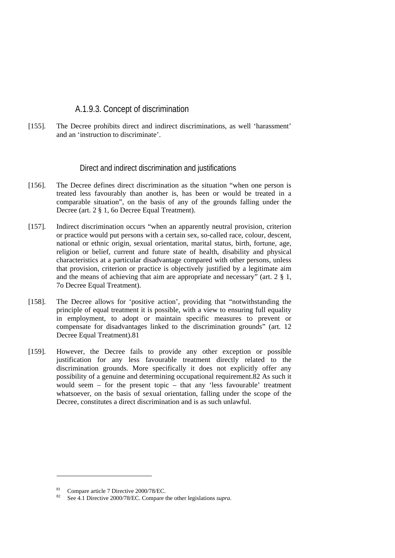### A.1.9.3. Concept of discrimination

[155]. The Decree prohibits direct and indirect discriminations, as well 'harassment' and an 'instruction to discriminate'.

#### Direct and indirect discrimination and justifications

- [156]. The Decree defines direct discrimination as the situation "when one person is treated less favourably than another is, has been or would be treated in a comparable situation", on the basis of any of the grounds falling under the Decree (art. 2 § 1, 6o Decree Equal Treatment).
- [157]. Indirect discrimination occurs "when an apparently neutral provision, criterion or practice would put persons with a certain sex, so-called race, colour, descent, national or ethnic origin, sexual orientation, marital status, birth, fortune, age, religion or belief, current and future state of health, disability and physical characteristics at a particular disadvantage compared with other persons, unless that provision, criterion or practice is objectively justified by a legitimate aim and the means of achieving that aim are appropriate and necessary" (art. 2 § 1, 7o Decree Equal Treatment).
- [158]. The Decree allows for 'positive action', providing that "notwithstanding the principle of equal treatment it is possible, with a view to ensuring full equality in employment, to adopt or maintain specific measures to prevent or compensate for disadvantages linked to the discrimination grounds" (art. 12 Decree Equal Treatment).81
- [159]. However, the Decree fails to provide any other exception or possible justification for any less favourable treatment directly related to the discrimination grounds. More specifically it does not explicitly offer any possibility of a genuine and determining occupational requirement.82 As such it would seem – for the present topic – that any 'less favourable' treatment whatsoever, on the basis of sexual orientation, falling under the scope of the Decree, constitutes a direct discrimination and is as such unlawful.

Compare article 7 Directive 2000/78/EC.

<sup>82</sup> See 4.1 Directive 2000/78/EC. Compare the other legislations *supra*.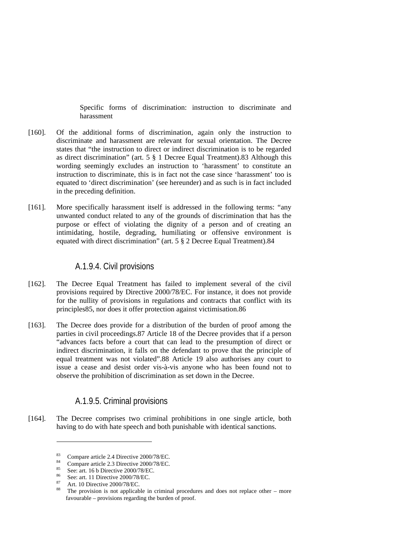Specific forms of discrimination: instruction to discriminate and harassment

- [160]. Of the additional forms of discrimination, again only the instruction to discriminate and harassment are relevant for sexual orientation. The Decree states that "the instruction to direct or indirect discrimination is to be regarded as direct discrimination" (art. 5 § 1 Decree Equal Treatment).83 Although this wording seemingly excludes an instruction to 'harassment' to constitute an instruction to discriminate, this is in fact not the case since 'harassment' too is equated to 'direct discrimination' (see hereunder) and as such is in fact included in the preceding definition.
- [161]. More specifically harassment itself is addressed in the following terms: "any unwanted conduct related to any of the grounds of discrimination that has the purpose or effect of violating the dignity of a person and of creating an intimidating, hostile, degrading, humiliating or offensive environment is equated with direct discrimination" (art. 5 § 2 Decree Equal Treatment).84

### A.1.9.4. Civil provisions

- [162]. The Decree Equal Treatment has failed to implement several of the civil provisions required by Directive 2000/78/EC. For instance, it does not provide for the nullity of provisions in regulations and contracts that conflict with its principles85, nor does it offer protection against victimisation.86
- [163]. The Decree does provide for a distribution of the burden of proof among the parties in civil proceedings.87 Article 18 of the Decree provides that if a person "advances facts before a court that can lead to the presumption of direct or indirect discrimination, it falls on the defendant to prove that the principle of equal treatment was not violated".88 Article 19 also authorises any court to issue a cease and desist order vis-à-vis anyone who has been found not to observe the prohibition of discrimination as set down in the Decree.

### A.1.9.5. Criminal provisions

[164]. The Decree comprises two criminal prohibitions in one single article, both having to do with hate speech and both punishable with identical sanctions.

 $\frac{83}{84}$  Compare article 2.4 Directive 2000/78/EC.

<sup>&</sup>lt;sup>84</sup> Compare article 2.3 Directive 2000/78/EC.<br><sup>85</sup> Securit 16 b Directive 2000/78/EC.

<sup>&</sup>lt;sup>85</sup> See: art. 16 b Directive 2000/78/EC.<br><sup>86</sup> See: art. 11 Directive 2000/78/EC.

 $^{87}$  Art. 10 Directive 2000/78/EC.

The provision is not applicable in criminal procedures and does not replace other – more favourable – provisions regarding the burden of proof.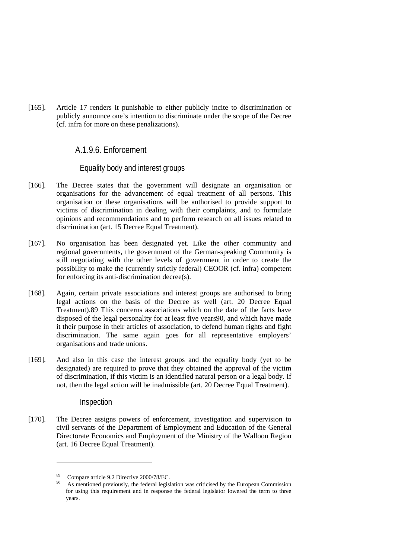[165]. Article 17 renders it punishable to either publicly incite to discrimination or publicly announce one's intention to discriminate under the scope of the Decree (cf. infra for more on these penalizations).

### A.1.9.6. Enforcement

#### Equality body and interest groups

- [166]. The Decree states that the government will designate an organisation or organisations for the advancement of equal treatment of all persons. This organisation or these organisations will be authorised to provide support to victims of discrimination in dealing with their complaints, and to formulate opinions and recommendations and to perform research on all issues related to discrimination (art. 15 Decree Equal Treatment).
- [167]. No organisation has been designated yet. Like the other community and regional governments, the government of the German-speaking Community is still negotiating with the other levels of government in order to create the possibility to make the (currently strictly federal) CEOOR (cf. infra) competent for enforcing its anti-discrimination decree(s).
- [168]. Again, certain private associations and interest groups are authorised to bring legal actions on the basis of the Decree as well (art. 20 Decree Equal Treatment).89 This concerns associations which on the date of the facts have disposed of the legal personality for at least five years90, and which have made it their purpose in their articles of association, to defend human rights and fight discrimination. The same again goes for all representative employers' organisations and trade unions.
- [169]. And also in this case the interest groups and the equality body (yet to be designated) are required to prove that they obtained the approval of the victim of discrimination, if this victim is an identified natural person or a legal body. If not, then the legal action will be inadmissible (art. 20 Decree Equal Treatment).

#### **Inspection**

1

[170]. The Decree assigns powers of enforcement, investigation and supervision to civil servants of the Department of Employment and Education of the General Directorate Economics and Employment of the Ministry of the Walloon Region (art. 16 Decree Equal Treatment).

Compare article 9.2 Directive 2000/78/EC.

As mentioned previously, the federal legislation was criticised by the European Commission for using this requirement and in response the federal legislator lowered the term to three years.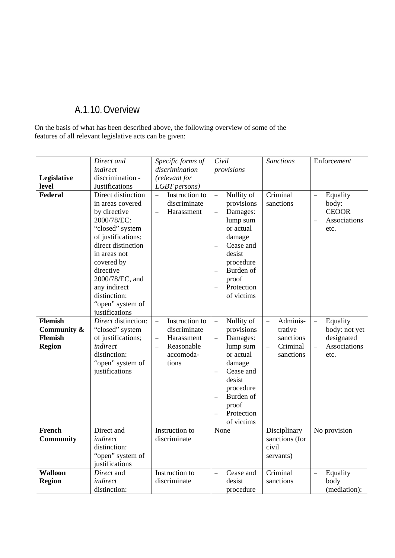## A.1.10.Overview

On the basis of what has been described above, the following overview of some of the features of all relevant legislative acts can be given:

|                  | Direct and          | Specific forms of          | Civil                        | <b>Sanctions</b>                | Enforcement                              |
|------------------|---------------------|----------------------------|------------------------------|---------------------------------|------------------------------------------|
|                  | indirect            | discrimination             | provisions                   |                                 |                                          |
| Legislative      | discrimination -    | (relevant for              |                              |                                 |                                          |
| level            | Justifications      | LGBT persons)              |                              |                                 |                                          |
| <b>Federal</b>   | Direct distinction  | $\equiv$<br>Instruction to | Nullity of<br>$\overline{a}$ | Criminal                        | Equality<br>$\equiv$                     |
|                  | in areas covered    | discriminate               | provisions                   | sanctions                       | body:                                    |
|                  | by directive        | Harassment<br>$\equiv$     | Damages:<br>$\equiv$         |                                 | <b>CEOOR</b>                             |
|                  | 2000/78/EC:         |                            | lump sum                     |                                 | Associations<br>$\overline{\phantom{0}}$ |
|                  | "closed" system     |                            | or actual                    |                                 | etc.                                     |
|                  | of justifications;  |                            | damage                       |                                 |                                          |
|                  | direct distinction  |                            | Cease and                    |                                 |                                          |
|                  | in areas not        |                            | desist                       |                                 |                                          |
|                  | covered by          |                            | procedure                    |                                 |                                          |
|                  | directive           |                            | Burden of<br>$\overline{a}$  |                                 |                                          |
|                  | 2000/78/EC, and     |                            | proof                        |                                 |                                          |
|                  | any indirect        |                            | Protection<br>$\overline{a}$ |                                 |                                          |
|                  | distinction:        |                            | of victims                   |                                 |                                          |
|                  | "open" system of    |                            |                              |                                 |                                          |
|                  | justifications      |                            |                              |                                 |                                          |
| <b>Flemish</b>   | Direct distinction: | Instruction to<br>$\equiv$ | Nullity of<br>$\overline{a}$ | Adminis-<br>$\bar{\phantom{a}}$ | Equality<br>$\equiv$                     |
| Community &      | "closed" system     | discriminate               | provisions                   | trative                         | body: not yet                            |
| <b>Flemish</b>   | of justifications;  | Harassment<br>$\equiv$     | Damages:<br>$\equiv$         | sanctions                       | designated                               |
| <b>Region</b>    | indirect            | Reasonable<br>$\equiv$     | lump sum                     | Criminal<br>$\equiv$            | Associations<br>$\equiv$                 |
|                  | distinction:        | accomoda-                  | or actual                    | sanctions                       | etc.                                     |
|                  | "open" system of    | tions                      | damage                       |                                 |                                          |
|                  | justifications      |                            | Cease and                    |                                 |                                          |
|                  |                     |                            | desist                       |                                 |                                          |
|                  |                     |                            | procedure                    |                                 |                                          |
|                  |                     |                            | Burden of<br>$\overline{a}$  |                                 |                                          |
|                  |                     |                            | proof                        |                                 |                                          |
|                  |                     |                            | Protection                   |                                 |                                          |
|                  |                     |                            | of victims                   |                                 |                                          |
| <b>French</b>    | Direct and          | Instruction to             | None                         | Disciplinary                    | No provision                             |
| <b>Community</b> | indirect            | discriminate               |                              | sanctions (for                  |                                          |
|                  | distinction:        |                            |                              | civil                           |                                          |
|                  | "open" system of    |                            |                              | servants)                       |                                          |
|                  | justifications      |                            |                              |                                 |                                          |
| <b>Walloon</b>   | Direct and          | Instruction to             | Cease and<br>$\equiv$        | Criminal                        | Equality<br>$\equiv$                     |
| <b>Region</b>    | indirect            | discriminate               | desist                       | sanctions                       | body                                     |
|                  | distinction:        |                            | procedure                    |                                 | (mediation):                             |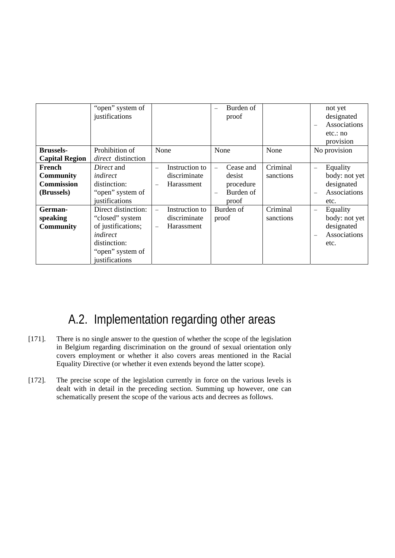|                       | "open" system of<br>justifications |                                            | Burden of<br>$\overline{\phantom{0}}$<br>proof |           | not yet<br>designated<br>Associations<br>etc.: no |
|-----------------------|------------------------------------|--------------------------------------------|------------------------------------------------|-----------|---------------------------------------------------|
| <b>Brussels-</b>      | Prohibition of                     | None                                       | None                                           | None      | provision<br>No provision                         |
| <b>Capital Region</b> | direct distinction                 |                                            |                                                |           |                                                   |
| French                | Direct and                         | Instruction to<br>$\overline{\phantom{0}}$ | Cease and<br>$\overline{\phantom{0}}$          | Criminal  | Equality<br>$\qquad \qquad -$                     |
| <b>Community</b>      | indirect                           | discriminate                               | desist                                         | sanctions | body: not yet                                     |
| <b>Commission</b>     | distinction:                       | Harassment<br>$\overline{\phantom{m}}$     | procedure                                      |           | designated                                        |
| (Brussels)            | "open" system of                   |                                            | Burden of<br>$\overline{\phantom{0}}$          |           | Associations                                      |
|                       | justifications                     |                                            | proof                                          |           | etc.                                              |
| German-               | Direct distinction:                | Instruction to                             | Burden of                                      | Criminal  | Equality<br>$\overline{\phantom{0}}$              |
| speaking              | "closed" system                    | discriminate                               | proof                                          | sanctions | body: not yet                                     |
| <b>Community</b>      | of justifications;                 | Harassment                                 |                                                |           | designated                                        |
|                       | indirect                           |                                            |                                                |           | Associations                                      |
|                       | distinction:                       |                                            |                                                |           | etc.                                              |
|                       | "open" system of                   |                                            |                                                |           |                                                   |
|                       | justifications                     |                                            |                                                |           |                                                   |

# A.2. Implementation regarding other areas

- [171]. There is no single answer to the question of whether the scope of the legislation in Belgium regarding discrimination on the ground of sexual orientation only covers employment or whether it also covers areas mentioned in the Racial Equality Directive (or whether it even extends beyond the latter scope).
- [172]. The precise scope of the legislation currently in force on the various levels is dealt with in detail in the preceding section. Summing up however, one can schematically present the scope of the various acts and decrees as follows.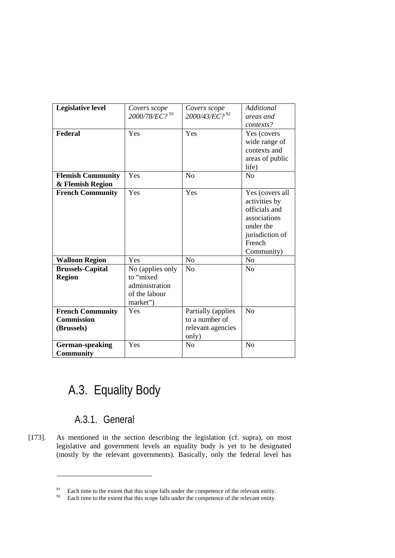| <b>Legislative level</b>                                   | Covers scope<br>2000/78/EC? <sup>91</sup>                                    | Covers scope<br>2000/43/EC? <sup>92</sup>                          | <b>Additional</b><br>areas and                                                                                            |
|------------------------------------------------------------|------------------------------------------------------------------------------|--------------------------------------------------------------------|---------------------------------------------------------------------------------------------------------------------------|
|                                                            |                                                                              |                                                                    | contexts?                                                                                                                 |
| <b>Federal</b>                                             | Yes                                                                          | Yes                                                                | Yes (covers<br>wide range of<br>contexts and<br>areas of public<br>life)                                                  |
| <b>Flemish Community</b>                                   | Yes                                                                          | N <sub>o</sub>                                                     | N <sub>o</sub>                                                                                                            |
| & Flemish Region                                           |                                                                              |                                                                    |                                                                                                                           |
| <b>French Community</b>                                    | Yes                                                                          | Yes                                                                | Yes (covers all<br>activities by<br>officials and<br>associations<br>under the<br>jurisdiction of<br>French<br>Community) |
| <b>Walloon Region</b>                                      | Yes                                                                          | N <sub>o</sub>                                                     | N <sub>o</sub>                                                                                                            |
| <b>Brussels-Capital</b><br><b>Region</b>                   | No (applies only<br>to "mixed<br>administration<br>of the labour<br>market") | No                                                                 | No                                                                                                                        |
| <b>French Community</b><br><b>Commission</b><br>(Brussels) | Yes                                                                          | Partially (applies<br>to a number of<br>relevant agencies<br>only) | N <sub>o</sub>                                                                                                            |
| German-speaking<br><b>Community</b>                        | Yes                                                                          | N <sub>o</sub>                                                     | N <sub>o</sub>                                                                                                            |

# A.3. Equality Body

## A.3.1. General

1

[173]. As mentioned in the section describing the legislation (cf. supra), on most legislative and government levels an equality body is yet to be designated (mostly by the relevant governments). Basically, only the federal level has

<sup>&</sup>lt;sup>91</sup> Each time to the extent that this scope falls under the competence of the relevant entity.<br><sup>92</sup> Each time to the extent that this scope falls under the competence of the relevant entity.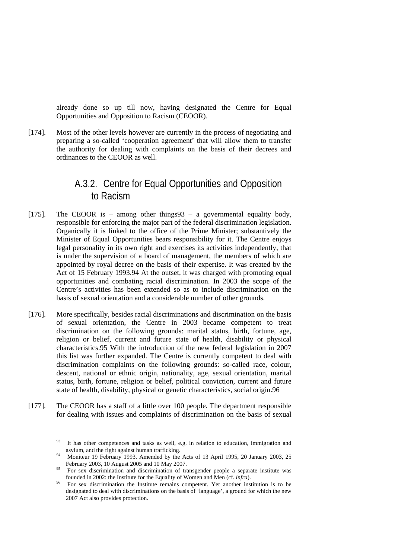already done so up till now, having designated the Centre for Equal Opportunities and Opposition to Racism (CEOOR).

[174]. Most of the other levels however are currently in the process of negotiating and preparing a so-called 'cooperation agreement' that will allow them to transfer the authority for dealing with complaints on the basis of their decrees and ordinances to the CEOOR as well.

## A.3.2. Centre for Equal Opportunities and Opposition to Racism

- [175]. The CEOOR is among other things  $93 a$  governmental equality body, responsible for enforcing the major part of the federal discrimination legislation. Organically it is linked to the office of the Prime Minister; substantively the Minister of Equal Opportunities bears responsibility for it. The Centre enjoys legal personality in its own right and exercises its activities independently, that is under the supervision of a board of management, the members of which are appointed by royal decree on the basis of their expertise. It was created by the Act of 15 February 1993.94 At the outset, it was charged with promoting equal opportunities and combating racial discrimination. In 2003 the scope of the Centre's activities has been extended so as to include discrimination on the basis of sexual orientation and a considerable number of other grounds.
- [176]. More specifically, besides racial discriminations and discrimination on the basis of sexual orientation, the Centre in 2003 became competent to treat discrimination on the following grounds: marital status, birth, fortune, age, religion or belief, current and future state of health, disability or physical characteristics.95 With the introduction of the new federal legislation in 2007 this list was further expanded. The Centre is currently competent to deal with discrimination complaints on the following grounds: so-called race, colour, descent, national or ethnic origin, nationality, age, sexual orientation, marital status, birth, fortune, religion or belief, political conviction, current and future state of health, disability, physical or genetic characteristics, social origin.96
- [177]. The CEOOR has a staff of a little over 100 people. The department responsible for dealing with issues and complaints of discrimination on the basis of sexual

 $93$  It has other competences and tasks as well, e.g. in relation to education, immigration and asylum, and the fight against human trafficking. 94 Moniteur 19 February 1993. Amended by the Acts of 13 April 1995, 20 January 2003, 25

February 2003, 10 August 2005 and 10 May 2007.<br><sup>95</sup> For sex discrimination and discrimination of transgender people a separate institute was

founded in 2002: the Institute for the Equality of Women and Men (cf. *infra*).<br>For sex discrimination the Institute remains competent. Yet another institution is to be designated to deal with discriminations on the basis of 'language', a ground for which the new 2007 Act also provides protection.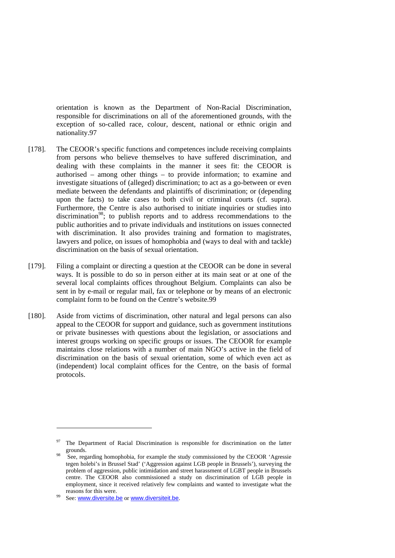orientation is known as the Department of Non-Racial Discrimination, responsible for discriminations on all of the aforementioned grounds, with the exception of so-called race, colour, descent, national or ethnic origin and nationality.97

- [178]. The CEOOR's specific functions and competences include receiving complaints from persons who believe themselves to have suffered discrimination, and dealing with these complaints in the manner it sees fit: the CEOOR is authorised – among other things – to provide information; to examine and investigate situations of (alleged) discrimination; to act as a go-between or even mediate between the defendants and plaintiffs of discrimination; or (depending upon the facts) to take cases to both civil or criminal courts (cf. supra). Furthermore, the Centre is also authorised to initiate inquiries or studies into discrimination<sup>98</sup>; to publish reports and to address recommendations to the public authorities and to private individuals and institutions on issues connected with discrimination. It also provides training and formation to magistrates, lawyers and police, on issues of homophobia and (ways to deal with and tackle) discrimination on the basis of sexual orientation.
- [179]. Filing a complaint or directing a question at the CEOOR can be done in several ways. It is possible to do so in person either at its main seat or at one of the several local complaints offices throughout Belgium. Complaints can also be sent in by e-mail or regular mail, fax or telephone or by means of an electronic complaint form to be found on the Centre's website.99
- [180]. Aside from victims of discrimination, other natural and legal persons can also appeal to the CEOOR for support and guidance, such as government institutions or private businesses with questions about the legislation, or associations and interest groups working on specific groups or issues. The CEOOR for example maintains close relations with a number of main NGO's active in the field of discrimination on the basis of sexual orientation, some of which even act as (independent) local complaint offices for the Centre, on the basis of formal protocols.

<sup>&</sup>lt;sup>97</sup> The Department of Racial Discrimination is responsible for discrimination on the latter grounds.

<sup>&</sup>lt;sup>98</sup> See, regarding homophobia, for example the study commissioned by the CEOOR 'Agressie tegen holebi's in Brussel Stad' ('Aggression against LGB people in Brussels'), surveying the problem of aggression, public intimidation and street harassment of LGBT people in Brussels centre. The CEOOR also commissioned a study on discrimination of LGB people in employment, since it received relatively few complaints and wanted to investigate what the reasons for this were.<br><sup>99</sup> See: www.diversite.be or www.diversiteit.be.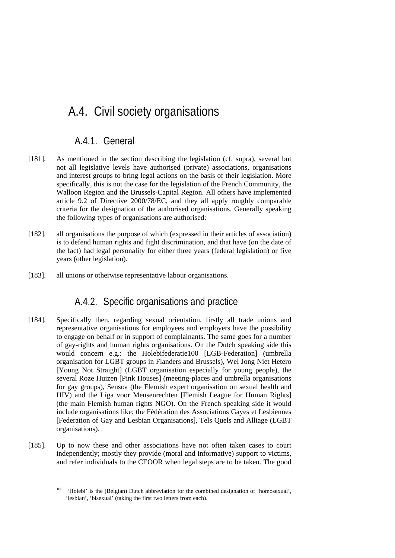# A.4. Civil society organisations

### A.4.1. General

- [181]. As mentioned in the section describing the legislation (cf. supra), several but not all legislative levels have authorised (private) associations, organisations and interest groups to bring legal actions on the basis of their legislation. More specifically, this is not the case for the legislation of the French Community, the Walloon Region and the Brussels-Capital Region. All others have implemented article 9.2 of Directive 2000/78/EC, and they all apply roughly comparable criteria for the designation of the authorised organisations. Generally speaking the following types of organisations are authorised:
- [182]. all organisations the purpose of which (expressed in their articles of association) is to defend human rights and fight discrimination, and that have (on the date of the fact) had legal personality for either three years (federal legislation) or five years (other legislation).
- [183]. all unions or otherwise representative labour organisations.

## A.4.2. Specific organisations and practice

- [184]. Specifically then, regarding sexual orientation, firstly all trade unions and representative organisations for employees and employers have the possibility to engage on behalf or in support of complainants. The same goes for a number of gay-rights and human rights organisations. On the Dutch speaking side this would concern e.g.: the Holebifederatie100 [LGB-Federation] (umbrella organisation for LGBT groups in Flanders and Brussels), Wel Jong Niet Hetero [Young Not Straight] (LGBT organisation especially for young people), the several Roze Huizen [Pink Houses] (meeting-places and umbrella organisations for gay groups), Sensoa (the Flemish expert organisation on sexual health and HIV) and the Liga voor Mensenrechten [Flemish League for Human Rights] (the main Flemish human rights NGO). On the French speaking side it would include organisations like: the Fédération des Associations Gayes et Lesbiennes [Federation of Gay and Lesbian Organisations], Tels Quels and Alliage (LGBT organisations).
- [185]. Up to now these and other associations have not often taken cases to court independently; mostly they provide (moral and informative) support to victims, and refer individuals to the CEOOR when legal steps are to be taken. The good

<sup>100 &#</sup>x27;Holebi' is the (Belgian) Dutch abbreviation for the combined designation of 'homosexual', 'lesbian', 'bisexual' (taking the first two letters from each).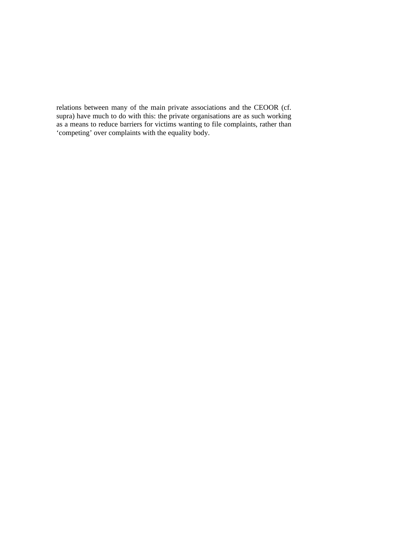relations between many of the main private associations and the CEOOR (cf. supra) have much to do with this: the private organisations are as such working as a means to reduce barriers for victims wanting to file complaints, rather than 'competing' over complaints with the equality body.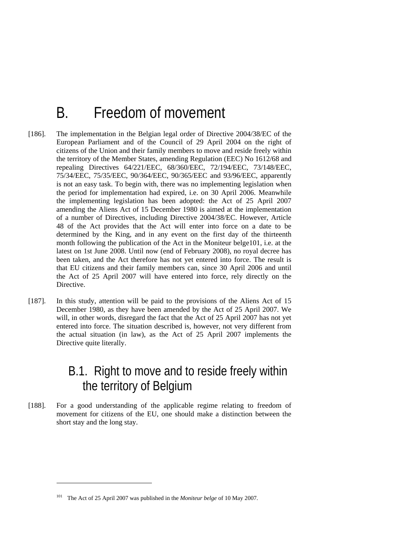# B. Freedom of movement

- [186]. The implementation in the Belgian legal order of Directive 2004/38/EC of the European Parliament and of the Council of 29 April 2004 on the right of citizens of the Union and their family members to move and reside freely within the territory of the Member States, amending Regulation (EEC) No 1612/68 and repealing Directives 64/221/EEC, 68/360/EEC, 72/194/EEC, 73/148/EEC, 75/34/EEC, 75/35/EEC, 90/364/EEC, 90/365/EEC and 93/96/EEC, apparently is not an easy task. To begin with, there was no implementing legislation when the period for implementation had expired, i.e. on 30 April 2006. Meanwhile the implementing legislation has been adopted: the Act of 25 April 2007 amending the Aliens Act of 15 December 1980 is aimed at the implementation of a number of Directives, including Directive 2004/38/EC. However, Article 48 of the Act provides that the Act will enter into force on a date to be determined by the King, and in any event on the first day of the thirteenth month following the publication of the Act in the Moniteur belge101, i.e. at the latest on 1st June 2008. Until now (end of February 2008), no royal decree has been taken, and the Act therefore has not yet entered into force. The result is that EU citizens and their family members can, since 30 April 2006 and until the Act of 25 April 2007 will have entered into force, rely directly on the Directive.
- [187]. In this study, attention will be paid to the provisions of the Aliens Act of 15 December 1980, as they have been amended by the Act of 25 April 2007. We will, in other words, disregard the fact that the Act of 25 April 2007 has not yet entered into force. The situation described is, however, not very different from the actual situation (in law), as the Act of 25 April 2007 implements the Directive quite literally.

# B.1. Right to move and to reside freely within the territory of Belgium

[188]. For a good understanding of the applicable regime relating to freedom of movement for citizens of the EU, one should make a distinction between the short stay and the long stay.

<sup>101</sup> The Act of 25 April 2007 was published in the *Moniteur belge* of 10 May 2007.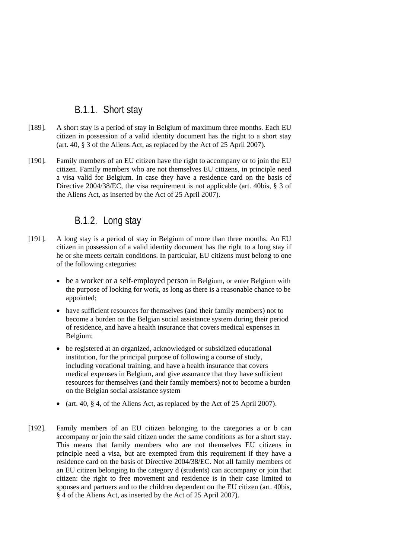## B.1.1. Short stay

- [189]. A short stay is a period of stay in Belgium of maximum three months. Each EU citizen in possession of a valid identity document has the right to a short stay (art. 40, § 3 of the Aliens Act, as replaced by the Act of 25 April 2007).
- [190]. Family members of an EU citizen have the right to accompany or to join the EU citizen. Family members who are not themselves EU citizens, in principle need a visa valid for Belgium. In case they have a residence card on the basis of Directive 2004/38/EC, the visa requirement is not applicable (art. 40bis, § 3 of the Aliens Act, as inserted by the Act of 25 April 2007).

### B.1.2. Long stay

- [191]. A long stay is a period of stay in Belgium of more than three months. An EU citizen in possession of a valid identity document has the right to a long stay if he or she meets certain conditions. In particular, EU citizens must belong to one of the following categories:
	- be a worker or a self-employed person in Belgium, or enter Belgium with the purpose of looking for work, as long as there is a reasonable chance to be appointed;
	- have sufficient resources for themselves (and their family members) not to become a burden on the Belgian social assistance system during their period of residence, and have a health insurance that covers medical expenses in Belgium;
	- be registered at an organized, acknowledged or subsidized educational institution, for the principal purpose of following a course of study, including vocational training, and have a health insurance that covers medical expenses in Belgium, and give assurance that they have sufficient resources for themselves (and their family members) not to become a burden on the Belgian social assistance system
	- (art. 40, § 4, of the Aliens Act, as replaced by the Act of 25 April 2007).
- [192]. Family members of an EU citizen belonging to the categories a or b can accompany or join the said citizen under the same conditions as for a short stay. This means that family members who are not themselves EU citizens in principle need a visa, but are exempted from this requirement if they have a residence card on the basis of Directive 2004/38/EC. Not all family members of an EU citizen belonging to the category d (students) can accompany or join that citizen: the right to free movement and residence is in their case limited to spouses and partners and to the children dependent on the EU citizen (art. 40bis, § 4 of the Aliens Act, as inserted by the Act of 25 April 2007).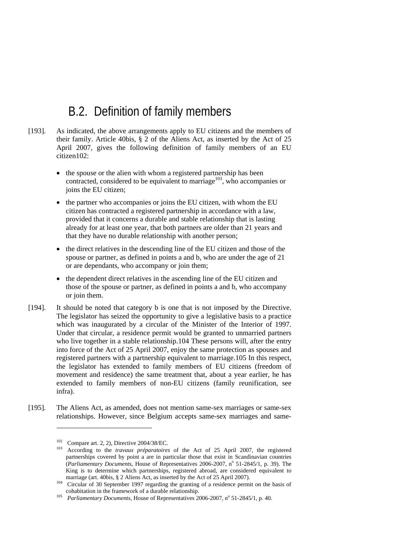# B.2. Definition of family members

- [193]. As indicated, the above arrangements apply to EU citizens and the members of their family. Article 40bis, § 2 of the Aliens Act, as inserted by the Act of 25 April 2007, gives the following definition of family members of an EU citizen102:
	- the spouse or the alien with whom a registered partnership has been contracted, considered to be equivalent to marriage<sup>103</sup>, who accompanies or joins the EU citizen;
	- the partner who accompanies or joins the EU citizen, with whom the EU citizen has contracted a registered partnership in accordance with a law, provided that it concerns a durable and stable relationship that is lasting already for at least one year, that both partners are older than 21 years and that they have no durable relationship with another person;
	- the direct relatives in the descending line of the EU citizen and those of the spouse or partner, as defined in points a and b, who are under the age of 21 or are dependants, who accompany or join them;
	- the dependent direct relatives in the ascending line of the EU citizen and those of the spouse or partner, as defined in points a and b, who accompany or join them.
- [194]. It should be noted that category b is one that is not imposed by the Directive. The legislator has seized the opportunity to give a legislative basis to a practice which was inaugurated by a circular of the Minister of the Interior of 1997. Under that circular, a residence permit would be granted to unmarried partners who live together in a stable relationship.104 These persons will, after the entry into force of the Act of 25 April 2007, enjoy the same protection as spouses and registered partners with a partnership equivalent to marriage.105 In this respect, the legislator has extended to family members of EU citizens (freedom of movement and residence) the same treatment that, about a year earlier, he has extended to family members of non-EU citizens (family reunification, see infra).
- [195]. The Aliens Act, as amended, does not mention same-sex marriages or same-sex relationships. However, since Belgium accepts same-sex marriages and same-

<sup>&</sup>lt;sup>102</sup> Compare art. 2, 2), Directive 2004/38/EC.<br><sup>103</sup> According to the *travaux préparatoires* of the Act of 25 April 2007, the registered partnerships covered by point a are in particular those that exist in Scandinavian countries (*Parliamentary Documents*, House of Representatives 2006-2007, n<sup>o</sup> 51-2845/1, p. 39). The King is to determine which partnerships, registered abroad, are considered equivalent to

marriage (art. 40bis, § 2 Aliens Act, as inserted by the Act of 25 April 2007).<br><sup>104</sup> Circular of 30 September 1997 regarding the granting of a residence permit on the basis of cohabitation in the framework of a durable re

cohabitation in the framework of a durable relationship.<br><sup>105</sup> *Parliamentary Documents*, House of Representatives 2006-2007, n<sup>o</sup> 51-2845/1, p. 40.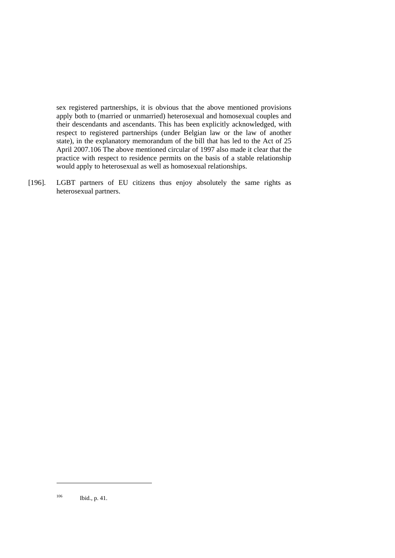sex registered partnerships, it is obvious that the above mentioned provisions apply both to (married or unmarried) heterosexual and homosexual couples and their descendants and ascendants. This has been explicitly acknowledged, with respect to registered partnerships (under Belgian law or the law of another state), in the explanatory memorandum of the bill that has led to the Act of 25 April 2007.106 The above mentioned circular of 1997 also made it clear that the practice with respect to residence permits on the basis of a stable relationship would apply to heterosexual as well as homosexual relationships.

[196]. LGBT partners of EU citizens thus enjoy absolutely the same rights as heterosexual partners.

 $106$  Ibid., p. 41.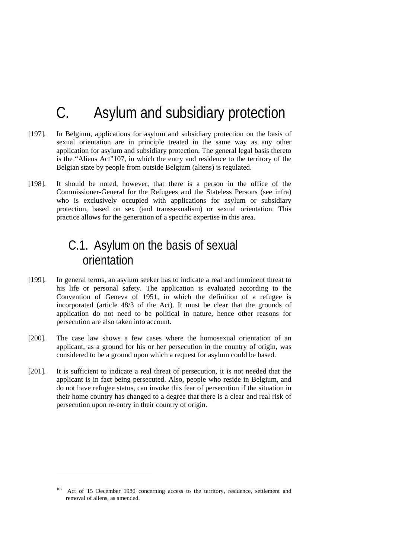# C. Asylum and subsidiary protection

- [197]. In Belgium, applications for asylum and subsidiary protection on the basis of sexual orientation are in principle treated in the same way as any other application for asylum and subsidiary protection. The general legal basis thereto is the "Aliens Act"107, in which the entry and residence to the territory of the Belgian state by people from outside Belgium (aliens) is regulated.
- [198]. It should be noted, however, that there is a person in the office of the Commissioner-General for the Refugees and the Stateless Persons (see infra) who is exclusively occupied with applications for asylum or subsidiary protection, based on sex (and transsexualism) or sexual orientation. This practice allows for the generation of a specific expertise in this area.

# C.1. Asylum on the basis of sexual orientation

- [199]. In general terms, an asylum seeker has to indicate a real and imminent threat to his life or personal safety. The application is evaluated according to the Convention of Geneva of 1951, in which the definition of a refugee is incorporated (article 48/3 of the Act). It must be clear that the grounds of application do not need to be political in nature, hence other reasons for persecution are also taken into account.
- [200]. The case law shows a few cases where the homosexual orientation of an applicant, as a ground for his or her persecution in the country of origin, was considered to be a ground upon which a request for asylum could be based.
- [201]. It is sufficient to indicate a real threat of persecution, it is not needed that the applicant is in fact being persecuted. Also, people who reside in Belgium, and do not have refugee status, can invoke this fear of persecution if the situation in their home country has changed to a degree that there is a clear and real risk of persecution upon re-entry in their country of origin.

Act of 15 December 1980 concerning access to the territory, residence, settlement and removal of aliens, as amended.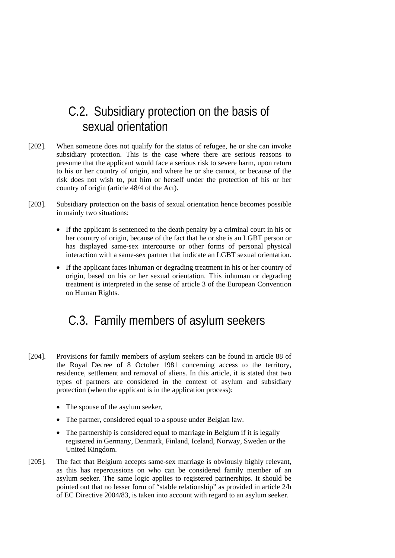# C.2. Subsidiary protection on the basis of sexual orientation

- [202]. When someone does not qualify for the status of refugee, he or she can invoke subsidiary protection. This is the case where there are serious reasons to presume that the applicant would face a serious risk to severe harm, upon return to his or her country of origin, and where he or she cannot, or because of the risk does not wish to, put him or herself under the protection of his or her country of origin (article 48/4 of the Act).
- [203]. Subsidiary protection on the basis of sexual orientation hence becomes possible in mainly two situations:
	- If the applicant is sentenced to the death penalty by a criminal court in his or her country of origin, because of the fact that he or she is an LGBT person or has displayed same-sex intercourse or other forms of personal physical interaction with a same-sex partner that indicate an LGBT sexual orientation.
	- If the applicant faces inhuman or degrading treatment in his or her country of origin, based on his or her sexual orientation. This inhuman or degrading treatment is interpreted in the sense of article 3 of the European Convention on Human Rights.

# C.3. Family members of asylum seekers

- [204]. Provisions for family members of asylum seekers can be found in article 88 of the Royal Decree of 8 October 1981 concerning access to the territory, residence, settlement and removal of aliens. In this article, it is stated that two types of partners are considered in the context of asylum and subsidiary protection (when the applicant is in the application process):
	- The spouse of the asylum seeker,
	- The partner, considered equal to a spouse under Belgian law.
	- The partnership is considered equal to marriage in Belgium if it is legally registered in Germany, Denmark, Finland, Iceland, Norway, Sweden or the United Kingdom.
- [205]. The fact that Belgium accepts same-sex marriage is obviously highly relevant, as this has repercussions on who can be considered family member of an asylum seeker. The same logic applies to registered partnerships. It should be pointed out that no lesser form of "stable relationship" as provided in article 2/h of EC Directive 2004/83, is taken into account with regard to an asylum seeker.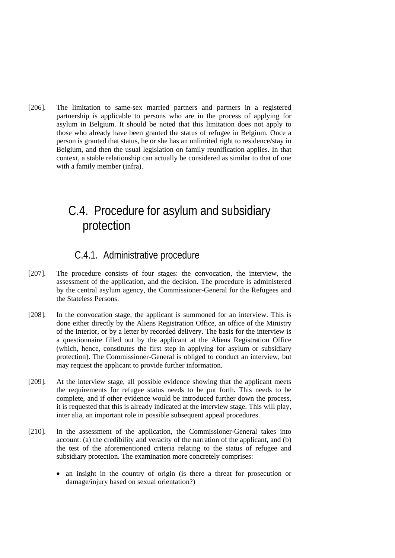[206]. The limitation to same-sex married partners and partners in a registered partnership is applicable to persons who are in the process of applying for asylum in Belgium. It should be noted that this limitation does not apply to those who already have been granted the status of refugee in Belgium. Once a person is granted that status, he or she has an unlimited right to residence/stay in Belgium, and then the usual legislation on family reunification applies. In that context, a stable relationship can actually be considered as similar to that of one with a family member (infra).

# C.4. Procedure for asylum and subsidiary protection

### C.4.1. Administrative procedure

- [207]. The procedure consists of four stages: the convocation, the interview, the assessment of the application, and the decision. The procedure is administered by the central asylum agency, the Commissioner-General for the Refugees and the Stateless Persons.
- [208]. In the convocation stage, the applicant is summoned for an interview. This is done either directly by the Aliens Registration Office, an office of the Ministry of the Interior, or by a letter by recorded delivery. The basis for the interview is a questionnaire filled out by the applicant at the Aliens Registration Office (which, hence, constitutes the first step in applying for asylum or subsidiary protection). The Commissioner-General is obliged to conduct an interview, but may request the applicant to provide further information.
- [209]. At the interview stage, all possible evidence showing that the applicant meets the requirements for refugee status needs to be put forth. This needs to be complete, and if other evidence would be introduced further down the process, it is requested that this is already indicated at the interview stage. This will play, inter alia, an important role in possible subsequent appeal procedures.
- [210]. In the assessment of the application, the Commissioner-General takes into account: (a) the credibility and veracity of the narration of the applicant, and (b) the test of the aforementioned criteria relating to the status of refugee and subsidiary protection. The examination more concretely comprises:
	- an insight in the country of origin (is there a threat for prosecution or damage/injury based on sexual orientation?)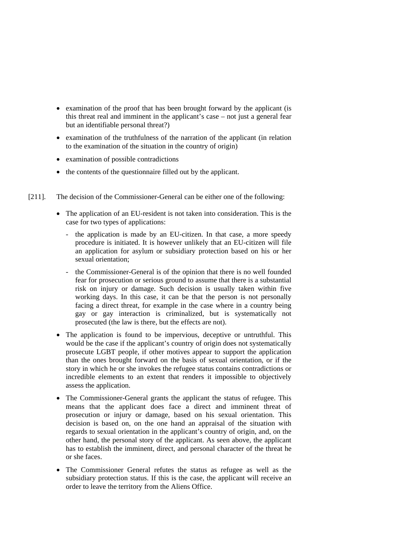- examination of the proof that has been brought forward by the applicant (is this threat real and imminent in the applicant's case – not just a general fear but an identifiable personal threat?)
- examination of the truthfulness of the narration of the applicant (in relation to the examination of the situation in the country of origin)
- examination of possible contradictions
- the contents of the questionnaire filled out by the applicant.
- [211]. The decision of the Commissioner-General can be either one of the following:
	- The application of an EU-resident is not taken into consideration. This is the case for two types of applications:
		- the application is made by an EU-citizen. In that case, a more speedy procedure is initiated. It is however unlikely that an EU-citizen will file an application for asylum or subsidiary protection based on his or her sexual orientation;
		- the Commissioner-General is of the opinion that there is no well founded fear for prosecution or serious ground to assume that there is a substantial risk on injury or damage. Such decision is usually taken within five working days. In this case, it can be that the person is not personally facing a direct threat, for example in the case where in a country being gay or gay interaction is criminalized, but is systematically not prosecuted (the law is there, but the effects are not).
	- The application is found to be impervious, deceptive or untruthful. This would be the case if the applicant's country of origin does not systematically prosecute LGBT people, if other motives appear to support the application than the ones brought forward on the basis of sexual orientation, or if the story in which he or she invokes the refugee status contains contradictions or incredible elements to an extent that renders it impossible to objectively assess the application.
	- The Commissioner-General grants the applicant the status of refugee. This means that the applicant does face a direct and imminent threat of prosecution or injury or damage, based on his sexual orientation. This decision is based on, on the one hand an appraisal of the situation with regards to sexual orientation in the applicant's country of origin, and, on the other hand, the personal story of the applicant. As seen above, the applicant has to establish the imminent, direct, and personal character of the threat he or she faces.
	- The Commissioner General refutes the status as refugee as well as the subsidiary protection status. If this is the case, the applicant will receive an order to leave the territory from the Aliens Office.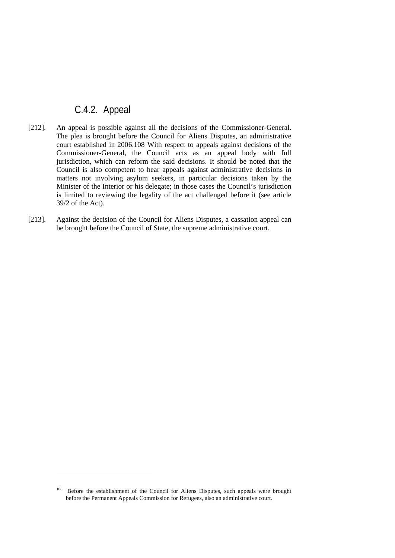## C.4.2. Appeal

- [212]. An appeal is possible against all the decisions of the Commissioner-General. The plea is brought before the Council for Aliens Disputes, an administrative court established in 2006.108 With respect to appeals against decisions of the Commissioner-General, the Council acts as an appeal body with full jurisdiction, which can reform the said decisions. It should be noted that the Council is also competent to hear appeals against administrative decisions in matters not involving asylum seekers, in particular decisions taken by the Minister of the Interior or his delegate; in those cases the Council's jurisdiction is limited to reviewing the legality of the act challenged before it (see article 39/2 of the Act).
- [213]. Against the decision of the Council for Aliens Disputes, a cassation appeal can be brought before the Council of State, the supreme administrative court.

<sup>108</sup> Before the establishment of the Council for Aliens Disputes, such appeals were brought before the Permanent Appeals Commission for Refugees, also an administrative court.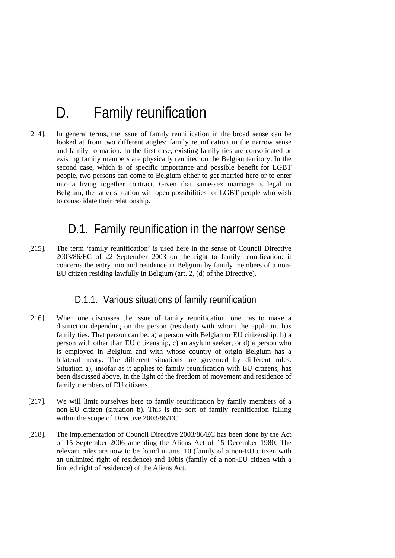# D. Family reunification

[214]. In general terms, the issue of family reunification in the broad sense can be looked at from two different angles: family reunification in the narrow sense and family formation. In the first case, existing family ties are consolidated or existing family members are physically reunited on the Belgian territory. In the second case, which is of specific importance and possible benefit for LGBT people, two persons can come to Belgium either to get married here or to enter into a living together contract. Given that same-sex marriage is legal in Belgium, the latter situation will open possibilities for LGBT people who wish to consolidate their relationship.

## D.1. Family reunification in the narrow sense

[215]. The term 'family reunification' is used here in the sense of Council Directive 2003/86/EC of 22 September 2003 on the right to family reunification: it concerns the entry into and residence in Belgium by family members of a non-EU citizen residing lawfully in Belgium (art. 2, (d) of the Directive).

### D.1.1. Various situations of family reunification

- [216]. When one discusses the issue of family reunification, one has to make a distinction depending on the person (resident) with whom the applicant has family ties. That person can be: a) a person with Belgian or EU citizenship, b) a person with other than EU citizenship, c) an asylum seeker, or d) a person who is employed in Belgium and with whose country of origin Belgium has a bilateral treaty. The different situations are governed by different rules. Situation a), insofar as it applies to family reunification with EU citizens, has been discussed above, in the light of the freedom of movement and residence of family members of EU citizens.
- [217]. We will limit ourselves here to family reunification by family members of a non-EU citizen (situation b). This is the sort of family reunification falling within the scope of Directive 2003/86/EC.
- [218]. The implementation of Council Directive 2003/86/EC has been done by the Act of 15 September 2006 amending the Aliens Act of 15 December 1980. The relevant rules are now to be found in arts. 10 (family of a non-EU citizen with an unlimited right of residence) and 10bis (family of a non-EU citizen with a limited right of residence) of the Aliens Act.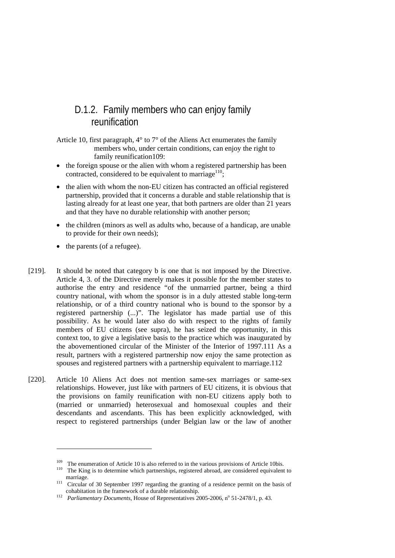## D.1.2. Family members who can enjoy family reunification

Article 10, first paragraph,  $4^{\circ}$  to  $7^{\circ}$  of the Aliens Act enumerates the family members who, under certain conditions, can enjoy the right to family reunification109:

- the foreign spouse or the alien with whom a registered partnership has been contracted, considered to be equivalent to marriage<sup>110</sup>;
- the alien with whom the non-EU citizen has contracted an official registered partnership, provided that it concerns a durable and stable relationship that is lasting already for at least one year, that both partners are older than 21 years and that they have no durable relationship with another person;
- the children (minors as well as adults who, because of a handicap, are unable to provide for their own needs);
- the parents (of a refugee).

- [219]. It should be noted that category b is one that is not imposed by the Directive. Article 4, 3. of the Directive merely makes it possible for the member states to authorise the entry and residence "of the unmarried partner, being a third country national, with whom the sponsor is in a duly attested stable long-term relationship, or of a third country national who is bound to the sponsor by a registered partnership (...)". The legislator has made partial use of this possibility. As he would later also do with respect to the rights of family members of EU citizens (see supra), he has seized the opportunity, in this context too, to give a legislative basis to the practice which was inaugurated by the abovementioned circular of the Minister of the Interior of 1997.111 As a result, partners with a registered partnership now enjoy the same protection as spouses and registered partners with a partnership equivalent to marriage.112
- [220]. Article 10 Aliens Act does not mention same-sex marriages or same-sex relationships. However, just like with partners of EU citizens, it is obvious that the provisions on family reunification with non-EU citizens apply both to (married or unmarried) heterosexual and homosexual couples and their descendants and ascendants. This has been explicitly acknowledged, with respect to registered partnerships (under Belgian law or the law of another

<sup>&</sup>lt;sup>109</sup> The enumeration of Article 10 is also referred to in the various provisions of Article 10bis.<br><sup>110</sup> The King is to determine which partnerships, registered abroad, are considered equivalent to

marriage.<br><sup>111</sup> Circular of 30 September 1997 regarding the granting of a residence permit on the basis of cohabitation in the framework of a durable relationship.

cohabitation in the framework of a durable relationship.<br><sup>112</sup> *Parliamentary Documents*, House of Representatives 2005-2006, n<sup>o</sup> 51-2478/1, p. 43.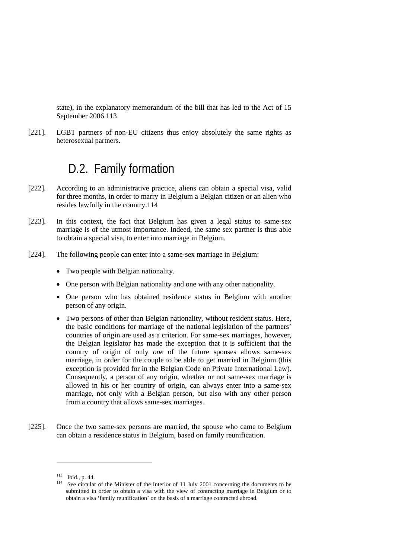state), in the explanatory memorandum of the bill that has led to the Act of 15 September 2006.113

[221]. LGBT partners of non-EU citizens thus enjoy absolutely the same rights as heterosexual partners.

## D.2. Family formation

- [222]. According to an administrative practice, aliens can obtain a special visa, valid for three months, in order to marry in Belgium a Belgian citizen or an alien who resides lawfully in the country.114
- [223]. In this context, the fact that Belgium has given a legal status to same-sex marriage is of the utmost importance. Indeed, the same sex partner is thus able to obtain a special visa, to enter into marriage in Belgium.
- [224]. The following people can enter into a same-sex marriage in Belgium:
	- Two people with Belgian nationality.
	- One person with Belgian nationality and one with any other nationality.
	- One person who has obtained residence status in Belgium with another person of any origin.
	- Two persons of other than Belgian nationality, without resident status. Here, the basic conditions for marriage of the national legislation of the partners' countries of origin are used as a criterion. For same-sex marriages, however, the Belgian legislator has made the exception that it is sufficient that the country of origin of only *one* of the future spouses allows same-sex marriage, in order for the couple to be able to get married in Belgium (this exception is provided for in the Belgian Code on Private International Law). Consequently, a person of any origin, whether or not same-sex marriage is allowed in his or her country of origin, can always enter into a same-sex marriage, not only with a Belgian person, but also with any other person from a country that allows same-sex marriages.
- [225]. Once the two same-sex persons are married, the spouse who came to Belgium can obtain a residence status in Belgium, based on family reunification.

<sup>&</sup>lt;sup>113</sup> Ibid., p. 44.<br><sup>114</sup> See circular of the Minister of the Interior of 11 July 2001 concerning the documents to be submitted in order to obtain a visa with the view of contracting marriage in Belgium or to obtain a visa 'family reunification' on the basis of a marriage contracted abroad.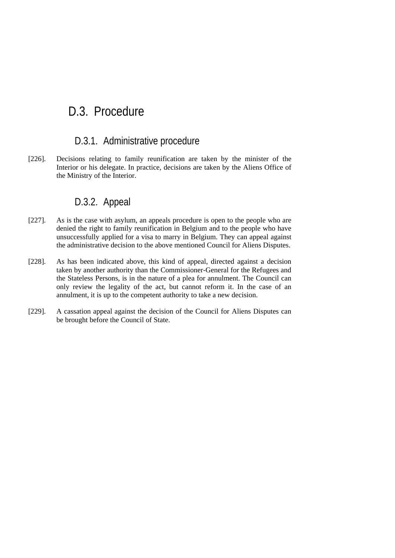# D.3. Procedure

### D.3.1. Administrative procedure

[226]. Decisions relating to family reunification are taken by the minister of the Interior or his delegate. In practice, decisions are taken by the Aliens Office of the Ministry of the Interior.

### D.3.2. Appeal

- [227]. As is the case with asylum, an appeals procedure is open to the people who are denied the right to family reunification in Belgium and to the people who have unsuccessfully applied for a visa to marry in Belgium. They can appeal against the administrative decision to the above mentioned Council for Aliens Disputes.
- [228]. As has been indicated above, this kind of appeal, directed against a decision taken by another authority than the Commissioner-General for the Refugees and the Stateless Persons, is in the nature of a plea for annulment. The Council can only review the legality of the act, but cannot reform it. In the case of an annulment, it is up to the competent authority to take a new decision.
- [229]. A cassation appeal against the decision of the Council for Aliens Disputes can be brought before the Council of State.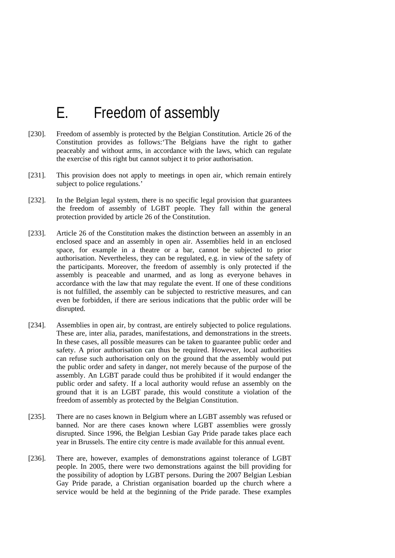# E. Freedom of assembly

- [230]. Freedom of assembly is protected by the Belgian Constitution. Article 26 of the Constitution provides as follows:'The Belgians have the right to gather peaceably and without arms, in accordance with the laws, which can regulate the exercise of this right but cannot subject it to prior authorisation.
- [231]. This provision does not apply to meetings in open air, which remain entirely subject to police regulations.'
- [232]. In the Belgian legal system, there is no specific legal provision that guarantees the freedom of assembly of LGBT people. They fall within the general protection provided by article 26 of the Constitution.
- [233]. Article 26 of the Constitution makes the distinction between an assembly in an enclosed space and an assembly in open air. Assemblies held in an enclosed space, for example in a theatre or a bar, cannot be subjected to prior authorisation. Nevertheless, they can be regulated, e.g. in view of the safety of the participants. Moreover, the freedom of assembly is only protected if the assembly is peaceable and unarmed, and as long as everyone behaves in accordance with the law that may regulate the event. If one of these conditions is not fulfilled, the assembly can be subjected to restrictive measures, and can even be forbidden, if there are serious indications that the public order will be disrupted.
- [234]. Assemblies in open air, by contrast, are entirely subjected to police regulations. These are, inter alia, parades, manifestations, and demonstrations in the streets. In these cases, all possible measures can be taken to guarantee public order and safety. A prior authorisation can thus be required. However, local authorities can refuse such authorisation only on the ground that the assembly would put the public order and safety in danger, not merely because of the purpose of the assembly. An LGBT parade could thus be prohibited if it would endanger the public order and safety. If a local authority would refuse an assembly on the ground that it is an LGBT parade, this would constitute a violation of the freedom of assembly as protected by the Belgian Constitution.
- [235]. There are no cases known in Belgium where an LGBT assembly was refused or banned. Nor are there cases known where LGBT assemblies were grossly disrupted. Since 1996, the Belgian Lesbian Gay Pride parade takes place each year in Brussels. The entire city centre is made available for this annual event.
- [236]. There are, however, examples of demonstrations against tolerance of LGBT people. In 2005, there were two demonstrations against the bill providing for the possibility of adoption by LGBT persons. During the 2007 Belgian Lesbian Gay Pride parade, a Christian organisation boarded up the church where a service would be held at the beginning of the Pride parade. These examples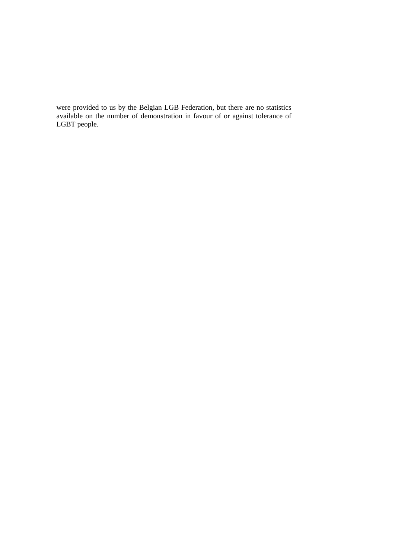were provided to us by the Belgian LGB Federation, but there are no statistics available on the number of demonstration in favour of or against tolerance of LGBT people.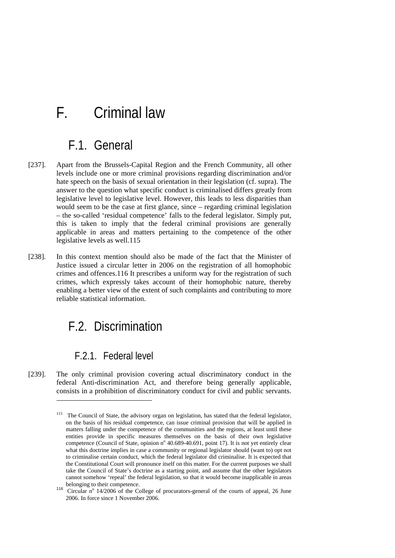# F. Criminal law

# F.1. General

- [237]. Apart from the Brussels-Capital Region and the French Community, all other levels include one or more criminal provisions regarding discrimination and/or hate speech on the basis of sexual orientation in their legislation (cf. supra). The answer to the question what specific conduct is criminalised differs greatly from legislative level to legislative level. However, this leads to less disparities than would seem to be the case at first glance, since – regarding criminal legislation – the so-called 'residual competence' falls to the federal legislator. Simply put, this is taken to imply that the federal criminal provisions are generally applicable in areas and matters pertaining to the competence of the other legislative levels as well.115
- [238]. In this context mention should also be made of the fact that the Minister of Justice issued a circular letter in 2006 on the registration of all homophobic crimes and offences.116 It prescribes a uniform way for the registration of such crimes, which expressly takes account of their homophobic nature, thereby enabling a better view of the extent of such complaints and contributing to more reliable statistical information.

## F.2. Discrimination

## F.2.1. Federal level

-

[239]. The only criminal provision covering actual discriminatory conduct in the federal Anti-discrimination Act, and therefore being generally applicable, consists in a prohibition of discriminatory conduct for civil and public servants.

<sup>&</sup>lt;sup>115</sup> The Council of State, the advisory organ on legislation, has stated that the federal legislator, on the basis of his residual competence, can issue criminal provision that will be applied in matters falling under the competence of the communities and the regions, at least until these entities provide in specific measures themselves on the basis of their own legislative competence (Council of State, opinion nº 40.689-40.691, point 17). It is not yet entirely clear what this doctrine implies in case a community or regional legislator should (want to) opt not to criminalise certain conduct, which the federal legislator did criminalise. It is expected that the Constitutional Court will pronounce itself on this matter. For the current purposes we shall take the Council of State's doctrine as a starting point, and assume that the other legislators cannot somehow 'repeal' the federal legislation, so that it would become inapplicable in areas

belonging to their competence.<br><sup>116</sup> Circular n<sup>o</sup> 14/2006 of the College of procurators-general of the courts of appeal, 26 June 2006. In force since 1 November 2006.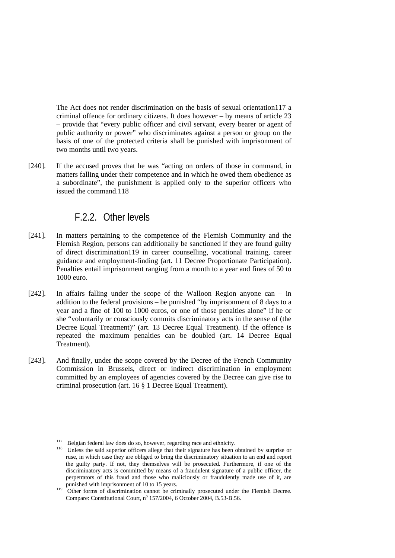The Act does not render discrimination on the basis of sexual orientation117 a criminal offence for ordinary citizens. It does however – by means of article 23 – provide that "every public officer and civil servant, every bearer or agent of public authority or power" who discriminates against a person or group on the basis of one of the protected criteria shall be punished with imprisonment of two months until two years.

[240]. If the accused proves that he was "acting on orders of those in command, in matters falling under their competence and in which he owed them obedience as a subordinate", the punishment is applied only to the superior officers who issued the command.118

### F.2.2. Other levels

- [241]. In matters pertaining to the competence of the Flemish Community and the Flemish Region, persons can additionally be sanctioned if they are found guilty of direct discrimination119 in career counselling, vocational training, career guidance and employment-finding (art. 11 Decree Proportionate Participation). Penalties entail imprisonment ranging from a month to a year and fines of 50 to 1000 euro.
- [242]. In affairs falling under the scope of the Walloon Region anyone can in addition to the federal provisions – be punished "by imprisonment of 8 days to a year and a fine of 100 to 1000 euros, or one of those penalties alone" if he or she "voluntarily or consciously commits discriminatory acts in the sense of (the Decree Equal Treatment)" (art. 13 Decree Equal Treatment). If the offence is repeated the maximum penalties can be doubled (art. 14 Decree Equal Treatment).
- [243]. And finally, under the scope covered by the Decree of the French Community Commission in Brussels, direct or indirect discrimination in employment committed by an employees of agencies covered by the Decree can give rise to criminal prosecution (art. 16 § 1 Decree Equal Treatment).

<sup>&</sup>lt;sup>117</sup> Belgian federal law does do so, however, regarding race and ethnicity.<br><sup>118</sup> Unless the said superior officers allege that their signature has been obtained by surprise or ruse, in which case they are obliged to bring the discriminatory situation to an end and report the guilty party. If not, they themselves will be prosecuted. Furthermore, if one of the discriminatory acts is committed by means of a fraudulent signature of a public officer, the perpetrators of this fraud and those who maliciously or fraudulently made use of it, are punished with imprisonment of 10 to 15 years.<br><sup>119</sup> Other forms of 1.

Other forms of discrimination cannot be criminally prosecuted under the Flemish Decree. Compare: Constitutional Court, nº 157/2004, 6 October 2004, B.53-B.56.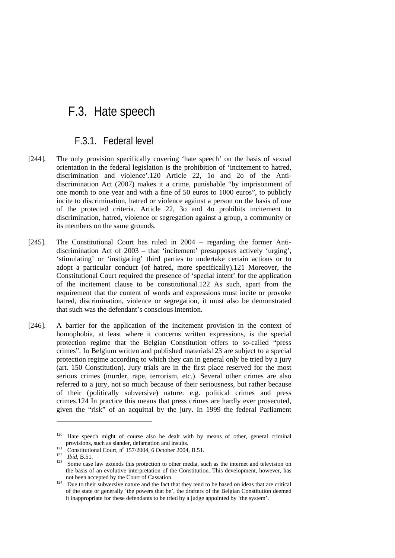## F.3. Hate speech

### F.3.1. Federal level

- [244]. The only provision specifically covering 'hate speech' on the basis of sexual orientation in the federal legislation is the prohibition of 'incitement to hatred, discrimination and violence'.120 Article 22, 1o and 2o of the Antidiscrimination Act (2007) makes it a crime, punishable "by imprisonment of one month to one year and with a fine of 50 euros to 1000 euros", to publicly incite to discrimination, hatred or violence against a person on the basis of one of the protected criteria. Article 22, 3o and 4o prohibits incitement to discrimination, hatred, violence or segregation against a group, a community or its members on the same grounds.
- [245]. The Constitutional Court has ruled in 2004 regarding the former Antidiscrimination Act of 2003 – that 'incitement' presupposes actively 'urging', 'stimulating' or 'instigating' third parties to undertake certain actions or to adopt a particular conduct (of hatred, more specifically).121 Moreover, the Constitutional Court required the presence of 'special intent' for the application of the incitement clause to be constitutional.122 As such, apart from the requirement that the content of words and expressions must incite or provoke hatred, discrimination, violence or segregation, it must also be demonstrated that such was the defendant's conscious intention.
- [246]. A barrier for the application of the incitement provision in the context of homophobia, at least where it concerns written expressions, is the special protection regime that the Belgian Constitution offers to so-called "press crimes". In Belgium written and published materials123 are subject to a special protection regime according to which they can in general only be tried by a jury (art. 150 Constitution). Jury trials are in the first place reserved for the most serious crimes (murder, rape, terrorism, etc.). Several other crimes are also referred to a jury, not so much because of their seriousness, but rather because of their (politically subversive) nature: e.g. political crimes and press crimes.124 In practice this means that press crimes are hardly ever prosecuted, given the "risk" of an acquittal by the jury. In 1999 the federal Parliament

<sup>&</sup>lt;sup>120</sup> Hate speech might of course also be dealt with by means of other, general criminal provisions, such as slander, defamation and insults.<br>
Constitutional Court, n<sup>o</sup> 157/2004, 6 October 2004, B.51.<br> *Ibid.* B.51.

<sup>123</sup> Some case law extends this protection to other media, such as the internet and television on the basis of an evolutive interpretation of the Constitution. This development, however, has not been accepted by the Court of Cassation.<br>Due to their subversive nature and the fact that they tend to be based on ideas that are critical

of the state or generally 'the powers that be', the drafters of the Belgian Constitution deemed it inappropriate for these defendants to be tried by a judge appointed by 'the system'.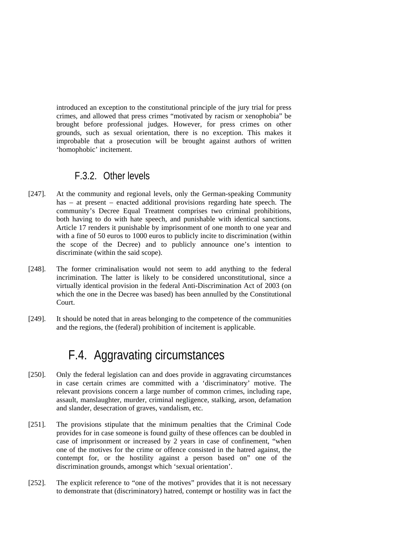introduced an exception to the constitutional principle of the jury trial for press crimes, and allowed that press crimes "motivated by racism or xenophobia" be brought before professional judges. However, for press crimes on other grounds, such as sexual orientation, there is no exception. This makes it improbable that a prosecution will be brought against authors of written 'homophobic' incitement.

## F.3.2. Other levels

- [247]. At the community and regional levels, only the German-speaking Community has – at present – enacted additional provisions regarding hate speech. The community's Decree Equal Treatment comprises two criminal prohibitions, both having to do with hate speech, and punishable with identical sanctions. Article 17 renders it punishable by imprisonment of one month to one year and with a fine of 50 euros to 1000 euros to publicly incite to discrimination (within the scope of the Decree) and to publicly announce one's intention to discriminate (within the said scope).
- [248]. The former criminalisation would not seem to add anything to the federal incrimination. The latter is likely to be considered unconstitutional, since a virtually identical provision in the federal Anti-Discrimination Act of 2003 (on which the one in the Decree was based) has been annulled by the Constitutional Court.
- [249]. It should be noted that in areas belonging to the competence of the communities and the regions, the (federal) prohibition of incitement is applicable.

# F.4. Aggravating circumstances

- [250]. Only the federal legislation can and does provide in aggravating circumstances in case certain crimes are committed with a 'discriminatory' motive. The relevant provisions concern a large number of common crimes, including rape, assault, manslaughter, murder, criminal negligence, stalking, arson, defamation and slander, desecration of graves, vandalism, etc.
- [251]. The provisions stipulate that the minimum penalties that the Criminal Code provides for in case someone is found guilty of these offences can be doubled in case of imprisonment or increased by 2 years in case of confinement, "when one of the motives for the crime or offence consisted in the hatred against, the contempt for, or the hostility against a person based on" one of the discrimination grounds, amongst which 'sexual orientation'.
- [252]. The explicit reference to "one of the motives" provides that it is not necessary to demonstrate that (discriminatory) hatred, contempt or hostility was in fact the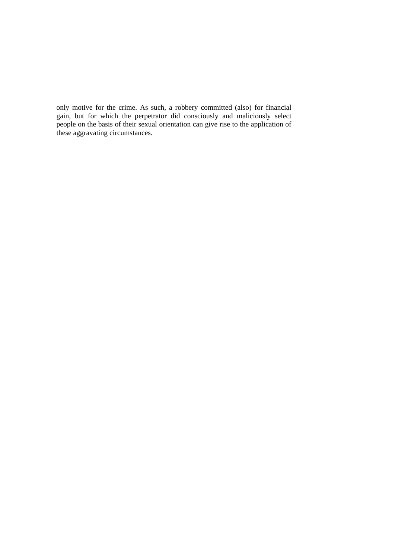only motive for the crime. As such, a robbery committed (also) for financial gain, but for which the perpetrator did consciously and maliciously select people on the basis of their sexual orientation can give rise to the application of these aggravating circumstances.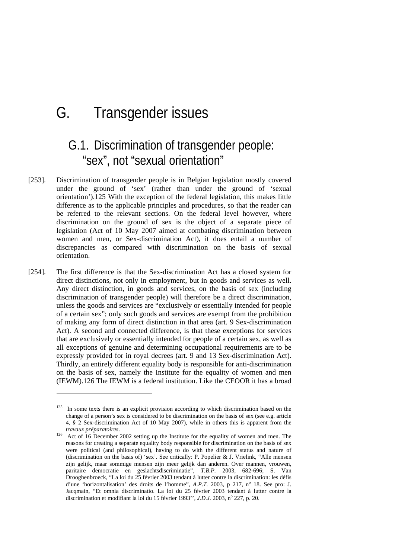# G. Transgender issues

# G.1. Discrimination of transgender people: "sex", not "sexual orientation"

- [253]. Discrimination of transgender people is in Belgian legislation mostly covered under the ground of 'sex' (rather than under the ground of 'sexual orientation').125 With the exception of the federal legislation, this makes little difference as to the applicable principles and procedures, so that the reader can be referred to the relevant sections. On the federal level however, where discrimination on the ground of sex is the object of a separate piece of legislation (Act of 10 May 2007 aimed at combating discrimination between women and men, or Sex-discrimination Act), it does entail a number of discrepancies as compared with discrimination on the basis of sexual orientation.
- [254]. The first difference is that the Sex-discrimination Act has a closed system for direct distinctions, not only in employment, but in goods and services as well. Any direct distinction, in goods and services, on the basis of sex (including discrimination of transgender people) will therefore be a direct discrimination, unless the goods and services are "exclusively or essentially intended for people of a certain sex"; only such goods and services are exempt from the prohibition of making any form of direct distinction in that area (art. 9 Sex-discrimination Act). A second and connected difference, is that these exceptions for services that are exclusively or essentially intended for people of a certain sex, as well as all exceptions of genuine and determining occupational requirements are to be expressly provided for in royal decrees (art. 9 and 13 Sex-discrimination Act). Thirdly, an entirely different equality body is responsible for anti-discrimination on the basis of sex, namely the Institute for the equality of women and men (IEWM).126 The IEWM is a federal institution. Like the CEOOR it has a broad

<sup>&</sup>lt;sup>125</sup> In some texts there is an explicit provision according to which discrimination based on the change of a person's sex is considered to be discrimination on the basis of sex (see e.g. article 4, § 2 Sex-discrimination Act of 10 May 2007), while in others this is apparent from the

*travaux préparatoires*.<br><sup>126</sup> Act of 16 December 2002 setting up the Institute for the equality of women and men. The reasons for creating a separate equality body responsible for discrimination on the basis of sex were political (and philosophical), having to do with the different status and nature of (discrimination on the basis of) 'sex'. See critically: P. Popelier & J. Vrielink, "Alle mensen zijn gelijk, maar sommige mensen zijn meer gelijk dan anderen. Over mannen, vrouwen, paritaire democratie en geslachtsdiscriminatie", *T.B.P.* 2003, 682-696; S. Van Drooghenbroeck, "La loi du 25 février 2003 tendant à lutter contre la discrimination: les défis d'une 'horizontalisation' des droits de l'homme", *A.P.T.* 2003, p 217, n<sup>o</sup> 18. See pro: J. Jacqmain, "Et omnia discriminatio. La loi du 25 février 2003 tendant à lutter contre la discrimination et modifiant la loi du 15 février 1993", *J.D.J.* 2003, nº 227, p. 20.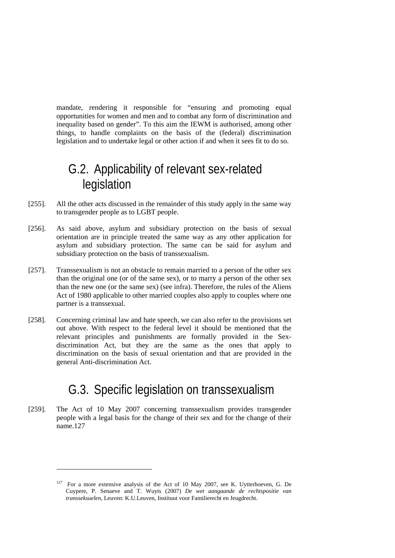mandate, rendering it responsible for "ensuring and promoting equal opportunities for women and men and to combat any form of discrimination and inequality based on gender". To this aim the IEWM is authorised, among other things, to handle complaints on the basis of the (federal) discrimination legislation and to undertake legal or other action if and when it sees fit to do so.

## G.2. Applicability of relevant sex-related legislation

- [255]. All the other acts discussed in the remainder of this study apply in the same way to transgender people as to LGBT people.
- [256]. As said above, asylum and subsidiary protection on the basis of sexual orientation are in principle treated the same way as any other application for asylum and subsidiary protection. The same can be said for asylum and subsidiary protection on the basis of transsexualism.
- [257]. Transsexualism is not an obstacle to remain married to a person of the other sex than the original one (or of the same sex), or to marry a person of the other sex than the new one (or the same sex) (see infra). Therefore, the rules of the Aliens Act of 1980 applicable to other married couples also apply to couples where one partner is a transsexual.
- [258]. Concerning criminal law and hate speech, we can also refer to the provisions set out above. With respect to the federal level it should be mentioned that the relevant principles and punishments are formally provided in the Sexdiscrimination Act, but they are the same as the ones that apply to discrimination on the basis of sexual orientation and that are provided in the general Anti-discrimination Act.

## G.3. Specific legislation on transsexualism

[259]. The Act of 10 May 2007 concerning transsexualism provides transgender people with a legal basis for the change of their sex and for the change of their name.127

-

<sup>127</sup> For a more extensive analysis of the Act of 10 May 2007, see K. Uytterhoeven, G. De Cuypere, P. Senaeve and T. Wuyts (2007) *De wet aangaande de rechtspositie van transseksuelen*, Leuven: K.U.Leuven, Instituut voor Familierecht en Jeugdrecht.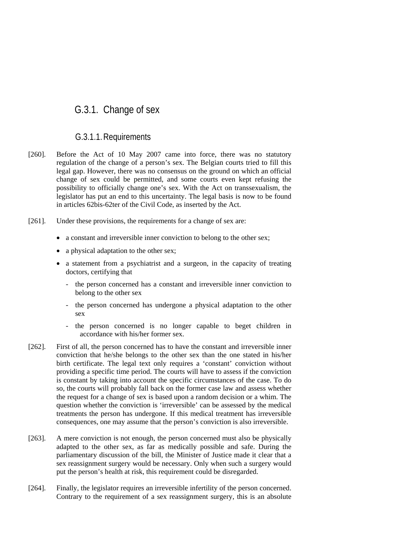## G.3.1. Change of sex

#### G.3.1.1.Requirements

- [260]. Before the Act of 10 May 2007 came into force, there was no statutory regulation of the change of a person's sex. The Belgian courts tried to fill this legal gap. However, there was no consensus on the ground on which an official change of sex could be permitted, and some courts even kept refusing the possibility to officially change one's sex. With the Act on transsexualism, the legislator has put an end to this uncertainty. The legal basis is now to be found in articles 62bis-62ter of the Civil Code, as inserted by the Act.
- [261]. Under these provisions, the requirements for a change of sex are:
	- a constant and irreversible inner conviction to belong to the other sex;
	- a physical adaptation to the other sex;
	- a statement from a psychiatrist and a surgeon, in the capacity of treating doctors, certifying that
		- the person concerned has a constant and irreversible inner conviction to belong to the other sex
		- the person concerned has undergone a physical adaptation to the other sex
		- the person concerned is no longer capable to beget children in accordance with his/her former sex.
- [262]. First of all, the person concerned has to have the constant and irreversible inner conviction that he/she belongs to the other sex than the one stated in his/her birth certificate. The legal text only requires a 'constant' conviction without providing a specific time period. The courts will have to assess if the conviction is constant by taking into account the specific circumstances of the case. To do so, the courts will probably fall back on the former case law and assess whether the request for a change of sex is based upon a random decision or a whim. The question whether the conviction is 'irreversible' can be assessed by the medical treatments the person has undergone. If this medical treatment has irreversible consequences, one may assume that the person's conviction is also irreversible.
- [263]. A mere conviction is not enough, the person concerned must also be physically adapted to the other sex, as far as medically possible and safe. During the parliamentary discussion of the bill, the Minister of Justice made it clear that a sex reassignment surgery would be necessary. Only when such a surgery would put the person's health at risk, this requirement could be disregarded.
- [264]. Finally, the legislator requires an irreversible infertility of the person concerned. Contrary to the requirement of a sex reassignment surgery, this is an absolute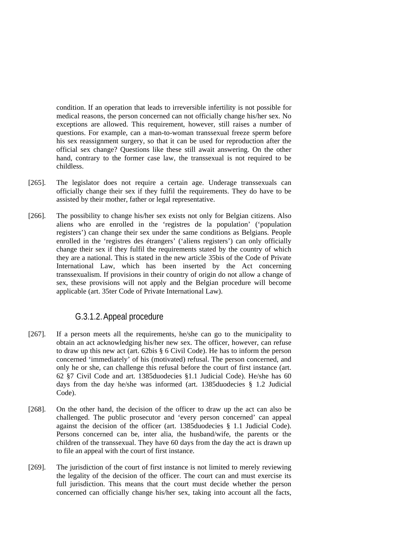condition. If an operation that leads to irreversible infertility is not possible for medical reasons, the person concerned can not officially change his/her sex. No exceptions are allowed. This requirement, however, still raises a number of questions. For example, can a man-to-woman transsexual freeze sperm before his sex reassignment surgery, so that it can be used for reproduction after the official sex change? Questions like these still await answering. On the other hand, contrary to the former case law, the transsexual is not required to be childless.

- [265]. The legislator does not require a certain age. Underage transsexuals can officially change their sex if they fulfil the requirements. They do have to be assisted by their mother, father or legal representative.
- [266]. The possibility to change his/her sex exists not only for Belgian citizens. Also aliens who are enrolled in the 'registres de la population' ('population registers') can change their sex under the same conditions as Belgians. People enrolled in the 'registres des étrangers' ('aliens registers') can only officially change their sex if they fulfil the requirements stated by the country of which they are a national. This is stated in the new article 35bis of the Code of Private International Law, which has been inserted by the Act concerning transsexualism. If provisions in their country of origin do not allow a change of sex, these provisions will not apply and the Belgian procedure will become applicable (art. 35ter Code of Private International Law).

#### G.3.1.2.Appeal procedure

- [267]. If a person meets all the requirements, he/she can go to the municipality to obtain an act acknowledging his/her new sex. The officer, however, can refuse to draw up this new act (art. 62bis § 6 Civil Code). He has to inform the person concerned 'immediately' of his (motivated) refusal. The person concerned, and only he or she, can challenge this refusal before the court of first instance (art. 62 §7 Civil Code and art. 1385duodecies §1.1 Judicial Code). He/she has 60 days from the day he/she was informed (art. 1385duodecies § 1.2 Judicial Code).
- [268]. On the other hand, the decision of the officer to draw up the act can also be challenged. The public prosecutor and 'every person concerned' can appeal against the decision of the officer (art. 1385duodecies § 1.1 Judicial Code). Persons concerned can be, inter alia, the husband/wife, the parents or the children of the transsexual. They have 60 days from the day the act is drawn up to file an appeal with the court of first instance.
- [269]. The jurisdiction of the court of first instance is not limited to merely reviewing the legality of the decision of the officer. The court can and must exercise its full jurisdiction. This means that the court must decide whether the person concerned can officially change his/her sex, taking into account all the facts,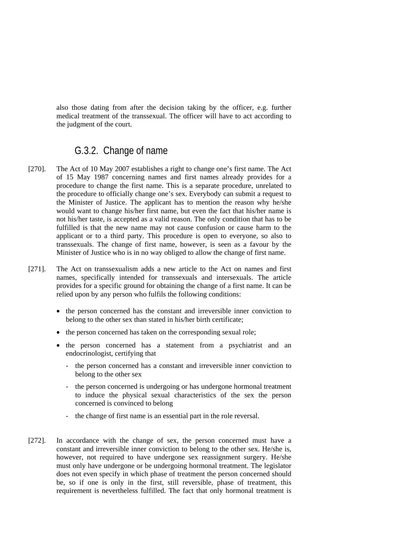also those dating from after the decision taking by the officer, e.g. further medical treatment of the transsexual. The officer will have to act according to the judgment of the court.

## G.3.2. Change of name

- [270]. The Act of 10 May 2007 establishes a right to change one's first name. The Act of 15 May 1987 concerning names and first names already provides for a procedure to change the first name. This is a separate procedure, unrelated to the procedure to officially change one's sex. Everybody can submit a request to the Minister of Justice. The applicant has to mention the reason why he/she would want to change his/her first name, but even the fact that his/her name is not his/her taste, is accepted as a valid reason. The only condition that has to be fulfilled is that the new name may not cause confusion or cause harm to the applicant or to a third party. This procedure is open to everyone, so also to transsexuals. The change of first name, however, is seen as a favour by the Minister of Justice who is in no way obliged to allow the change of first name.
- [271]. The Act on transsexualism adds a new article to the Act on names and first names, specifically intended for transsexuals and intersexuals. The article provides for a specific ground for obtaining the change of a first name. It can be relied upon by any person who fulfils the following conditions:
	- the person concerned has the constant and irreversible inner conviction to belong to the other sex than stated in his/her birth certificate;
	- the person concerned has taken on the corresponding sexual role;
	- the person concerned has a statement from a psychiatrist and an endocrinologist, certifying that
		- the person concerned has a constant and irreversible inner conviction to belong to the other sex
		- the person concerned is undergoing or has undergone hormonal treatment to induce the physical sexual characteristics of the sex the person concerned is convinced to belong
		- the change of first name is an essential part in the role reversal.
- [272]. In accordance with the change of sex, the person concerned must have a constant and irreversible inner conviction to belong to the other sex. He/she is, however, not required to have undergone sex reassignment surgery. He/she must only have undergone or be undergoing hormonal treatment. The legislator does not even specify in which phase of treatment the person concerned should be, so if one is only in the first, still reversible, phase of treatment, this requirement is nevertheless fulfilled. The fact that only hormonal treatment is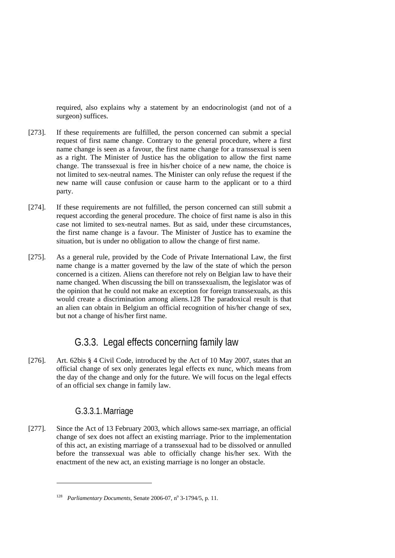required, also explains why a statement by an endocrinologist (and not of a surgeon) suffices.

- [273]. If these requirements are fulfilled, the person concerned can submit a special request of first name change. Contrary to the general procedure, where a first name change is seen as a favour, the first name change for a transsexual is seen as a right. The Minister of Justice has the obligation to allow the first name change. The transsexual is free in his/her choice of a new name, the choice is not limited to sex-neutral names. The Minister can only refuse the request if the new name will cause confusion or cause harm to the applicant or to a third party.
- [274]. If these requirements are not fulfilled, the person concerned can still submit a request according the general procedure. The choice of first name is also in this case not limited to sex-neutral names. But as said, under these circumstances, the first name change is a favour. The Minister of Justice has to examine the situation, but is under no obligation to allow the change of first name.
- [275]. As a general rule, provided by the Code of Private International Law, the first name change is a matter governed by the law of the state of which the person concerned is a citizen. Aliens can therefore not rely on Belgian law to have their name changed. When discussing the bill on transsexualism, the legislator was of the opinion that he could not make an exception for foreign transsexuals, as this would create a discrimination among aliens.128 The paradoxical result is that an alien can obtain in Belgium an official recognition of his/her change of sex, but not a change of his/her first name.

## G.3.3. Legal effects concerning family law

[276]. Art. 62bis § 4 Civil Code, introduced by the Act of 10 May 2007, states that an official change of sex only generates legal effects ex nunc, which means from the day of the change and only for the future. We will focus on the legal effects of an official sex change in family law.

#### G.3.3.1.Marriage

1

[277]. Since the Act of 13 February 2003, which allows same-sex marriage, an official change of sex does not affect an existing marriage. Prior to the implementation of this act, an existing marriage of a transsexual had to be dissolved or annulled before the transsexual was able to officially change his/her sex. With the enactment of the new act, an existing marriage is no longer an obstacle.

<sup>&</sup>lt;sup>128</sup> *Parliamentary Documents*, Senate 2006-07,  $n^{\circ}$  3-1794/5, p. 11.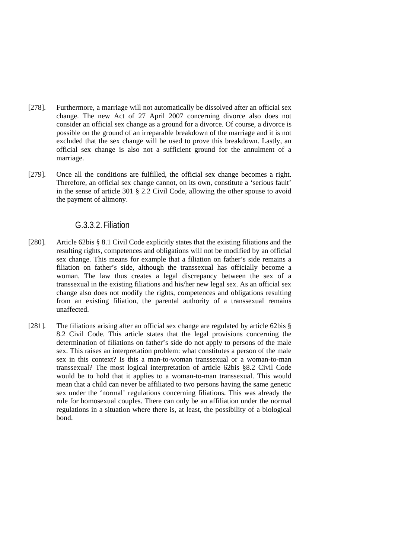- [278]. Furthermore, a marriage will not automatically be dissolved after an official sex change. The new Act of 27 April 2007 concerning divorce also does not consider an official sex change as a ground for a divorce. Of course, a divorce is possible on the ground of an irreparable breakdown of the marriage and it is not excluded that the sex change will be used to prove this breakdown. Lastly, an official sex change is also not a sufficient ground for the annulment of a marriage.
- [279]. Once all the conditions are fulfilled, the official sex change becomes a right. Therefore, an official sex change cannot, on its own, constitute a 'serious fault' in the sense of article 301 § 2.2 Civil Code, allowing the other spouse to avoid the payment of alimony.

#### G.3.3.2.Filiation

- [280]. Article 62bis § 8.1 Civil Code explicitly states that the existing filiations and the resulting rights, competences and obligations will not be modified by an official sex change. This means for example that a filiation on father's side remains a filiation on father's side, although the transsexual has officially become a woman. The law thus creates a legal discrepancy between the sex of a transsexual in the existing filiations and his/her new legal sex. As an official sex change also does not modify the rights, competences and obligations resulting from an existing filiation, the parental authority of a transsexual remains unaffected.
- [281]. The filiations arising after an official sex change are regulated by article 62bis § 8.2 Civil Code. This article states that the legal provisions concerning the determination of filiations on father's side do not apply to persons of the male sex. This raises an interpretation problem: what constitutes a person of the male sex in this context? Is this a man-to-woman transsexual or a woman-to-man transsexual? The most logical interpretation of article 62bis §8.2 Civil Code would be to hold that it applies to a woman-to-man transsexual. This would mean that a child can never be affiliated to two persons having the same genetic sex under the 'normal' regulations concerning filiations. This was already the rule for homosexual couples. There can only be an affiliation under the normal regulations in a situation where there is, at least, the possibility of a biological bond.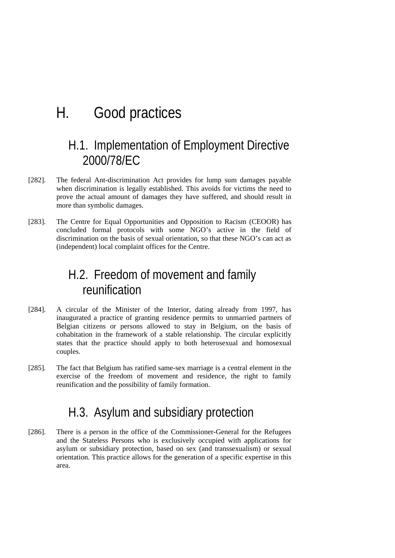# H. Good practices

## H.1. Implementation of Employment Directive 2000/78/EC

- [282]. The federal Ant-discrimination Act provides for lump sum damages payable when discrimination is legally established. This avoids for victims the need to prove the actual amount of damages they have suffered, and should result in more than symbolic damages.
- [283]. The Centre for Equal Opportunities and Opposition to Racism (CEOOR) has concluded formal protocols with some NGO's active in the field of discrimination on the basis of sexual orientation, so that these NGO's can act as (independent) local complaint offices for the Centre.

## H.2. Freedom of movement and family reunification

- [284]. A circular of the Minister of the Interior, dating already from 1997, has inaugurated a practice of granting residence permits to unmarried partners of Belgian citizens or persons allowed to stay in Belgium, on the basis of cohabitation in the framework of a stable relationship. The circular explicitly states that the practice should apply to both heterosexual and homosexual couples.
- [285]. The fact that Belgium has ratified same-sex marriage is a central element in the exercise of the freedom of movement and residence, the right to family reunification and the possibility of family formation.

## H.3. Asylum and subsidiary protection

[286]. There is a person in the office of the Commissioner-General for the Refugees and the Stateless Persons who is exclusively occupied with applications for asylum or subsidiary protection, based on sex (and transsexualism) or sexual orientation. This practice allows for the generation of a specific expertise in this area.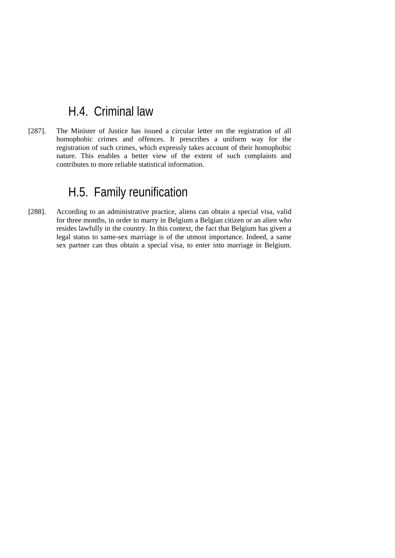## H.4. Criminal law

[287]. The Minister of Justice has issued a circular letter on the registration of all homophobic crimes and offences. It prescribes a uniform way for the registration of such crimes, which expressly takes account of their homophobic nature. This enables a better view of the extent of such complaints and contributes to more reliable statistical information.

## H.5. Family reunification

[288]. According to an administrative practice, aliens can obtain a special visa, valid for three months, in order to marry in Belgium a Belgian citizen or an alien who resides lawfully in the country. In this context, the fact that Belgium has given a legal status to same-sex marriage is of the utmost importance. Indeed, a same sex partner can thus obtain a special visa, to enter into marriage in Belgium.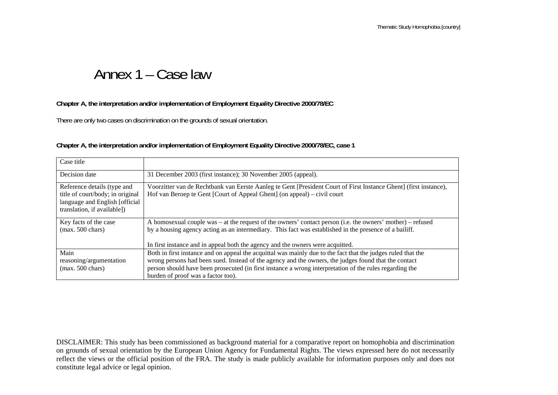# Annex 1 – Case law

#### **Chapter A, the interpretation and/or implementation of Employment Equality Directive 2000/78/EC**

There are only two cases on discrimination on the grounds of sexual orientation.

#### **Chapter A, the interpretation and/or implementation of Employment Equality Directive 2000/78/EC, case 1**

| Case title                                                                                                                        |                                                                                                                                                                                                                                                                                                                                                                       |
|-----------------------------------------------------------------------------------------------------------------------------------|-----------------------------------------------------------------------------------------------------------------------------------------------------------------------------------------------------------------------------------------------------------------------------------------------------------------------------------------------------------------------|
| Decision date                                                                                                                     | 31 December 2003 (first instance); 30 November 2005 (appeal).                                                                                                                                                                                                                                                                                                         |
| Reference details (type and<br>title of court/body; in original<br>language and English [official]<br>translation, if available]) | Voorzitter van de Rechtbank van Eerste Aanleg te Gent [President Court of First Instance Ghent] (first instance),<br>Hof van Beroep te Gent [Court of Appeal Ghent] (on appeal) – civil court                                                                                                                                                                         |
| Key facts of the case<br>$(max. 500 \text{ chars})$                                                                               | A homosexual couple was – at the request of the owners' contact person (i.e. the owners' mother) – refused<br>by a housing agency acting as an intermediary. This fact was established in the presence of a bailiff.<br>In first instance and in appeal both the agency and the owners were acquitted.                                                                |
| Main<br>reasoning/argumentation<br>$(max. 500 \text{ chars})$                                                                     | Both in first instance and on appeal the acquittal was mainly due to the fact that the judges ruled that the<br>wrong persons had been sued. Instead of the agency and the owners, the judges found that the contact<br>person should have been prosecuted (in first instance a wrong interpretation of the rules regarding the<br>burden of proof was a factor too). |

DISCLAIMER: This study has been commissioned as background material for a comparative report on homophobia and discrimination on grounds of sexual orientation by the European Union Agency for Fundamental Rights. The views expressed here do not necessarily reflect the views or the official position of the FRA. The study is made publicly available for information purposes only and does not constitute legal advice or legal opinion.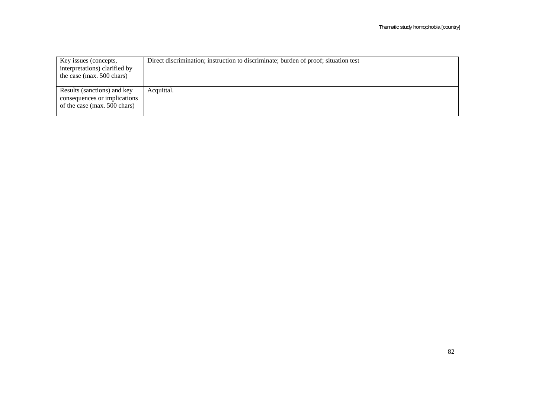| Key issues (concepts,<br>interpretations) clarified by<br>the case (max. 500 chars)         | Direct discrimination; instruction to discriminate; burden of proof; situation test |
|---------------------------------------------------------------------------------------------|-------------------------------------------------------------------------------------|
| Results (sanctions) and key<br>consequences or implications<br>of the case (max. 500 chars) | Acquittal.                                                                          |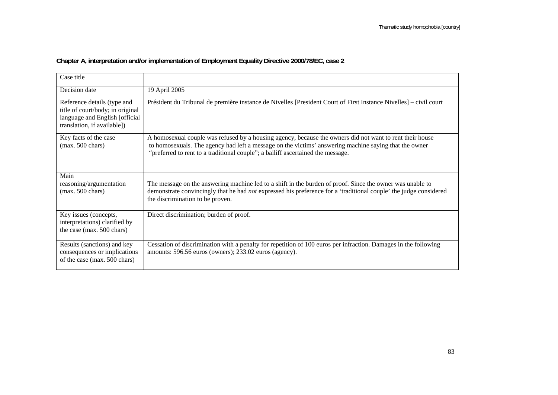| Case title                                                                                                                        |                                                                                                                                                                                                                                                                                                      |
|-----------------------------------------------------------------------------------------------------------------------------------|------------------------------------------------------------------------------------------------------------------------------------------------------------------------------------------------------------------------------------------------------------------------------------------------------|
| Decision date                                                                                                                     | 19 April 2005                                                                                                                                                                                                                                                                                        |
| Reference details (type and<br>title of court/body; in original<br>language and English [official]<br>translation, if available]) | Président du Tribunal de première instance de Nivelles [President Court of First Instance Nivelles] – civil court                                                                                                                                                                                    |
| Key facts of the case<br>$(max. 500 \text{ chars})$                                                                               | A homosexual couple was refused by a housing agency, because the owners did not want to rent their house<br>to homosexuals. The agency had left a message on the victims' answering machine saying that the owner<br>"preferred to rent to a traditional couple"; a bailiff ascertained the message. |
| Main                                                                                                                              |                                                                                                                                                                                                                                                                                                      |
| reasoning/argumentation<br>$(max. 500 \text{ chars})$                                                                             | The message on the answering machine led to a shift in the burden of proof. Since the owner was unable to<br>demonstrate convincingly that he had <i>not</i> expressed his preference for a 'traditional couple' the judge considered<br>the discrimination to be proven.                            |
| Key issues (concepts,<br>interpretations) clarified by<br>the case (max. 500 chars)                                               | Direct discrimination; burden of proof.                                                                                                                                                                                                                                                              |
| Results (sanctions) and key<br>consequences or implications<br>of the case (max. 500 chars)                                       | Cessation of discrimination with a penalty for repetition of 100 euros per infraction. Damages in the following<br>amounts: 596.56 euros (owners); 233.02 euros (agency).                                                                                                                            |

## **Chapter A, interpretation and/or implementation of Employment Equality Directive 2000/78/EC, case 2**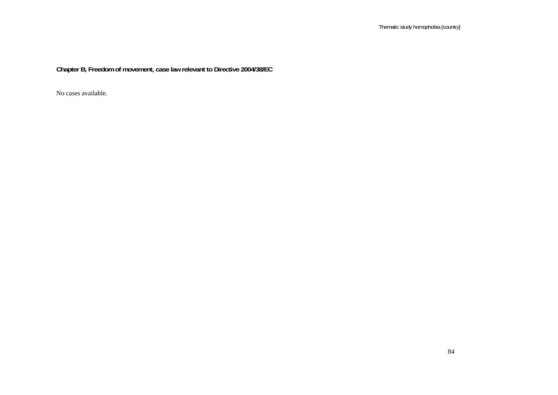**Chapter B, Freedom of movement, case law relevant to Directive 2004/38/EC**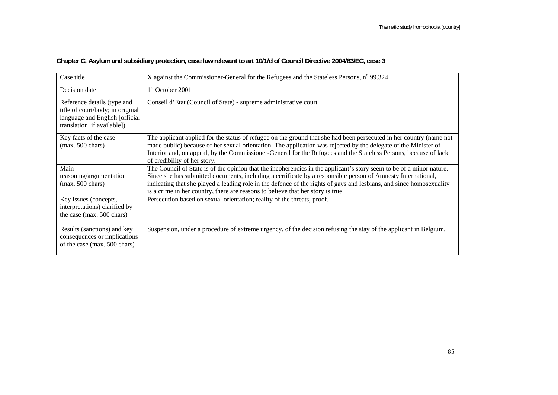| Case title                                                                                                                       | X against the Commissioner-General for the Refugees and the Stateless Persons, n° 99.324                                                                                                                                                                                                                                                                                                                                                        |
|----------------------------------------------------------------------------------------------------------------------------------|-------------------------------------------------------------------------------------------------------------------------------------------------------------------------------------------------------------------------------------------------------------------------------------------------------------------------------------------------------------------------------------------------------------------------------------------------|
| Decision date                                                                                                                    | $1st$ October 2001                                                                                                                                                                                                                                                                                                                                                                                                                              |
| Reference details (type and<br>title of court/body; in original<br>language and English [official<br>translation, if available]) | Conseil d'Etat (Council of State) - supreme administrative court                                                                                                                                                                                                                                                                                                                                                                                |
| Key facts of the case<br>$(max. 500 \text{ chars})$                                                                              | The applicant applied for the status of refugee on the ground that she had been persecuted in her country (name not<br>made public) because of her sexual orientation. The application was rejected by the delegate of the Minister of<br>Interior and, on appeal, by the Commissioner-General for the Refugees and the Stateless Persons, because of lack<br>of credibility of her story.                                                      |
| Main<br>reasoning/argumentation<br>$(max. 500 \text{ chars})$                                                                    | The Council of State is of the opinion that the incoherencies in the applicant's story seem to be of a minor nature.<br>Since she has submitted documents, including a certificate by a responsible person of Amnesty International,<br>indicating that she played a leading role in the defence of the rights of gays and lesbians, and since homosexuality<br>is a crime in her country, there are reasons to believe that her story is true. |
| Key issues (concepts,<br>interpretations) clarified by<br>the case (max. 500 chars)                                              | Persecution based on sexual orientation; reality of the threats; proof.                                                                                                                                                                                                                                                                                                                                                                         |
| Results (sanctions) and key<br>consequences or implications<br>of the case (max. 500 chars)                                      | Suspension, under a procedure of extreme urgency, of the decision refusing the stay of the applicant in Belgium.                                                                                                                                                                                                                                                                                                                                |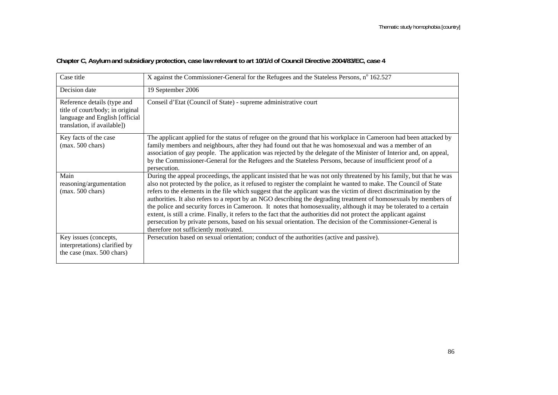| Case title                                                                                                                       | X against the Commissioner-General for the Refugees and the Stateless Persons, n° 162.527                                                                                                                                                                                                                                                                                                                                                                                                                                                                                                                                                                                                                                                                                                                                                                                                  |
|----------------------------------------------------------------------------------------------------------------------------------|--------------------------------------------------------------------------------------------------------------------------------------------------------------------------------------------------------------------------------------------------------------------------------------------------------------------------------------------------------------------------------------------------------------------------------------------------------------------------------------------------------------------------------------------------------------------------------------------------------------------------------------------------------------------------------------------------------------------------------------------------------------------------------------------------------------------------------------------------------------------------------------------|
| Decision date                                                                                                                    | 19 September 2006                                                                                                                                                                                                                                                                                                                                                                                                                                                                                                                                                                                                                                                                                                                                                                                                                                                                          |
| Reference details (type and<br>title of court/body; in original<br>language and English [official<br>translation, if available]) | Conseil d'Etat (Council of State) - supreme administrative court                                                                                                                                                                                                                                                                                                                                                                                                                                                                                                                                                                                                                                                                                                                                                                                                                           |
| Key facts of the case<br>$(max. 500 \text{ chars})$                                                                              | The applicant applied for the status of refugee on the ground that his workplace in Cameroon had been attacked by<br>family members and neighbours, after they had found out that he was homosexual and was a member of an<br>association of gay people. The application was rejected by the delegate of the Minister of Interior and, on appeal,<br>by the Commissioner-General for the Refugees and the Stateless Persons, because of insufficient proof of a<br>persecution.                                                                                                                                                                                                                                                                                                                                                                                                            |
| Main<br>reasoning/argumentation<br>$(max. 500 \text{ chars})$                                                                    | During the appeal proceedings, the applicant insisted that he was not only threatened by his family, but that he was<br>also not protected by the police, as it refused to register the complaint he wanted to make. The Council of State<br>refers to the elements in the file which suggest that the applicant was the victim of direct discrimination by the<br>authorities. It also refers to a report by an NGO describing the degrading treatment of homosexuals by members of<br>the police and security forces in Cameroon. It notes that homosexuality, although it may be tolerated to a certain<br>extent, is still a crime. Finally, it refers to the fact that the authorities did not protect the applicant against<br>persecution by private persons, based on his sexual orientation. The decision of the Commissioner-General is<br>therefore not sufficiently motivated. |
| Key issues (concepts,<br>interpretations) clarified by<br>the case (max. 500 chars)                                              | Persecution based on sexual orientation; conduct of the authorities (active and passive).                                                                                                                                                                                                                                                                                                                                                                                                                                                                                                                                                                                                                                                                                                                                                                                                  |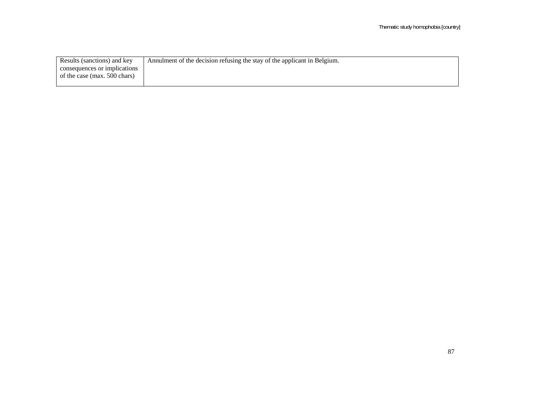| Results (sanctions) and key  | Annulment of the decision refusing the stay of the applicant in Belgium. |
|------------------------------|--------------------------------------------------------------------------|
| consequences or implications |                                                                          |
| of the case (max. 500 chars) |                                                                          |
|                              |                                                                          |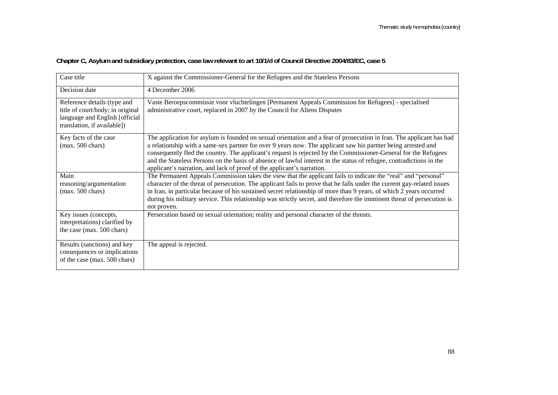| Case title                                                                                                                       | X against the Commissioner-General for the Refugees and the Stateless Persons                                                                                                                                                                                                                                                                                                                                                                                                                                                                              |
|----------------------------------------------------------------------------------------------------------------------------------|------------------------------------------------------------------------------------------------------------------------------------------------------------------------------------------------------------------------------------------------------------------------------------------------------------------------------------------------------------------------------------------------------------------------------------------------------------------------------------------------------------------------------------------------------------|
| Decision date                                                                                                                    | 4 December 2006                                                                                                                                                                                                                                                                                                                                                                                                                                                                                                                                            |
| Reference details (type and<br>title of court/body; in original<br>language and English [official<br>translation, if available]) | Vaste Beroepscommissie voor vluchtelingen [Permanent Appeals Commission for Refugees] - specialised<br>administrative court, replaced in 2007 by the Council for Aliens Disputes                                                                                                                                                                                                                                                                                                                                                                           |
| Key facts of the case<br>$(max. 500 \text{ chars})$                                                                              | The application for asylum is founded on sexual orientation and a fear of prosecution in Iran. The applicant has had<br>a relationship with a same-sex partner for over 9 years now. The applicant saw his partner being arrested and<br>consequently fled the country. The applicant's request is rejected by the Commissioner-General for the Refugees<br>and the Stateless Persons on the basis of absence of lawful interest in the status of refugee, contradictions in the<br>applicant's narration, and lack of proof of the applicant's narration. |
| Main<br>reasoning/argumentation<br>$(max. 500 \text{ chars})$                                                                    | The Permanent Appeals Commission takes the view that the applicant fails to indicate the "real" and "personal"<br>character of the threat of persecution. The applicant fails to prove that he falls under the current gay-related issues<br>in Iran, in particular because of his sustained secret relationship of more than 9 years, of which 2 years occurred<br>during his military service. This relationship was strictly secret, and therefore the imminent threat of persecution is<br>not proven.                                                 |
| Key issues (concepts,<br>interpretations) clarified by<br>the case (max. 500 chars)                                              | Persecution based on sexual orientation; reality and personal character of the threats.                                                                                                                                                                                                                                                                                                                                                                                                                                                                    |
| Results (sanctions) and key<br>consequences or implications<br>of the case (max. 500 chars)                                      | The appeal is rejected.                                                                                                                                                                                                                                                                                                                                                                                                                                                                                                                                    |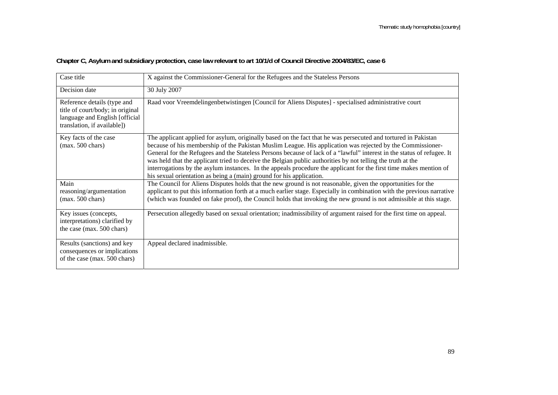| Case title                                                                                                                       | X against the Commissioner-General for the Refugees and the Stateless Persons                                                                                                                                                                                                                                                                                                                                                                                                                                                                                                                                                                                       |
|----------------------------------------------------------------------------------------------------------------------------------|---------------------------------------------------------------------------------------------------------------------------------------------------------------------------------------------------------------------------------------------------------------------------------------------------------------------------------------------------------------------------------------------------------------------------------------------------------------------------------------------------------------------------------------------------------------------------------------------------------------------------------------------------------------------|
| Decision date                                                                                                                    | 30 July 2007                                                                                                                                                                                                                                                                                                                                                                                                                                                                                                                                                                                                                                                        |
| Reference details (type and<br>title of court/body; in original<br>language and English [official<br>translation, if available]) | Raad voor Vreemdelingenbetwistingen [Council for Aliens Disputes] - specialised administrative court                                                                                                                                                                                                                                                                                                                                                                                                                                                                                                                                                                |
| Key facts of the case<br>$(max. 500 \text{ chars})$                                                                              | The applicant applied for asylum, originally based on the fact that he was persecuted and tortured in Pakistan<br>because of his membership of the Pakistan Muslim League. His application was rejected by the Commissioner-<br>General for the Refugees and the Stateless Persons because of lack of a "lawful" interest in the status of refugee. It<br>was held that the applicant tried to deceive the Belgian public authorities by not telling the truth at the<br>interrogations by the asylum instances. In the appeals procedure the applicant for the first time makes mention of<br>his sexual orientation as being a (main) ground for his application. |
| Main<br>reasoning/argumentation<br>$(max. 500 \text{ chars})$                                                                    | The Council for Aliens Disputes holds that the new ground is not reasonable, given the opportunities for the<br>applicant to put this information forth at a much earlier stage. Especially in combination with the previous narrative<br>(which was founded on fake proof), the Council holds that invoking the new ground is not admissible at this stage.                                                                                                                                                                                                                                                                                                        |
| Key issues (concepts,<br>interpretations) clarified by<br>the case (max. 500 chars)                                              | Persecution allegedly based on sexual orientation; inadmissibility of argument raised for the first time on appeal.                                                                                                                                                                                                                                                                                                                                                                                                                                                                                                                                                 |
| Results (sanctions) and key<br>consequences or implications<br>of the case (max. 500 chars)                                      | Appeal declared inadmissible.                                                                                                                                                                                                                                                                                                                                                                                                                                                                                                                                                                                                                                       |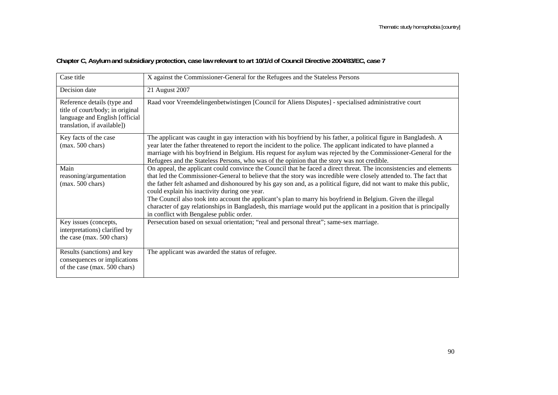| Case title                                                                                                                       | X against the Commissioner-General for the Refugees and the Stateless Persons                                                                                                                                                                                                                                                                                                                                                                                                                                                                                                                                                                                                                           |
|----------------------------------------------------------------------------------------------------------------------------------|---------------------------------------------------------------------------------------------------------------------------------------------------------------------------------------------------------------------------------------------------------------------------------------------------------------------------------------------------------------------------------------------------------------------------------------------------------------------------------------------------------------------------------------------------------------------------------------------------------------------------------------------------------------------------------------------------------|
| Decision date                                                                                                                    | 21 August 2007                                                                                                                                                                                                                                                                                                                                                                                                                                                                                                                                                                                                                                                                                          |
| Reference details (type and<br>title of court/body; in original<br>language and English [official<br>translation, if available]) | Raad voor Vreemdelingenbetwistingen [Council for Aliens Disputes] - specialised administrative court                                                                                                                                                                                                                                                                                                                                                                                                                                                                                                                                                                                                    |
| Key facts of the case<br>$(max. 500 \text{ chars})$                                                                              | The applicant was caught in gay interaction with his boyfriend by his father, a political figure in Bangladesh. A<br>year later the father threatened to report the incident to the police. The applicant indicated to have planned a<br>marriage with his boyfriend in Belgium. His request for asylum was rejected by the Commissioner-General for the<br>Refugees and the Stateless Persons, who was of the opinion that the story was not credible.                                                                                                                                                                                                                                                 |
| Main<br>reasoning/argumentation<br>$(max. 500 \text{ chars})$                                                                    | On appeal, the applicant could convince the Council that he faced a direct threat. The inconsistencies and elements<br>that led the Commissioner-General to believe that the story was incredible were closely attended to. The fact that<br>the father felt ashamed and dishonoured by his gay son and, as a political figure, did not want to make this public,<br>could explain his inactivity during one year.<br>The Council also took into account the applicant's plan to marry his boyfriend in Belgium. Given the illegal<br>character of gay relationships in Bangladesh, this marriage would put the applicant in a position that is principally<br>in conflict with Bengalese public order. |
| Key issues (concepts,<br>interpretations) clarified by<br>the case (max. 500 chars)                                              | Persecution based on sexual orientation; "real and personal threat"; same-sex marriage.                                                                                                                                                                                                                                                                                                                                                                                                                                                                                                                                                                                                                 |
| Results (sanctions) and key<br>consequences or implications<br>of the case (max. 500 chars)                                      | The applicant was awarded the status of refugee.                                                                                                                                                                                                                                                                                                                                                                                                                                                                                                                                                                                                                                                        |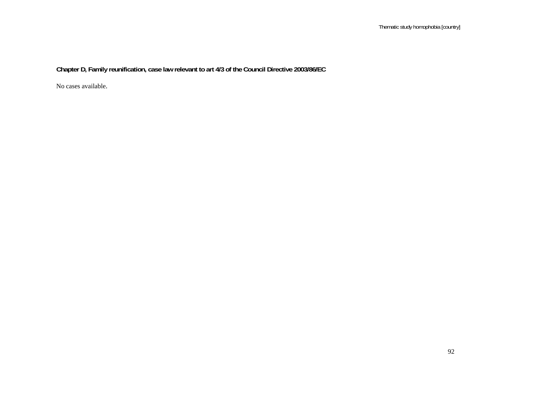**Chapter D, Family reunification, case law relevant to art 4/3 of the Council Directive 2003/86/EC**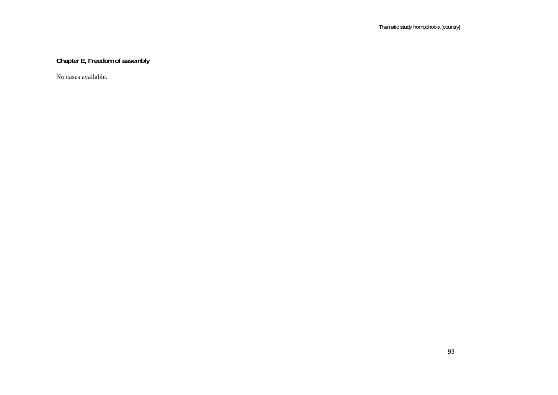## **Chapter E, Freedom of assembly**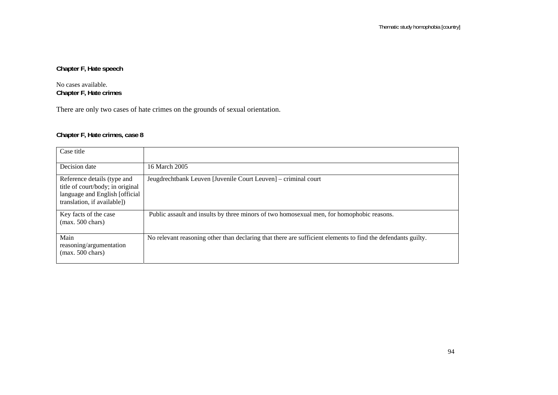**Chapter F, Hate speech** 

No cases available. **Chapter F, Hate crimes** 

There are only two cases of hate crimes on the grounds of sexual orientation.

#### **Chapter F, Hate crimes, case 8**

| Case title                                                                                                                        |                                                                                                              |
|-----------------------------------------------------------------------------------------------------------------------------------|--------------------------------------------------------------------------------------------------------------|
| Decision date                                                                                                                     | 16 March 2005                                                                                                |
| Reference details (type and<br>title of court/body; in original<br>language and English [official]<br>translation, if available]) | Jeugdrechtbank Leuven [Juvenile Court Leuven] – criminal court                                               |
| Key facts of the case<br>$(max. 500 \text{ chars})$                                                                               | Public assault and insults by three minors of two homosexual men, for homophobic reasons.                    |
| Main<br>reasoning/argumentation<br>$(max. 500 \text{ chars})$                                                                     | No relevant reasoning other than declaring that there are sufficient elements to find the defendants guilty. |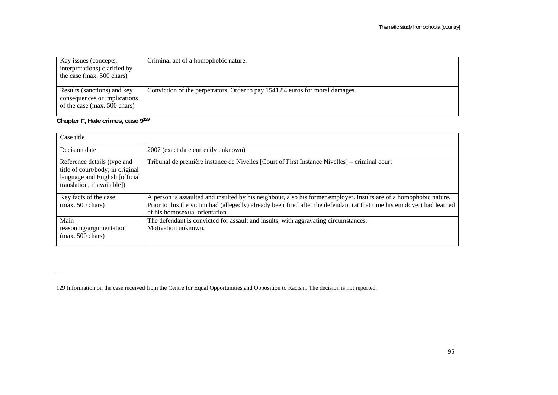| Key issues (concepts,<br>interpretations) clarified by<br>the case (max. 500 chars)                                                      | Criminal act of a homophobic nature.                                                   |
|------------------------------------------------------------------------------------------------------------------------------------------|----------------------------------------------------------------------------------------|
| Results (sanctions) and key<br>consequences or implications<br>of the case (max. 500 chars)<br>$\sim$ $\sim$ $\sim$ $\sim$ $\sim$ $\sim$ | Conviction of the perpetrators. Order to pay 1541.84 euros for moral damages.<br>0.120 |

**Chapter F, Hate crimes, case 9129**

| Case title                                                                                                                        |                                                                                                                                                                                                                                                                                 |
|-----------------------------------------------------------------------------------------------------------------------------------|---------------------------------------------------------------------------------------------------------------------------------------------------------------------------------------------------------------------------------------------------------------------------------|
| Decision date                                                                                                                     | 2007 (exact date currently unknown)                                                                                                                                                                                                                                             |
| Reference details (type and<br>title of court/body; in original<br>language and English [official]<br>translation, if available]) | Tribunal de première instance de Nivelles [Court of First Instance Nivelles] – criminal court                                                                                                                                                                                   |
| Key facts of the case<br>$(max. 500 \text{ chars})$                                                                               | A person is assaulted and insulted by his neighbour, also his former employer. Insults are of a homophobic nature.<br>Prior to this the victim had (allegedly) already been fired after the defendant (at that time his employer) had learned<br>of his homosexual orientation. |
| Main<br>reasoning/argumentation<br>$(max. 500 \text{ chars})$                                                                     | The defendant is convicted for assault and insults, with aggravating circumstances.<br>Motivation unknown.                                                                                                                                                                      |

<sup>129</sup> Information on the case received from the Centre for Equal Opportunities and Opposition to Racism. The decision is not reported.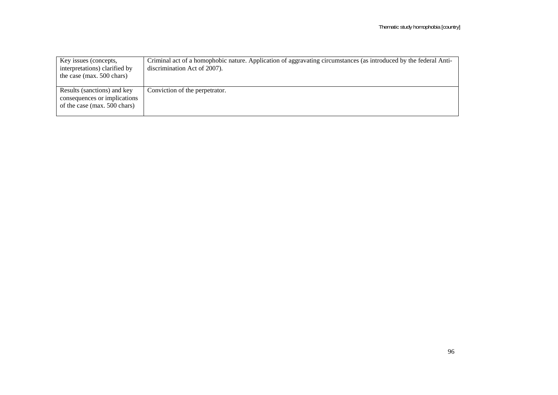| Key issues (concepts,<br>interpretations) clarified by<br>the case (max. $500$ chars)       | Criminal act of a homophobic nature. Application of aggravating circumstances (as introduced by the federal Anti-<br>discrimination Act of 2007). |
|---------------------------------------------------------------------------------------------|---------------------------------------------------------------------------------------------------------------------------------------------------|
| Results (sanctions) and key<br>consequences or implications<br>of the case (max. 500 chars) | Conviction of the perpetrator.                                                                                                                    |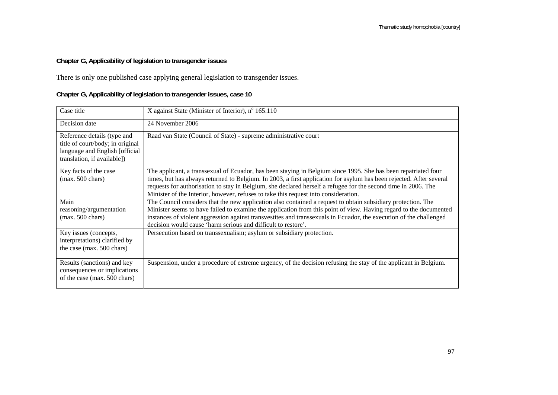## **Chapter G, Applicability of legislation to transgender issues**

There is only one published case applying general legislation to transgender issues.

## **Chapter G, Applicability of legislation to transgender issues, case 10**

| Case title                                                                                                                       | X against State (Minister of Interior), nº 165.110                                                                                                                                                                                                                                                                                                                                                                                             |
|----------------------------------------------------------------------------------------------------------------------------------|------------------------------------------------------------------------------------------------------------------------------------------------------------------------------------------------------------------------------------------------------------------------------------------------------------------------------------------------------------------------------------------------------------------------------------------------|
| Decision date                                                                                                                    | 24 November 2006                                                                                                                                                                                                                                                                                                                                                                                                                               |
| Reference details (type and<br>title of court/body; in original<br>language and English [official<br>translation, if available]) | Raad van State (Council of State) - supreme administrative court                                                                                                                                                                                                                                                                                                                                                                               |
| Key facts of the case<br>$(max. 500 \text{ chars})$                                                                              | The applicant, a transsexual of Ecuador, has been staying in Belgium since 1995. She has been repatriated four<br>times, but has always returned to Belgium. In 2003, a first application for asylum has been rejected. After several<br>requests for authorisation to stay in Belgium, she declared herself a refugee for the second time in 2006. The<br>Minister of the Interior, however, refuses to take this request into consideration. |
| Main<br>reasoning/argumentation<br>$(max. 500 \text{ chars})$                                                                    | The Council considers that the new application also contained a request to obtain subsidiary protection. The<br>Minister seems to have failed to examine the application from this point of view. Having regard to the documented<br>instances of violent aggression against transvestites and transsexuals in Ecuador, the execution of the challenged                                                                                        |
|                                                                                                                                  | decision would cause 'harm serious and difficult to restore'.                                                                                                                                                                                                                                                                                                                                                                                  |
| Key issues (concepts,<br>interpretations) clarified by<br>the case (max. 500 chars)                                              | Persecution based on transsexualism; asylum or subsidiary protection.                                                                                                                                                                                                                                                                                                                                                                          |
| Results (sanctions) and key<br>consequences or implications<br>of the case (max. 500 chars)                                      | Suspension, under a procedure of extreme urgency, of the decision refusing the stay of the applicant in Belgium.                                                                                                                                                                                                                                                                                                                               |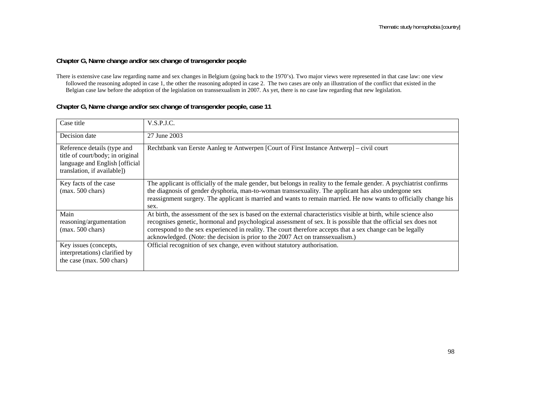#### **Chapter G, Name change and/or sex change of transgender people**

| Case title                                                                                                                       | V.S.P.J.C.                                                                                                                                                                                                                                                                                                                                                                                                                           |
|----------------------------------------------------------------------------------------------------------------------------------|--------------------------------------------------------------------------------------------------------------------------------------------------------------------------------------------------------------------------------------------------------------------------------------------------------------------------------------------------------------------------------------------------------------------------------------|
| Decision date                                                                                                                    | 27 June 2003                                                                                                                                                                                                                                                                                                                                                                                                                         |
| Reference details (type and<br>title of court/body; in original<br>language and English [official<br>translation, if available]) | Rechtbank van Eerste Aanleg te Antwerpen [Court of First Instance Antwerp] – civil court                                                                                                                                                                                                                                                                                                                                             |
| Key facts of the case<br>$(max. 500 \text{ chars})$                                                                              | The applicant is officially of the male gender, but belongs in reality to the female gender. A psychiatrist confirms<br>the diagnosis of gender dysphoria, man-to-woman transsexuality. The applicant has also undergone sex<br>reassignment surgery. The applicant is married and wants to remain married. He now wants to officially change his<br>sex.                                                                            |
| Main<br>reasoning/argumentation<br>$(max. 500 \text{ chars})$                                                                    | At birth, the assessment of the sex is based on the external characteristics visible at birth, while science also<br>recognises genetic, hormonal and psychological assessment of sex. It is possible that the official sex does not<br>correspond to the sex experienced in reality. The court therefore accepts that a sex change can be legally<br>acknowledged. (Note: the decision is prior to the 2007 Act on transsexualism.) |
| Key issues (concepts,<br>interpretations) clarified by<br>the case (max. 500 chars)                                              | Official recognition of sex change, even without statutory authorisation.                                                                                                                                                                                                                                                                                                                                                            |

#### **Chapter G, Name change and/or sex change of transgender people, case 11**

There is extensive case law regarding name and sex changes in Belgium (going back to the 1970's). Two major views were represented in that case law: one view followed the reasoning adopted in case 1, the other the reasoning adopted in case 2. The two cases are only an illustration of the conflict that existed in the Belgian case law before the adoption of the legislation on transsexualism in 2007. As yet, there is no case law regarding that new legislation.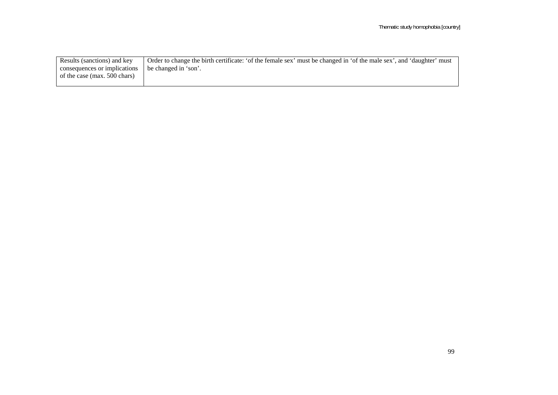| Results (sanctions) and key  | Order to change the birth certificate: 'of the female sex' must be changed in 'of the male sex', and 'daughter' must |
|------------------------------|----------------------------------------------------------------------------------------------------------------------|
| consequences or implications | be changed in 'son'.                                                                                                 |
| of the case (max. 500 chars) |                                                                                                                      |
|                              |                                                                                                                      |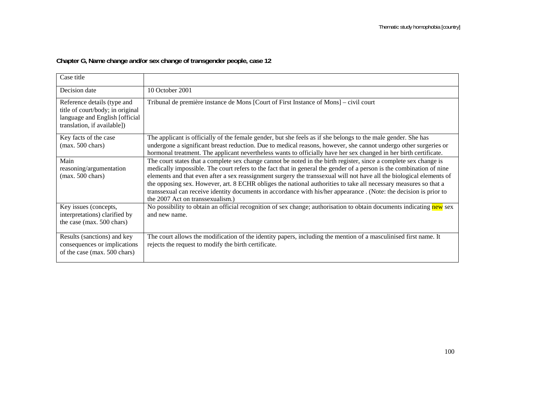## **Chapter G, Name change and/or sex change of transgender people, case 12**

| Case title                                                                                                                        |                                                                                                                                                                                                                                                                                                                                                                                                                                                                                                                                                                                                                                                 |
|-----------------------------------------------------------------------------------------------------------------------------------|-------------------------------------------------------------------------------------------------------------------------------------------------------------------------------------------------------------------------------------------------------------------------------------------------------------------------------------------------------------------------------------------------------------------------------------------------------------------------------------------------------------------------------------------------------------------------------------------------------------------------------------------------|
| Decision date                                                                                                                     | 10 October 2001                                                                                                                                                                                                                                                                                                                                                                                                                                                                                                                                                                                                                                 |
| Reference details (type and<br>title of court/body; in original<br>language and English [official]<br>translation, if available]) | Tribunal de première instance de Mons [Court of First Instance of Mons] – civil court                                                                                                                                                                                                                                                                                                                                                                                                                                                                                                                                                           |
| Key facts of the case<br>$(max. 500 \text{ chars})$                                                                               | The applicant is officially of the female gender, but she feels as if she belongs to the male gender. She has<br>undergone a significant breast reduction. Due to medical reasons, however, she cannot undergo other surgeries or<br>hormonal treatment. The applicant nevertheless wants to officially have her sex changed in her birth certificate.                                                                                                                                                                                                                                                                                          |
| Main<br>reasoning/argumentation<br>$(max. 500 \text{ chars})$                                                                     | The court states that a complete sex change cannot be noted in the birth register, since a complete sex change is<br>medically impossible. The court refers to the fact that in general the gender of a person is the combination of nine<br>elements and that even after a sex reassignment surgery the transsexual will not have all the biological elements of<br>the opposing sex. However, art. 8 ECHR obliges the national authorities to take all necessary measures so that a<br>transsexual can receive identity documents in accordance with his/her appearance . (Note: the decision is prior to<br>the 2007 Act on transsexualism.) |
| Key issues (concepts,<br>interpretations) clarified by<br>the case (max. 500 chars)                                               | No possibility to obtain an official recognition of sex change; authorisation to obtain documents indicating new sex<br>and new name.                                                                                                                                                                                                                                                                                                                                                                                                                                                                                                           |
| Results (sanctions) and key<br>consequences or implications<br>of the case (max. 500 chars)                                       | The court allows the modification of the identity papers, including the mention of a masculinised first name. It<br>rejects the request to modify the birth certificate.                                                                                                                                                                                                                                                                                                                                                                                                                                                                        |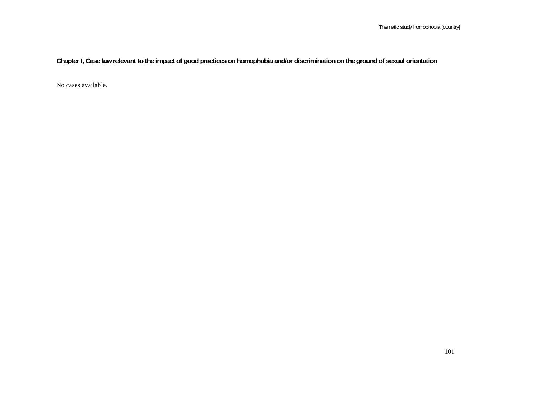**Chapter I, Case law relevant to the impact of good practices on homophobia and/or discrimination on the ground of sexual orientation**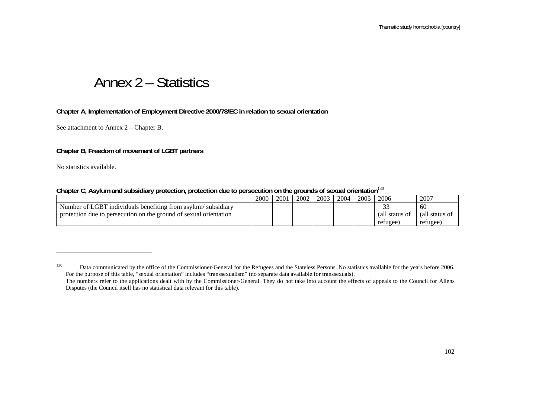# Annex 2 – Statistics

#### **Chapter A, Implementation of Employment Directive 2000/78/EC in relation to sexual orientation**

See attachment to Annex 2 – Chapter B.

#### **Chapter B, Freedom of movement of LGBT partners**

No statistics available.

| Chapter C, Asylum and subsidiary protection, protection due to persecution on the grounds of sexual orientation <sup>130</sup> |  |  |  |  |  |
|--------------------------------------------------------------------------------------------------------------------------------|--|--|--|--|--|
|                                                                                                                                |  |  |  |  |  |

|                                                                   | 2000 | 2001 | 2002 | 2003 | 2004 | 2005 | 2006           | 2007           |
|-------------------------------------------------------------------|------|------|------|------|------|------|----------------|----------------|
| Number of LGBT individuals benefiting from asylum/subsidiary      |      |      |      |      |      |      | <b>^^</b>      | 60             |
| protection due to persecution on the ground of sexual orientation |      |      |      |      |      |      | (all status of | (all status of |
|                                                                   |      |      |      |      |      |      | refugee.       | refugee        |

<sup>&</sup>lt;sup>130</sup> Data communicated by the office of the Commissioner-General for the Refugees and the Stateless Persons. No statistics available for the years before 2006. For the purpose of this table, "sexual orientation" includes "transsexualism" (no separate data available for transsexuals). The numbers refer to the applications dealt with by the Commissioner-General. They do not take into account the effects of appeals to the Council for Aliens

Disputes (the Council itself has no statistical data relevant for this table).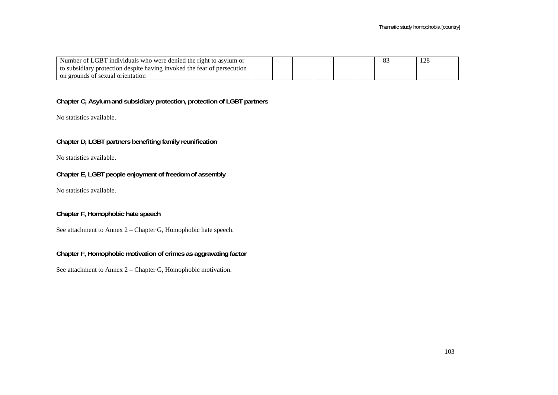| Number of LGBT individuals who were denied the right to asylum or       |  |  |  | $1 \wedge C$ |
|-------------------------------------------------------------------------|--|--|--|--------------|
| to subsidiary protection despite having invoked the fear of persecution |  |  |  |              |
| on grounds of sexual orientation                                        |  |  |  |              |

#### **Chapter C, Asylum and subsidiary protection, protection of LGBT partners**

No statistics available.

**Chapter D, LGBT partners benefiting family reunification** 

No statistics available.

#### **Chapter E, LGBT people enjoyment of freedom of assembly**

No statistics available.

**Chapter F, Homophobic hate speech** 

See attachment to Annex 2 – Chapter G, Homophobic hate speech.

#### **Chapter F, Homophobic motivation of crimes as aggravating factor**

See attachment to Annex 2 – Chapter G, Homophobic motivation.